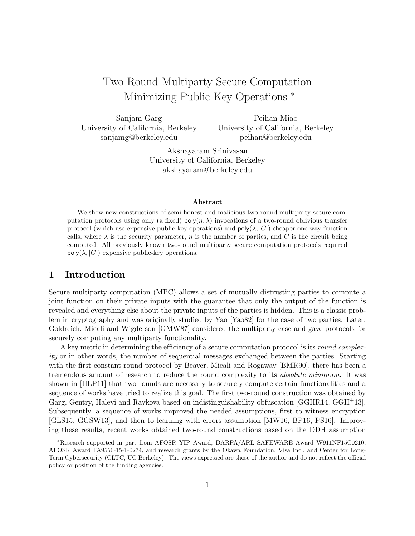# Two-Round Multiparty Secure Computation Minimizing Public Key Operations <sup>∗</sup>

Sanjam Garg University of California, Berkeley sanjamg@berkeley.edu

Peihan Miao University of California, Berkeley peihan@berkeley.edu

Akshayaram Srinivasan University of California, Berkeley akshayaram@berkeley.edu

#### Abstract

We show new constructions of semi-honest and malicious two-round multiparty secure computation protocols using only (a fixed)  $\text{poly}(n, \lambda)$  invocations of a two-round oblivious transfer protocol (which use expensive public-key operations) and  $\mathsf{poly}(\lambda, |C|)$  cheaper one-way function calls, where  $\lambda$  is the security parameter, n is the number of parties, and C is the circuit being computed. All previously known two-round multiparty secure computation protocols required  $poly(\lambda, |C|)$  expensive public-key operations.

### 1 Introduction

Secure multiparty computation (MPC) allows a set of mutually distrusting parties to compute a joint function on their private inputs with the guarantee that only the output of the function is revealed and everything else about the private inputs of the parties is hidden. This is a classic problem in cryptography and was originally studied by Yao [Yao82] for the case of two parties. Later, Goldreich, Micali and Wigderson [GMW87] considered the multiparty case and gave protocols for securely computing any multiparty functionality.

A key metric in determining the efficiency of a secure computation protocol is its *round complex*ity or in other words, the number of sequential messages exchanged between the parties. Starting with the first constant round protocol by Beaver, Micali and Rogaway [BMR90], there has been a tremendous amount of research to reduce the round complexity to its absolute minimum. It was shown in [HLP11] that two rounds are necessary to securely compute certain functionalities and a sequence of works have tried to realize this goal. The first two-round construction was obtained by Garg, Gentry, Halevi and Raykova based on indistinguishability obfuscation [GGHR14, GGH+13]. Subsequently, a sequence of works improved the needed assumptions, first to witness encryption [GLS15, GGSW13], and then to learning with errors assumption [MW16, BP16, PS16]. Improving these results, recent works obtained two-round constructions based on the DDH assumption

<sup>∗</sup>Research supported in part from AFOSR YIP Award, DARPA/ARL SAFEWARE Award W911NF15C0210, AFOSR Award FA9550-15-1-0274, and research grants by the Okawa Foundation, Visa Inc., and Center for Long-Term Cybersecurity (CLTC, UC Berkeley). The views expressed are those of the author and do not reflect the official policy or position of the funding agencies.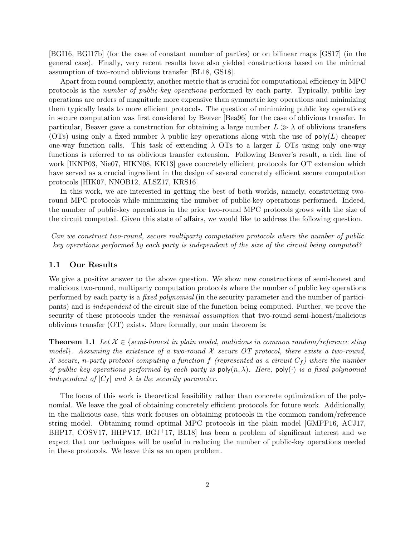[BGI16, BGI17b] (for the case of constant number of parties) or on bilinear maps [GS17] (in the general case). Finally, very recent results have also yielded constructions based on the minimal assumption of two-round oblivious transfer [BL18, GS18].

Apart from round complexity, another metric that is crucial for computational efficiency in MPC protocols is the number of public-key operations performed by each party. Typically, public key operations are orders of magnitude more expensive than symmetric key operations and minimizing them typically leads to more efficient protocols. The question of minimizing public key operations in secure computation was first considered by Beaver [Bea96] for the case of oblivious transfer. In particular, Beaver gave a construction for obtaining a large number  $L \gg \lambda$  of oblivious transfers (OTs) using only a fixed number  $\lambda$  public key operations along with the use of poly(L) cheaper one-way function calls. This task of extending  $\lambda$  OTs to a larger L OTs using only one-way functions is referred to as oblivious transfer extension. Following Beaver's result, a rich line of work [IKNP03, Nie07, HIKN08, KK13] gave concretely efficient protocols for OT extension which have served as a crucial ingredient in the design of several concretely efficient secure computation protocols [HIK07, NNOB12, ALSZ17, KRS16].

In this work, we are interested in getting the best of both worlds, namely, constructing tworound MPC protocols while minimizing the number of public-key operations performed. Indeed, the number of public-key operations in the prior two-round MPC protocols grows with the size of the circuit computed. Given this state of affairs, we would like to address the following question.

Can we construct two-round, secure multiparty computation protocols where the number of public key operations performed by each party is independent of the size of the circuit being computed?

#### 1.1 Our Results

We give a positive answer to the above question. We show new constructions of semi-honest and malicious two-round, multiparty computation protocols where the number of public key operations performed by each party is a fixed polynomial (in the security parameter and the number of participants) and is independent of the circuit size of the function being computed. Further, we prove the security of these protocols under the *minimal assumption* that two-round semi-honest/malicious oblivious transfer (OT) exists. More formally, our main theorem is:

**Theorem 1.1** Let  $\mathcal{X} \in \{semi\text{-}honest\ in\ plain\ model,\ malicious\ in\ common\ random/reference\ string\}$ model. Assuming the existence of a two-round X secure OT protocol, there exists a two-round, X secure, n-party protocol computing a function f (represented as a circuit  $C_f$ ) where the number of public key operations performed by each party is  $\mathsf{poly}(n, \lambda)$ . Here,  $\mathsf{poly}(\cdot)$  is a fixed polynomial independent of  $|C_f|$  and  $\lambda$  is the security parameter.

The focus of this work is theoretical feasibility rather than concrete optimization of the polynomial. We leave the goal of obtaining concretely efficient protocols for future work. Additionally, in the malicious case, this work focuses on obtaining protocols in the common random/reference string model. Obtaining round optimal MPC protocols in the plain model [GMPP16, ACJ17, BHP17, COSV17, HHPV17, BGJ<sup>+</sup>17, BL18] has been a problem of significant interest and we expect that our techniques will be useful in reducing the number of public-key operations needed in these protocols. We leave this as an open problem.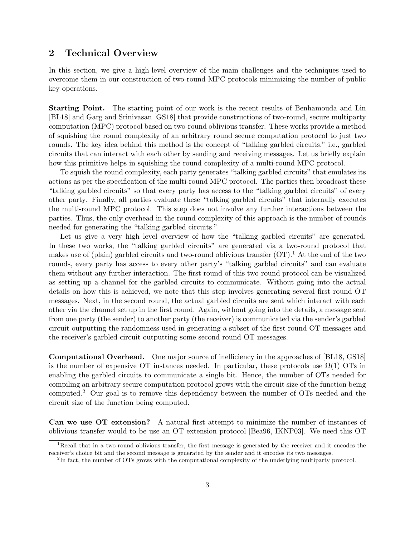## 2 Technical Overview

In this section, we give a high-level overview of the main challenges and the techniques used to overcome them in our construction of two-round MPC protocols minimizing the number of public key operations.

Starting Point. The starting point of our work is the recent results of Benhamouda and Lin [BL18] and Garg and Srinivasan [GS18] that provide constructions of two-round, secure multiparty computation (MPC) protocol based on two-round oblivious transfer. These works provide a method of squishing the round complexity of an arbitrary round secure computation protocol to just two rounds. The key idea behind this method is the concept of "talking garbled circuits," i.e., garbled circuits that can interact with each other by sending and receiving messages. Let us briefly explain how this primitive helps in squishing the round complexity of a multi-round MPC protocol.

To squish the round complexity, each party generates "talking garbled circuits" that emulates its actions as per the specification of the multi-round MPC protocol. The parties then broadcast these "talking garbled circuits" so that every party has access to the "talking garbled circuits" of every other party. Finally, all parties evaluate these "talking garbled circuits" that internally executes the multi-round MPC protocol. This step does not involve any further interactions between the parties. Thus, the only overhead in the round complexity of this approach is the number of rounds needed for generating the "talking garbled circuits."

Let us give a very high level overview of how the "talking garbled circuits" are generated. In these two works, the "talking garbled circuits" are generated via a two-round protocol that makes use of (plain) garbled circuits and two-round oblivious transfer  $(OT)^{1}$ . At the end of the two rounds, every party has access to every other party's "talking garbled circuits" and can evaluate them without any further interaction. The first round of this two-round protocol can be visualized as setting up a channel for the garbled circuits to communicate. Without going into the actual details on how this is achieved, we note that this step involves generating several first round OT messages. Next, in the second round, the actual garbled circuits are sent which interact with each other via the channel set up in the first round. Again, without going into the details, a message sent from one party (the sender) to another party (the receiver) is communicated via the sender's garbled circuit outputting the randomness used in generating a subset of the first round OT messages and the receiver's garbled circuit outputting some second round OT messages.

Computational Overhead. One major source of inefficiency in the approaches of [BL18, GS18] is the number of expensive OT instances needed. In particular, these protocols use  $\Omega(1)$  OTs in enabling the garbled circuits to communicate a single bit. Hence, the number of OTs needed for compiling an arbitrary secure computation protocol grows with the circuit size of the function being computed.<sup>2</sup> Our goal is to remove this dependency between the number of OTs needed and the circuit size of the function being computed.

Can we use OT extension? A natural first attempt to minimize the number of instances of oblivious transfer would to be use an OT extension protocol [Bea96, IKNP03]. We need this OT

<sup>&</sup>lt;sup>1</sup>Recall that in a two-round oblivious transfer, the first message is generated by the receiver and it encodes the receiver's choice bit and the second message is generated by the sender and it encodes its two messages.

<sup>&</sup>lt;sup>2</sup>In fact, the number of OTs grows with the computational complexity of the underlying multiparty protocol.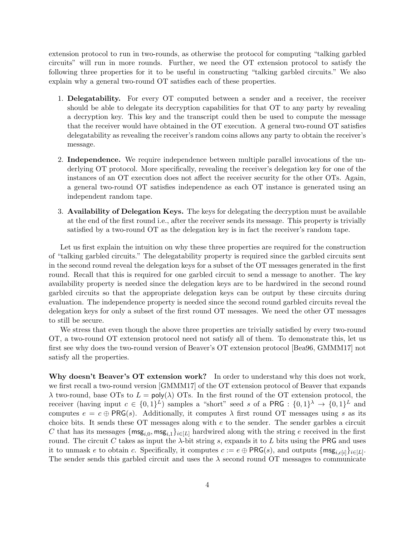extension protocol to run in two-rounds, as otherwise the protocol for computing "talking garbled circuits" will run in more rounds. Further, we need the OT extension protocol to satisfy the following three properties for it to be useful in constructing "talking garbled circuits." We also explain why a general two-round OT satisfies each of these properties.

- 1. Delegatability. For every OT computed between a sender and a receiver, the receiver should be able to delegate its decryption capabilities for that OT to any party by revealing a decryption key. This key and the transcript could then be used to compute the message that the receiver would have obtained in the OT execution. A general two-round OT satisfies delegatability as revealing the receiver's random coins allows any party to obtain the receiver's message.
- 2. Independence. We require independence between multiple parallel invocations of the underlying OT protocol. More specifically, revealing the receiver's delegation key for one of the instances of an OT execution does not affect the receiver security for the other OTs. Again, a general two-round OT satisfies independence as each OT instance is generated using an independent random tape.
- 3. Availability of Delegation Keys. The keys for delegating the decryption must be available at the end of the first round i.e., after the receiver sends its message. This property is trivially satisfied by a two-round OT as the delegation key is in fact the receiver's random tape.

Let us first explain the intuition on why these three properties are required for the construction of "talking garbled circuits." The delegatability property is required since the garbled circuits sent in the second round reveal the delegation keys for a subset of the OT messages generated in the first round. Recall that this is required for one garbled circuit to send a message to another. The key availability property is needed since the delegation keys are to be hardwired in the second round garbled circuits so that the appropriate delegation keys can be output by these circuits during evaluation. The independence property is needed since the second round garbled circuits reveal the delegation keys for only a subset of the first round OT messages. We need the other OT messages to still be secure.

We stress that even though the above three properties are trivially satisfied by every two-round OT, a two-round OT extension protocol need not satisfy all of them. To demonstrate this, let us first see why does the two-round version of Beaver's OT extension protocol [Bea96, GMMM17] not satisfy all the properties.

Why doesn't Beaver's OT extension work? In order to understand why this does not work, we first recall a two-round version [GMMM17] of the OT extension protocol of Beaver that expands  $\lambda$  two-round, base OTs to  $L = poly(\lambda)$  OTs. In the first round of the OT extension protocol, the receiver (having input  $c \in \{0,1\}^L$ ) samples a "short" seed s of a PRG :  $\{0,1\}^{\lambda} \to \{0,1\}^L$  and computes  $e = c \oplus PRG(s)$ . Additionally, it computes  $\lambda$  first round OT messages using s as its choice bits. It sends these  $\overline{OT}$  messages along with  $e$  to the sender. The sender garbles a circuit C that has its messages  $\{\textsf{msg}_{i,0},\textsf{msg}_{i,1}\}_{i\in[L]}$  hardwired along with the string e received in the first round. The circuit C takes as input the  $\lambda$ -bit string s, expands it to L bits using the PRG and uses it to unmask e to obtain c. Specifically, it computes  $c := e \oplus \text{PRG}(s)$ , and outputs  $\{\text{msg}_{i,c[i]}\}_{i \in [L]}$ . The sender sends this garbled circuit and uses the  $\lambda$  second round OT messages to communicate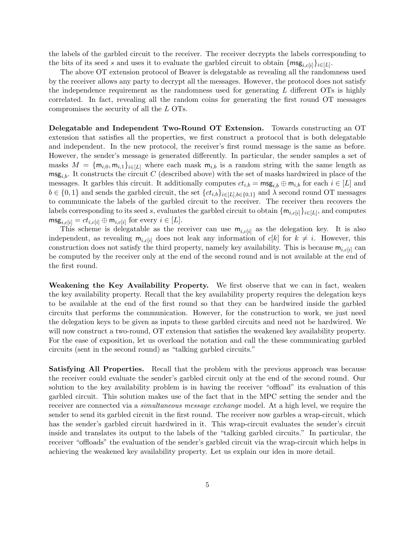the labels of the garbled circuit to the receiver. The receiver decrypts the labels corresponding to the bits of its seed s and uses it to evaluate the garbled circuit to obtain  $\{\textsf{msg}_{i,c[i]}\}_{i\in[L]}$ .

The above OT extension protocol of Beaver is delegatable as revealing all the randomness used by the receiver allows any party to decrypt all the messages. However, the protocol does not satisfy the independence requirement as the randomness used for generating  $L$  different OTs is highly correlated. In fact, revealing all the random coins for generating the first round OT messages compromises the security of all the L OTs.

Delegatable and Independent Two-Round OT Extension. Towards constructing an OT extension that satisfies all the properties, we first construct a protocol that is both delegatable and independent. In the new protocol, the receiver's first round message is the same as before. However, the sender's message is generated differently. In particular, the sender samples a set of masks  $M = \{m_{i,0}, m_{i,1}\}_{i\in[L]}$  where each mask  $m_{i,b}$  is a random string with the same length as  $msg_{i,b}$ . It constructs the circuit C (described above) with the set of masks hardwired in place of the messages. It garbles this circuit. It additionally computes  $ct_{i,b} = \mathsf{msg}_{i,b} \oplus \mathsf{m}_{i,b}$  for each  $i \in [L]$  and  $b \in \{0,1\}$  and sends the garbled circuit, the set  $\{ct_{i,b}\}_{i\in[L],b\in\{0,1\}}$  and  $\lambda$  second round OT messages to communicate the labels of the garbled circuit to the receiver. The receiver then recovers the labels corresponding to its seed s, evaluates the garbled circuit to obtain  $\{\mathsf{m}_{i,c[i]}\}_{i\in[L]}$ , and computes  $\mathsf{msg}_{i,c[i]} = ct_{i,c[i]} \oplus \mathsf{m}_{i,c[i]}$  for every  $i \in [L]$ .

This scheme is delegatable as the receiver can use  $m_{i,c[i]}$  as the delegation key. It is also independent, as revealing  $m_{i,c[i]}$  does not leak any information of  $c[k]$  for  $k \neq i$ . However, this construction does not satisfy the third property, namely key availability. This is because  $m_{i,c[i]}$  can be computed by the receiver only at the end of the second round and is not available at the end of the first round.

Weakening the Key Availability Property. We first observe that we can in fact, weaken the key availability property. Recall that the key availability property requires the delegation keys to be available at the end of the first round so that they can be hardwired inside the garbled circuits that performs the communication. However, for the construction to work, we just need the delegation keys to be given as inputs to these garbled circuits and need not be hardwired. We will now construct a two-round, OT extension that satisfies the weakened key availability property. For the ease of exposition, let us overload the notation and call the these communicating garbled circuits (sent in the second round) as "talking garbled circuits."

Satisfying All Properties. Recall that the problem with the previous approach was because the receiver could evaluate the sender's garbled circuit only at the end of the second round. Our solution to the key availability problem is in having the receiver "offload" its evaluation of this garbled circuit. This solution makes use of the fact that in the MPC setting the sender and the receiver are connected via a *simultaneous message exchange* model. At a high level, we require the sender to send its garbled circuit in the first round. The receiver now garbles a wrap-circuit, which has the sender's garbled circuit hardwired in it. This wrap-circuit evaluates the sender's circuit inside and translates its output to the labels of the "talking garbled circuits." In particular, the receiver "offloads" the evaluation of the sender's garbled circuit via the wrap-circuit which helps in achieving the weakened key availability property. Let us explain our idea in more detail.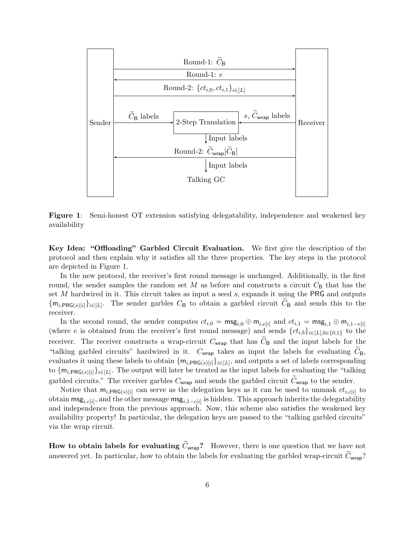

Figure 1: Semi-honest OT extension satisfying delegatability, independence and weakened key availability

Key Idea: "Offloading" Garbled Circuit Evaluation. We first give the description of the protocol and then explain why it satisfies all the three properties. The key steps in the protocol are depicted in Figure 1.

In the new protocol, the receiver's first round message is unchanged. Additionally, in the first round, the sender samples the random set  $M$  as before and constructs a circuit  $C_{\rm B}$  that has the set  $M$  hardwired in it. This circuit takes as input a seed  $s$ , expands it using the PRG and outputs  ${m_{i,PRG(s)[i]}}_{i\in[L]}$ . The sender garbles  $C_B$  to obtain a garbled circuit  $C_B$  and sends this to the receiver.

In the second round, the sender computes  $ct_{i,0} = \text{msg}_{i,0} \oplus \text{m}_{i,e[i]}$  and  $ct_{i,1} = \text{msg}_{i,1} \oplus \text{m}_{i,1-e[i]}$ (where e is obtained from the receiver's first round message) and sends  $\{ct_{i,b}\}_{i\in[L],b\in\{0,1\}}$  to the receiver. The receiver constructs a wrap-circuit  $C_{\text{wrap}}$  that has  $\tilde{C}_{\text{B}}$  and the input labels for the "talking garbled circuits" hardwired in it.  $C_{\text{wrap}}$  takes as input the labels for evaluating  $\tilde{C}_{\text{B}}$ , evaluates it using these labels to obtain  $\{\mathsf{m}_{i,PRG(s)[i]}\}_{i\in[L]}$ , and outputs a set of labels corresponding to  $\{\mathsf{m}_{i,\textsf{PRG}(s)[i]}\}_{i\in[L]}$ . The output will later be treated as the input labels for evaluating the "talking" garbled circuits." The receiver garbles  $C_{\text{wrap}}$  and sends the garbled circuit  $C_{\text{wrap}}$  to the sender.

Notice that  $m_{i,PRG(s)[i]}$  can serve as the delegation keys as it can be used to unmask  $ct_{i,c[i]}$  to obtain  $\textsf{msg}_{i,c[i]}$ , and the other message  $\textsf{msg}_{i,1-c[i]}$  is hidden. This approach inherits the delegatability and independence from the previous approach. Now, this scheme also satisfies the weakened key availability property! In particular, the delegation keys are passed to the "talking garbled circuits" via the wrap circuit.

How to obtain labels for evaluating  $\tilde{C}_{\text{wrap}}$ ? However, there is one question that we have not answered yet. In particular, how to obtain the labels for evaluating the garbled wrap-circuit  $C_{\text{wrap}}$ ?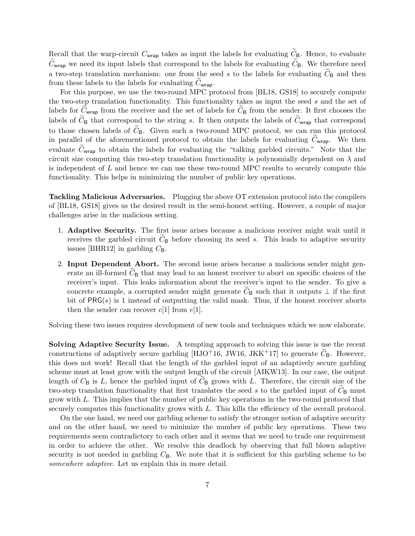Recall that the warp-circuit  $C_{\text{wrap}}$  takes as input the labels for evaluating  $\tilde{C}_{\text{B}}$ . Hence, to evaluate  $\tilde{C}_{\text{wrap}}$  we need its input labels that correspond to the labels for evaluating  $\tilde{C}_{\text{B}}$ . We therefore need a two-step translation mechanism: one from the seed s to the labels for evaluating  $C_{\rm B}$  and then from these labels to the labels for evaluating  $C_{\text{wran}}$ .

For this purpose, we use the two-round MPC protocol from [BL18, GS18] to securely compute the two-step translation functionality. This functionality takes as input the seed s and the set of labels for  $C_{\text{wrap}}$  from the receiver and the set of labels for  $C_{\text{B}}$  from the sender. It first chooses the labels of  $\tilde{C}_{\text{B}}$  that correspond to the string s. It then outputs the labels of  $\tilde{C}_{\text{wrap}}$  that correspond to those chosen labels of  $C_B$ . Given such a two-round MPC protocol, we can run this protocol in parallel of the aforementioned protocol to obtain the labels for evaluating  $C_{\text{wrap}}$ . We then evaluate  $\dot{C}_{\text{wrap}}$  to obtain the labels for evaluating the "talking garbled circuits." Note that the circuit size computing this two-step translation functionality is polynomially dependent on  $\lambda$  and is independent of L and hence we can use these two-round MPC results to securely compute this functionality. This helps in minimizing the number of public key operations.

Tackling Malicious Adversaries. Plugging the above OT extension protocol into the compilers of [BL18, GS18] gives us the desired result in the semi-honest setting. However, a couple of major challenges arise in the malicious setting.

- 1. Adaptive Security. The first issue arises because a malicious receiver might wait until it receives the garbled circuit  $C_{\rm B}$  before choosing its seed s. This leads to adaptive security issues [BHR12] in garbling  $C_{\text{B}}$ .
- 2. Input Dependent Abort. The second issue arises because a malicious sender might generate an ill-formed  $C_{\text{B}}$  that may lead to an honest receiver to abort on specific choices of the receiver's input. This leaks information about the receiver's input to the sender. To give a concrete example, a corrupted sender might generate  $C_{\rm B}$  such that it outputs  $\perp$  if the first bit of  $PRG(s)$  is 1 instead of outputting the valid mask. Thus, if the honest receiver aborts then the sender can recover  $c[1]$  from  $e[1]$ .

Solving these two issues requires development of new tools and techniques which we now elaborate.

Solving Adaptive Security Issue. A tempting approach to solving this issue is use the recent constructions of adaptively secure garbling [HJO<sup>+</sup>16, JW16, JKK<sup>+</sup>17] to generate  $\tilde{C}_{\text{B}}$ . However, this does not work! Recall that the length of the garbled input of an adaptively secure garbling scheme must at least grow with the output length of the circuit [AIKW13]. In our case, the output length of  $C_{\rm B}$  is L, hence the garbled input of  $C_{\rm B}$  grows with L. Therefore, the circuit size of the two-step translation functionality that first translates the seed s to the garbled input of  $\tilde{C}_{\text{B}}$  must grow with L. This implies that the number of public key operations in the two-round protocol that securely computes this functionality grows with L. This kills the efficiency of the overall protocol.

On the one hand, we need our garbling scheme to satisfy the stronger notion of adaptive security and on the other hand, we need to minimize the number of public key operations. These two requirements seem contradictory to each other and it seems that we need to trade one requirement in order to achieve the other. We resolve this deadlock by observing that full blown adaptive security is not needed in garbling  $C_B$ . We note that it is sufficient for this garbling scheme to be somewhere *adaptive*. Let us explain this in more detail.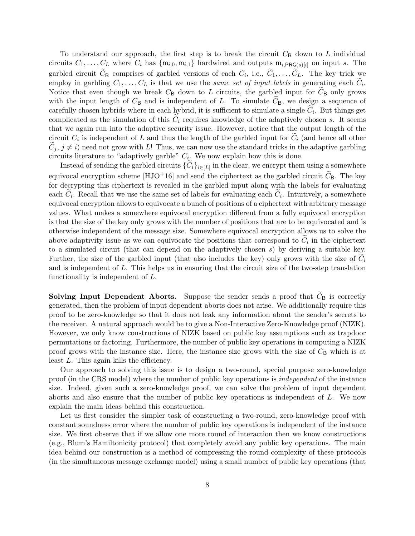To understand our approach, the first step is to break the circuit  $C_{\rm B}$  down to L individual circuits  $C_1, \ldots, C_L$  where  $C_i$  has  $\{m_{i,0}, m_{i,1}\}\$  hardwired and outputs  $m_{i,PRG(s)[i]}$  on input s. The garbled circuit  $C_B$  comprises of garbled versions of each  $C_i$ , i.e.,  $C_1, \ldots, C_L$ . The key trick we employ in garbling  $C_1, \ldots, C_L$  is that we use the *same set of input labels* in generating each  $C_i$ . Notice that even though we break  $C_B$  down to L circuits, the garbled input for  $C_B$  only grows with the input length of  $C_{\text{B}}$  and is independent of L. To simulate  $C_{\text{B}}$ , we design a sequence of carefully chosen hybrids where in each hybrid, it is sufficient to simulate a single  $C_i$ . But things get complicated as the simulation of this  $C_i$  requires knowledge of the adaptively chosen s. It seems that we again run into the adaptive security issue. However, notice that the output length of the circuit  $C_i$  is independent of L and thus the length of the garbled input for  $C_i$  (and hence all other  $C_j$ ,  $j \neq i$ ) need not grow with L! Thus, we can now use the standard tricks in the adaptive garbling circuits literature to "adaptively garble"  $C_i$ . We now explain how this is done.

Instead of sending the garbled circuits  $\{C_i\}_{i\in[L]}$  in the clear, we encrypt them using a somewhere equivocal encryption scheme [HJO+16] and send the ciphertext as the garbled circuit  $\tilde{C}_{\text{B}}$ . The key for decrypting this ciphertext is revealed in the garbled input along with the labels for evaluating each  $C_i$ . Recall that we use the same set of labels for evaluating each  $C_i$ . Intuitively, a somewhere equivocal encryption allows to equivocate a bunch of positions of a ciphertext with arbitrary message values. What makes a somewhere equivocal encryption different from a fully equivocal encryption is that the size of the key only grows with the number of positions that are to be equivocated and is otherwise independent of the message size. Somewhere equivocal encryption allows us to solve the above adaptivity issue as we can equivocate the positions that correspond to  $C_i$  in the ciphertext to a simulated circuit (that can depend on the adaptively chosen s) by deriving a suitable key. Further, the size of the garbled input (that also includes the key) only grows with the size of  $C_i$ and is independent of L. This helps us in ensuring that the circuit size of the two-step translation functionality is independent of L.

Solving Input Dependent Aborts. Suppose the sender sends a proof that  $\widetilde{C}_{\mathsf{B}}$  is correctly generated, then the problem of input dependent aborts does not arise. We additionally require this proof to be zero-knowledge so that it does not leak any information about the sender's secrets to the receiver. A natural approach would be to give a Non-Interactive Zero-Knowledge proof (NIZK). However, we only know constructions of NIZK based on public key assumptions such as trapdoor permutations or factoring. Furthermore, the number of public key operations in computing a NIZK proof grows with the instance size. Here, the instance size grows with the size of  $C_{\text{B}}$  which is at least L. This again kills the efficiency.

Our approach to solving this issue is to design a two-round, special purpose zero-knowledge proof (in the CRS model) where the number of public key operations is independent of the instance size. Indeed, given such a zero-knowledge proof, we can solve the problem of input dependent aborts and also ensure that the number of public key operations is independent of L. We now explain the main ideas behind this construction.

Let us first consider the simpler task of constructing a two-round, zero-knowledge proof with constant soundness error where the number of public key operations is independent of the instance size. We first observe that if we allow one more round of interaction then we know constructions (e.g., Blum's Hamiltonicity protocol) that completely avoid any public key operations. The main idea behind our construction is a method of compressing the round complexity of these protocols (in the simultaneous message exchange model) using a small number of public key operations (that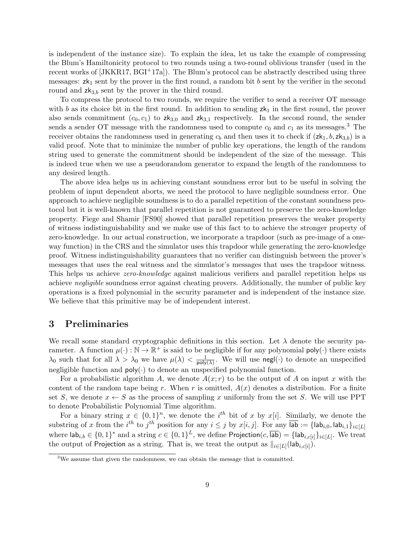is independent of the instance size). To explain the idea, let us take the example of compressing the Blum's Hamiltonicity protocol to two rounds using a two-round oblivious transfer (used in the recent works of  $[JKKR17, BGI<sup>+</sup>17a]$ . The Blum's protocol can be abstractly described using three messages:  $zk_1$  sent by the prover in the first round, a random bit  $b$  sent by the verifier in the second round and  $zk_{3,b}$  sent by the prover in the third round.

To compress the protocol to two rounds, we require the verifier to send a receiver OT message with b as its choice bit in the first round. In addition to sending  $z_{1}$  in the first round, the prover also sends commitment  $(c_0, c_1)$  to  $zk_{3,0}$  and  $zk_{3,1}$  respectively. In the second round, the sender sends a sender OT message with the randomness used to compute  $c_0$  and  $c_1$  as its messages.<sup>3</sup> The receiver obtains the randomness used in generating  $c_b$  and then uses it to check if  $(\mathsf{zk}_1, b, \mathsf{zk}_{3,b})$  is a valid proof. Note that to minimize the number of public key operations, the length of the random string used to generate the commitment should be independent of the size of the message. This is indeed true when we use a pseudorandom generator to expand the length of the randomness to any desired length.

The above idea helps us in achieving constant soundness error but to be useful in solving the problem of input dependent aborts, we need the protocol to have negligible soundness error. One approach to achieve negligible soundness is to do a parallel repetition of the constant soundness protocol but it is well-known that parallel repetition is not guaranteed to preserve the zero-knowledge property. Fiege and Shamir [FS90] showed that parallel repetition preserves the weaker property of witness indistinguishability and we make use of this fact to to achieve the stronger property of zero-knowledge. In our actual construction, we incorporate a trapdoor (such as pre-image of a oneway function) in the CRS and the simulator uses this trapdoor while generating the zero-knowledge proof. Witness indistinguishability guarantees that no verifier can distinguish between the prover's messages that uses the real witness and the simulator's messages that uses the trapdoor witness. This helps us achieve zero-knowledge against malicious verifiers and parallel repetition helps us achieve negligible soundness error against cheating provers. Additionally, the number of public key operations is a fixed polynomial in the security parameter and is independent of the instance size. We believe that this primitive may be of independent interest.

### 3 Preliminaries

We recall some standard cryptographic definitions in this section. Let  $\lambda$  denote the security parameter. A function  $\mu(\cdot): \mathbb{N} \to \mathbb{R}^+$  is said to be negligible if for any polynomial poly $(\cdot)$  there exists  $\lambda_0$  such that for all  $\lambda > \lambda_0$  we have  $\mu(\lambda) < \frac{1}{\text{poly}}$  $\frac{1}{\text{poly}(\lambda)}$ . We will use negl(.) to denote an unspecified negligible function and  $\mathsf{poly}(\cdot)$  to denote an unspecified polynomial function.

For a probabilistic algorithm A, we denote  $A(x; r)$  to be the output of A on input x with the content of the random tape being r. When r is omitted,  $A(x)$  denotes a distribution. For a finite set S, we denote  $x \leftarrow S$  as the process of sampling x uniformly from the set S. We will use PPT to denote Probabilistic Polynomial Time algorithm.

For a binary string  $x \in \{0,1\}^n$ , we denote the  $i^{th}$  bit of x by  $x[i]$ . Similarly, we denote the substring of x from the  $i^{th}$  to  $j^{th}$  position for any  $i \leq j$  by  $x[i, j]$ . For any  $\overline{\mathsf{lab}} := \{\mathsf{lab}_{i,0}, \mathsf{lab}_{i,1}\}_{i \in [L]}$ where  $\mathsf{lab}_{i,b} \in \{0,1\}^*$  and a string  $c \in \{0,1\}^L$ , we define  $\mathsf{Projection}(c, \overline{\mathsf{lab}}) = \{\mathsf{lab}_{i,c[i]}\}_{i \in [L]}$ . We treat the output of Projection as a string. That is, we treat the output as  $||_{i \in [L]} (|\mathsf{a} \mathsf{b}_{i,c[i]}).$ 

<sup>3</sup>We assume that given the randomness, we can obtain the message that is committed.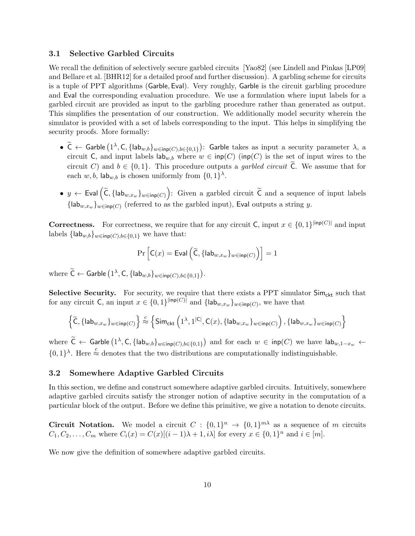#### 3.1 Selective Garbled Circuits

We recall the definition of selectively secure garbled circuits [Yao82] (see Lindell and Pinkas [LP09] and Bellare et al. [BHR12] for a detailed proof and further discussion). A garbling scheme for circuits is a tuple of PPT algorithms (Garble, Eval). Very roughly, Garble is the circuit garbling procedure and Eval the corresponding evaluation procedure. We use a formulation where input labels for a garbled circuit are provided as input to the garbling procedure rather than generated as output. This simplifies the presentation of our construction. We additionally model security wherein the simulator is provided with a set of labels corresponding to the input. This helps in simplifying the security proofs. More formally:

- $\widetilde{C}$  ← Garble  $(1^{\lambda}, C, \{\mathsf{lab}_{w,b}\}_{w \in \mathsf{inp}(C), b \in \{0,1\}})$ : Garble takes as input a security parameter  $\lambda$ , a circuit C, and input labels  $\mathsf{lab}_{w,b}$  where  $w \in \mathsf{inp}(C)$  (inp(C) is the set of input wires to the circuit C) and  $b \in \{0,1\}$ . This procedure outputs a *garbled circuit* C. We assume that for each  $w, b$ , lab $_{w,b}$  is chosen uniformly from  $\{0, 1\}^{\lambda}$ .
- $y \leftarrow \textsf{Eval}\left(\widetilde{\textsf{C}}, \{\textsf{lab}_{w,x_w}\}_{w \in \textsf{inp}(C)}\right)$ : Given a garbled circuit  $\widetilde{\textsf{C}}$  and a sequence of input labels  ${\{\mathsf{lab}_{w,x_w}\}}_{w\in\mathsf{inp}(C)}$  (referred to as the garbled input), Eval outputs a string y.

**Correctness.** For correctness, we require that for any circuit C, input  $x \in \{0,1\}^{|\text{inp}(C)|}$  and input labels  $\{\mathsf{lab}_w, b\}_{w \in \mathsf{inp}(C), b \in \{0,1\}}$  we have that:

$$
\Pr\Big[\mathrm{C}\big(x)=\mathrm{Eval}\left(\widetilde{\mathrm{C}}, \{\mathsf{lab}_{w,x_w}\}_{w\in\mathrm{inp}(C)}\right)\Big]=1
$$

where  $\widetilde{\mathsf{C}} \leftarrow \mathsf{Garble}\left(1^\lambda, \mathsf{C}, \{\mathsf{lab}_{w,b}\}_{w\in \mathsf{inp}(C), b\in \{0,1\}}\right)$ .

Selective Security. For security, we require that there exists a PPT simulator  $Sim_{\text{ckt}}$  such that for any circuit C, an input  $x \in \{0,1\}^{|\text{inp}(C)|}$  and  $\{\text{lab}_{w,x_w}\}_{w \in \text{inp}(C)}$ , we have that

$$
\left\{\widetilde{\mathsf{C}}, \{\mathsf{lab}_{w,x_w}\}_{w\in \mathsf{inp}(C)}\right\} \stackrel{c}{\approx} \left\{ \mathsf{Sim}_\mathsf{ckt}\left(1^\lambda,1^{|\mathsf{C}|},\mathsf{C}(x), \{\mathsf{lab}_{w,x_w}\}_{w\in \mathsf{inp}(C)}\right), \{\mathsf{lab}_{w,x_w}\}_{w\in \mathsf{inp}(C)} \right\}
$$

where  $\widetilde{C} \leftarrow$  Garble  $(1^{\lambda}, C, \{\mathsf{lab}_{w,b}\}_{w \in \mathsf{inp}(C), b \in \{0,1\}})$  and for each  $w \in \mathsf{inp}(C)$  we have  $\mathsf{lab}_{w,1-x_w} \leftarrow$  $\{0,1\}^{\lambda}$ . Here  $\stackrel{c}{\approx}$  denotes that the two distributions are computationally indistinguishable.

#### 3.2 Somewhere Adaptive Garbled Circuits

In this section, we define and construct somewhere adaptive garbled circuits. Intuitively, somewhere adaptive garbled circuits satisfy the stronger notion of adaptive security in the computation of a particular block of the output. Before we define this primitive, we give a notation to denote circuits.

**Circuit Notation.** We model a circuit  $C : \{0,1\}^n \to \{0,1\}^{m\lambda}$  as a sequence of m circuits  $C_1, C_2, \ldots, C_m$  where  $C_i(x) = C(x)[(i-1)\lambda + 1, i\lambda]$  for every  $x \in \{0, 1\}^n$  and  $i \in [m]$ .

We now give the definition of somewhere adaptive garbled circuits.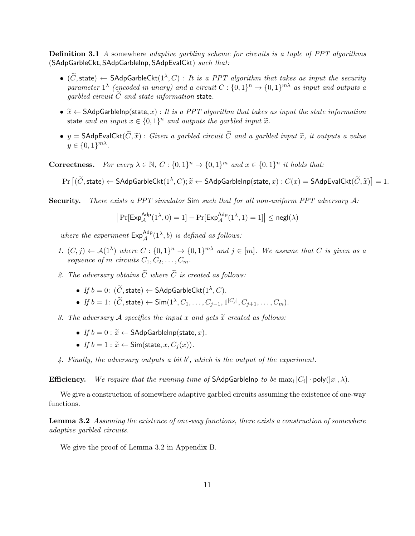**Definition 3.1** A somewhere adaptive garbling scheme for circuits is a tuple of PPT algorithms (SAdpGarbleCkt, SAdpGarbleInp, SAdpEvalCkt) such that:

- $(\widetilde{C}, \text{state}) \leftarrow \text{SAdpGarbleCkt}(1^{\lambda}, C)$ : It is a PPT algorithm that takes as input the security parameter  $1^{\lambda}$  (encoded in unary) and a circuit  $C: \{0,1\}^n \to \{0,1\}^{m\lambda}$  as input and outputs a qarbled circuit  $\tilde{C}$  and state information state.
- $\tilde{x} \leftarrow$  SAdpGarbleInp(state, x) : It is a PPT algorithm that takes as input the state information state and an input  $x \in \{0,1\}^n$  and outputs the garbled input  $\widetilde{x}$ .
- y = SAdpEvalCkt $(\widetilde{C}, \widetilde{x})$ : Given a garbled circuit  $\widetilde{C}$  and a garbled input  $\widetilde{x}$ , it outputs a value  $y \in \{0,1\}^{m\lambda}.$

**Correctness.** For every  $\lambda \in \mathbb{N}$ ,  $C: \{0,1\}^n \to \{0,1\}^m$  and  $x \in \{0,1\}^n$  it holds that:

 $\Pr\left[(\widetilde{C}, \textsf{state}) \leftarrow \textsf{SAdpGarbleCkt}(1^\lambda, C); \widetilde{x} \leftarrow \textsf{SAdpGarbleInp}(\textsf{state}, x): C(x) = \textsf{SAdpEvalCkt}(\widetilde{C}, \widetilde{x})\right] = 1.$ 

Security. There exists a PPT simulator Sim such that for all non-uniform PPT adversary A:

$$
\left| \Pr[\mathsf{Exp}_{\mathcal{A}}^{\mathsf{Adp}}(1^{\lambda},0) = 1] - \Pr[\mathsf{Exp}_{\mathcal{A}}^{\mathsf{Adp}}(1^{\lambda},1) = 1] \right| \le \mathsf{negl}(\lambda)
$$

where the experiment  $\mathsf{Exp}_{\mathcal{A}}^{\mathsf{Adp}}(1^{\lambda},b)$  is defined as follows:

- 1.  $(C, j) \leftarrow A(1^{\lambda})$  where  $C : \{0, 1\}^n \rightarrow \{0, 1\}^{m\lambda}$  and  $j \in [m]$ . We assume that C is given as a sequence of m circuits  $C_1, C_2, \ldots, C_m$ .
- 2. The adversary obtains  $\widetilde{C}$  where  $\widetilde{C}$  is created as follows:
	- If  $b = 0$ :  $(\widetilde{C}, \text{state}) \leftarrow \textsf{SAdpGarbleCkt}(1^\lambda, C)$ .
	- If  $b = 1$ :  $(\widetilde{C}, \text{state}) \leftarrow \text{Sim}(1^{\lambda}, C_1, \dots, C_{j-1}, 1^{|C_j|}, C_{j+1}, \dots, C_m)$ .
- 3. The adversary A specifies the input x and gets  $\tilde{x}$  created as follows:
	- If  $b = 0 : \tilde{x} \leftarrow$  SAdpGarbleInp(state, x).
	- If  $b = 1 : \tilde{x} \leftarrow \textsf{Sim}(\textsf{state}, x, C_i(x)).$
- $4.$  Finally, the adversary outputs a bit  $b'$ , which is the output of the experiment.

**Efficiency.** We require that the running time of SAdpGarblelnp to be  $\max_i |C_i| \cdot \text{poly}(|x|, \lambda)$ .

We give a construction of somewhere adaptive garbled circuits assuming the existence of one-way functions.

Lemma 3.2 Assuming the existence of one-way functions, there exists a construction of somewhere adaptive garbled circuits.

We give the proof of Lemma 3.2 in Appendix B.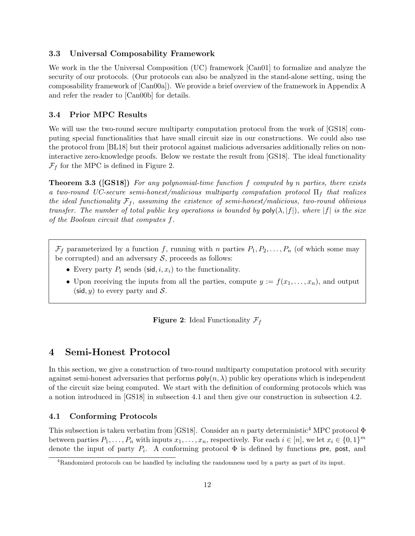#### 3.3 Universal Composability Framework

We work in the the Universal Composition (UC) framework [Can01] to formalize and analyze the security of our protocols. (Our protocols can also be analyzed in the stand-alone setting, using the composability framework of [Can00a]). We provide a brief overview of the framework in Appendix A and refer the reader to [Can00b] for details.

#### 3.4 Prior MPC Results

We will use the two-round secure multiparty computation protocol from the work of  $[GS18]$  computing special functionalities that have small circuit size in our constructions. We could also use the protocol from [BL18] but their protocol against malicious adversaries additionally relies on noninteractive zero-knowledge proofs. Below we restate the result from [GS18]. The ideal functionality  $\mathcal{F}_f$  for the MPC is defined in Figure 2.

Theorem 3.3 ([GS18]) For any polynomial-time function f computed by n parties, there exists a two-round UC-secure semi-honest/malicious multiparty computation protocol  $\Pi_f$  that realizes the ideal functionality  $\mathcal{F}_f$ , assuming the existence of semi-honest/malicious, two-round oblivious transfer. The number of total public key operations is bounded by  $poly(\lambda, |f|)$ , where  $|f|$  is the size of the Boolean circuit that computes f.

 $\mathcal{F}_f$  parameterized by a function f, running with n parties  $P_1, P_2, \ldots, P_n$  (of which some may be corrupted) and an adversary  $S$ , proceeds as follows:

- Every party  $P_i$  sends (sid,  $i, x_i$ ) to the functionality.
- Upon receiving the inputs from all the parties, compute  $y := f(x_1, \ldots, x_n)$ , and output (sid, y) to every party and  $S$ .

**Figure 2:** Ideal Functionality  $\mathcal{F}_f$ 

### 4 Semi-Honest Protocol

In this section, we give a construction of two-round multiparty computation protocol with security against semi-honest adversaries that performs  $\text{poly}(n, \lambda)$  public key operations which is independent of the circuit size being computed. We start with the definition of conforming protocols which was a notion introduced in [GS18] in subsection 4.1 and then give our construction in subsection 4.2.

#### 4.1 Conforming Protocols

This subsection is taken verbatim from [GS18]. Consider an n party deterministic<sup>4</sup> MPC protocol  $\Phi$ between parties  $P_1, \ldots, P_n$  with inputs  $x_1, \ldots, x_n$ , respectively. For each  $i \in [n]$ , we let  $x_i \in \{0, 1\}^m$ denote the input of party  $P_i$ . A conforming protocol  $\Phi$  is defined by functions pre, post, and

<sup>4</sup>Randomized protocols can be handled by including the randomness used by a party as part of its input.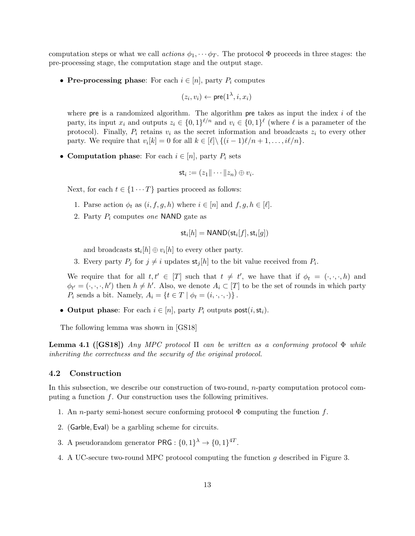computation steps or what we call *actions*  $\phi_1, \dots, \phi_T$ . The protocol  $\Phi$  proceeds in three stages: the pre-processing stage, the computation stage and the output stage.

• Pre-processing phase: For each  $i \in [n]$ , party  $P_i$  computes

$$
(z_i, v_i) \leftarrow \mathsf{pre}(1^\lambda, i, x_i)
$$

where pre is a randomized algorithm. The algorithm pre takes as input the index  $i$  of the party, its input  $x_i$  and outputs  $z_i \in \{0,1\}^{\ell/n}$  and  $v_i \in \{0,1\}^{\ell}$  (where  $\ell$  is a parameter of the protocol). Finally,  $P_i$  retains  $v_i$  as the secret information and broadcasts  $z_i$  to every other party. We require that  $v_i[k] = 0$  for all  $k \in [\ell] \setminus \{(i-1)\ell/n + 1, \ldots, i\ell/n\}.$ 

• Computation phase: For each  $i \in [n]$ , party  $P_i$  sets

$$
\mathsf{st}_i := (z_1 \| \cdots \| z_n) \oplus v_i.
$$

Next, for each  $t \in \{1 \cdots T\}$  parties proceed as follows:

- 1. Parse action  $\phi_t$  as  $(i, f, g, h)$  where  $i \in [n]$  and  $f, g, h \in [\ell]$ .
- 2. Party  $P_i$  computes one NAND gate as

$$
\mathsf{st}_i[h] = \mathsf{NAND}(\mathsf{st}_i[f], \mathsf{st}_i[g])
$$

and broadcasts  $\mathsf{st}_i[h] \oplus v_i[h]$  to every other party.

3. Every party  $P_j$  for  $j \neq i$  updates  $\mathsf{st}_j[h]$  to the bit value received from  $P_i$ .

We require that for all  $t, t' \in [T]$  such that  $t \neq t'$ , we have that if  $\phi_t = (\cdot, \cdot, \cdot, h)$  and  $\phi_{t'} = (\cdot, \cdot, \cdot, h')$  then  $h \neq h'$ . Also, we denote  $A_i \subset [T]$  to be the set of rounds in which party  $P_i$  sends a bit. Namely,  $A_i = \{t \in T \mid \phi_t = (i, \cdot, \cdot, \cdot)\}.$ 

• Output phase: For each  $i \in [n]$ , party  $P_i$  outputs post $(i, st_i)$ .

The following lemma was shown in [GS18]

**Lemma 4.1** ([GS18]) Any MPC protocol  $\Pi$  can be written as a conforming protocol  $\Phi$  while inheriting the correctness and the security of the original protocol.

#### 4.2 Construction

In this subsection, we describe our construction of two-round, n-party computation protocol computing a function  $f$ . Our construction uses the following primitives.

- 1. An *n*-party semi-honest secure conforming protocol  $\Phi$  computing the function f.
- 2. (Garble, Eval) be a garbling scheme for circuits.
- 3. A pseudorandom generator PRG :  $\{0,1\}^{\lambda} \rightarrow \{0,1\}^{4T}$ .
- 4. A UC-secure two-round MPC protocol computing the function g described in Figure 3.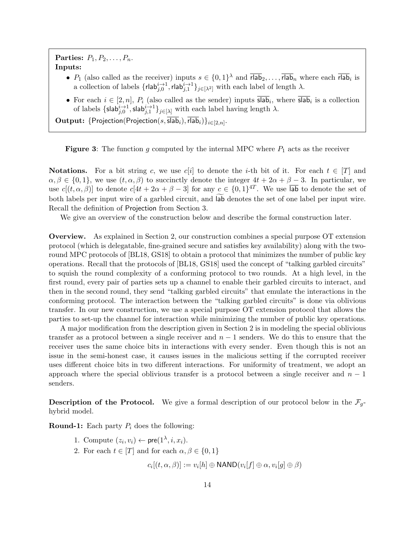Parties:  $P_1, P_2, \ldots, P_n$ . Inputs:

- $P_1$  (also called as the receiver) inputs  $s \in \{0,1\}^{\lambda}$  and  $\overline{r \vert ab_2}, \ldots, \overline{r \vert ab_n}$  where each  $\overline{r \vert ab_i}$  is a collection of labels  $\{\text{rlab}_{j,0}^{i\to 1}, \text{rlab}_{j,1}^{i\to 1}\}_{j\in[\lambda^2]}$  with each label of length  $\lambda$ .
- For each  $i \in [2, n]$ ,  $P_i$  (also called as the sender) inputs  $\mathsf{slab}_i$ , where  $\mathsf{slab}_i$  is a collection of labels  $\{\textsf{slab}_{j,0}^{i\to 1}, \textsf{slab}_{j,1}^{i\to 1}\}_{j\in[\lambda]}$  with each label having length  $\lambda$ .

 $\textbf{Output: } \{\textsf{Projection}(\textsf{Projection}(s,\textsf{slab}_i),\textsf{rlab}_i)\}_{i \in [2,n]}.$ 

**Figure 3:** The function g computed by the internal MPC where  $P_1$  acts as the receiver

**Notations.** For a bit string c, we use c[i] to denote the *i*-th bit of it. For each  $t \in [T]$  and  $\alpha, \beta \in \{0, 1\}$ , we use  $(t, \alpha, \beta)$  to succinctly denote the integer  $4t + 2\alpha + \beta - 3$ . In particular, we use  $c[(t, \alpha, \beta)]$  to denote  $c[4t + 2\alpha + \beta - 3]$  for any  $c \in \{0, 1\}^{4T}$ . We use  $\overline{lab}$  to denote the set of both labels per input wire of a garbled circuit, and lab denotes the set of one label per input wire. Recall the definition of Projection from Section 3.

We give an overview of the construction below and describe the formal construction later.

Overview. As explained in Section 2, our construction combines a special purpose OT extension protocol (which is delegatable, fine-grained secure and satisfies key availability) along with the tworound MPC protocols of [BL18, GS18] to obtain a protocol that minimizes the number of public key operations. Recall that the protocols of [BL18, GS18] used the concept of "talking garbled circuits" to squish the round complexity of a conforming protocol to two rounds. At a high level, in the first round, every pair of parties sets up a channel to enable their garbled circuits to interact, and then in the second round, they send "talking garbled circuits" that emulate the interactions in the conforming protocol. The interaction between the "talking garbled circuits" is done via oblivious transfer. In our new construction, we use a special purpose OT extension protocol that allows the parties to set-up the channel for interaction while minimizing the number of public key operations.

A major modification from the description given in Section 2 is in modeling the special oblivious transfer as a protocol between a single receiver and  $n-1$  senders. We do this to ensure that the receiver uses the same choice bits in interactions with every sender. Even though this is not an issue in the semi-honest case, it causes issues in the malicious setting if the corrupted receiver uses different choice bits in two different interactions. For uniformity of treatment, we adopt an approach where the special oblivious transfer is a protocol between a single receiver and  $n - 1$ senders.

**Description of the Protocol.** We give a formal description of our protocol below in the  $\mathcal{F}_q$ hybrid model.

**Round-1:** Each party  $P_i$  does the following:

- 1. Compute  $(z_i, v_i) \leftarrow \text{pre}(1^{\lambda}, i, x_i)$ .
- 2. For each  $t \in [T]$  and for each  $\alpha, \beta \in \{0, 1\}$

 $c_i[(t, \alpha, \beta)] := v_i[h] \oplus \mathsf{NAND}(v_i[f] \oplus \alpha, v_i[g] \oplus \beta)$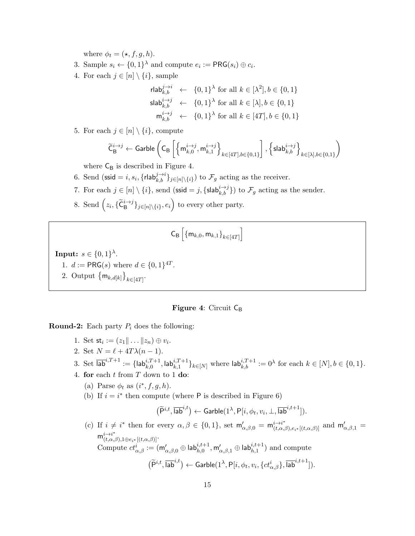where  $\phi_t = (\star, f, g, h)$ .

- 3. Sample  $s_i \leftarrow \{0,1\}^{\lambda}$  and compute  $e_i := \text{PRG}(s_i) \oplus c_i$ .
- 4. For each  $j \in [n] \setminus \{i\}$ , sample

$$
\begin{aligned}\n\text{rlab}_{k,b}^{j \to i} &\leftarrow \{0,1\}^{\lambda} \text{ for all } k \in [\lambda^2], b \in \{0,1\} \\
\text{slab}_{k,b}^{i \to j} &\leftarrow \{0,1\}^{\lambda} \text{ for all } k \in [\lambda], b \in \{0,1\} \\
\text{m}_{k,b}^{i \to j} &\leftarrow \{0,1\}^{\lambda} \text{ for all } k \in [4T], b \in \{0,1\}\n\end{aligned}
$$

5. For each  $j \in [n] \setminus \{i\}$ , compute

$$
\widetilde{\mathsf{C}}_\mathsf{B}^{i\to j}\leftarrow\mathsf{Garble}\left(\mathsf{C}_\mathsf{B}\left[\left\{\mathsf{m}_{k,0}^{i\to j},\mathsf{m}_{k,1}^{i\to j}\right\}_{k\in[4T],b\in\{0,1\}}\right],\left\{\mathsf{slab}_{k,b}^{i\to j}\right\}_{k\in[\lambda],b\in\{0,1\}}\right)
$$

where  $C_B$  is described in Figure 4.

- 6. Send (ssid = i,  $s_i$ , {rlab $_{k,b}^{j\to i}$ } $_{j\in[n]\setminus\{i\}}$  to  $\mathcal{F}_g$  acting as the receiver.
- 7. For each  $j \in [n] \setminus \{i\}$ , send  $(\textsf{ssid} = j, \{\textsf{slab}_{k,b}^{i \to j}\})$  to  $\mathcal{F}_g$  acting as the sender.
- 8. Send  $(z_i, {\{\widetilde{\mathsf{C}}}_{\mathsf{B}}^{i \to j}\}_{j \in [n] \setminus \{i\}}, e_i$  to every other party.

$$
\mathsf{C}_{\mathsf{B}}\left[\left\{\mathsf{m}_{k,0},\mathsf{m}_{k,1}\right\}_{k\in\left[4T\right]}\right]
$$

**Input:**  $s \in \{0,1\}^{\lambda}$ . 1.  $d := PRG(s)$  where  $d \in \{0, 1\}^{4T}$ . 2. Output  $\left\{\mathsf{m}_{k,d[k]}\right\}_{k\in[4T]}$ .

#### **Figure 4:** Circuit  $C_B$

**Round-2:** Each party  $P_i$  does the following:

- 1. Set  $\mathsf{st}_i := (z_1 \| \dots \| z_n) \oplus v_i.$
- 2. Set  $N = \ell + 4T\lambda(n 1)$ .

3. Set 
$$
\overline{\text{lab}}^{i,T+1} := \{\textsf{lab}_{k,0}^{i,T+1}, \textsf{lab}_{k,1}^{i,T+1}\}_{k \in [N]}
$$
 where  $\textsf{lab}_{k,b}^{i,T+1} := 0^{\lambda}$  for each  $k \in [N], b \in \{0,1\}$ .

- 4. for each  $t$  from  $T$  down to 1 do:
	- (a) Parse  $\phi_t$  as  $(i^*, f, g, h)$ .
	- (b) If  $i = i^*$  then compute (where P is described in Figure 6)

$$
(\widetilde{\mathsf{P}}^{i,t}, \overline{\mathsf{lab}}^{i,t}) \leftarrow \mathsf{Garble}(1^{\lambda}, \mathsf{P}[i, \phi_t, v_i, \bot, \overline{\mathsf{lab}}^{i,t+1}]).
$$

(c) If  $i \neq i^*$  then for every  $\alpha, \beta \in \{0,1\}$ , set  $m'_{\alpha,\beta,0} = m^{i \to i^*}_{(t,\alpha,\beta),e_{i^*}[(t,\alpha,\beta)]}$  and  $m'_{\alpha,\beta,1} =$  ${\sf m}^{i\to i^\ast}_{(t,\alpha,\beta),1\oplus e_{i^\ast}[(t,\alpha,\beta)]}.$ Compute  $ct^i_{\alpha,\beta}:=(\mathsf{m}'_{\alpha,\beta,0}\oplus \mathsf{lab}^{i,t+1}_{h,0},\mathsf{m}'_{\alpha,\beta,1}\oplus \mathsf{lab}^{i,t+1}_{h,1})$  and compute  $(\widetilde{\mathsf{P}}^{i,t},\overline{\mathsf{lab}}^{i,t}) \leftarrow \mathsf{Garble}(1^\lambda,\mathsf{P}[i,\phi_t,v_i,\{ct_{\alpha,\beta}^i\},\overline{\mathsf{lab}}^{i,t+1}]).$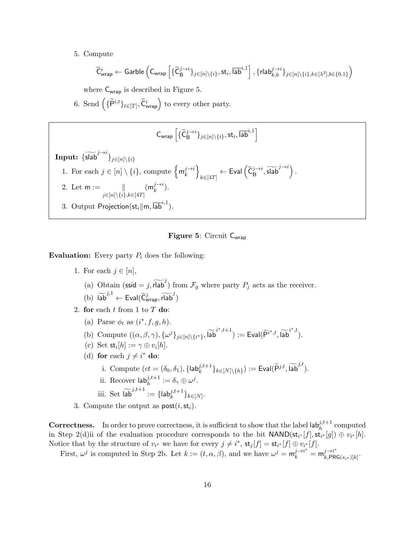5. Compute

$$
\widetilde{\mathsf{C}}_{\mathsf{wrap}}^i \leftarrow \mathsf{Garble}\left(\mathsf{C}_{\mathsf{wrap}}\left[\{\widetilde{\mathsf{C}}_\mathsf{B}^{j \rightarrow i}\}_{j \in [n] \setminus \{i\}}, \mathsf{st}_i, \overline{\mathsf{lab}}^{i,1}\right], \{\mathsf{rlab}_{k,b}^{j \rightarrow i}\}_{j \in [n] \setminus \{i\}, k \in [\lambda^2], b \in \{0,1\}}\right)
$$

.

where  $C_{\text{wrap}}$  is described in Figure 5.

6. Send  $(\{\widetilde{\mathsf{P}}^{i,t}\}_{t\in[T]},\widetilde{\mathsf{C}}_{\mathsf{wrap}}^i)$  to every other party.

$$
\mathsf{C}_{\mathsf{wrap}}\left[\{\widetilde{\mathsf{C}}_\mathsf{B}^{\widetilde{\jmath}\to i}\}_{j\in[n]\setminus\{i\}},\mathsf{st}_i,\overline{\mathsf{lab}}^{i,1}\right]
$$

**Input:** 
$$
\{\widetilde{\text{slab}}^{j \to i}\}_{j \in [n] \setminus \{i\}}
$$
  
\n1. For each  $j \in [n] \setminus \{i\}$ , compute  $\{m_k^{j \to i}\}_{k \in [4T]} \leftarrow \text{Eval}(\widetilde{C}_{\mathsf{B}}^{j \to i}, \widetilde{\text{slab}}^{j \to i})$   
\n2. Let  $m := \|\|(m_k^{j \to i})\|$ .  
\n3. Output Projection $(\text{st}_i \| m, \overline{\text{lab}}^{i,1})$ .

### Figure 5: Circuit C<sub>wrap</sub>

**Evaluation:** Every party  $P_i$  does the following:

- 1. For each  $j \in [n]$ ,
	- (a) Obtain (ssid = j,  $\widetilde{\text{rlab}}^j$ ) from  $\mathcal{F}_g$  where party  $P_j$  acts as the receiver.
	- (b)  $\widetilde{\mathsf{lab}}^{j,1} \leftarrow \mathsf{Eval}(\widetilde{\mathsf{C}}_{\mathsf{wrap}}^j, \widetilde{\mathsf{rlab}}^j)$
- 2. for each  $t$  from 1 to  $T$  do:
	- (a) Parse  $\phi_t$  as  $(i^*, f, g, h)$ .
	- (b) Compute  $((\alpha,\beta,\gamma), \{\omega^j\}_{j\in[n]\backslash\{i^*\}}, \widetilde{\mathsf{lab}}^{i^*,t+1}) := \mathsf{Eval}(\widetilde{\mathsf{P}}^{i^*,t}, \widetilde{\mathsf{lab}}^{i^*,t}).$
	- (c) Set  $\mathsf{st}_i[h] := \gamma \oplus v_i[h].$
	- (d) for each  $j \neq i^*$  do:
		- i. Compute  $(ct = (\delta_0, \delta_1), \{\mathsf{lab}_k^{j,t+1}\}_{k \in [N] \setminus \{h\}}) := \mathsf{Eval}(\widetilde{\mathsf{P}}^{j,t}, \widetilde{\mathsf{lab}}^{j,t}).$
		- ii. Recover  $\mathsf{lab}_h^{j,t+1} := \delta_\gamma \oplus \omega^j$ .

iii. Set 
$$
\widetilde{\mathsf{lab}}^{j,t+1} := {\mathsf{lab}_k^{j,t+1}}_{k \in [N]}.
$$

3. Compute the output as  $post(i, st_i)$ .

**Correctness.** In order to prove correctness, it is sufficient to show that the label  $\int_{h}^{j,t+1}$  computed in Step 2(d) ii of the evaluation procedure corresponds to the bit  $NAND(st_{i^*}[f], st_{i^*}[g]) \oplus v_{i^*}[h]$ . Notice that by the structure of  $v_{i^*}$  we have for every  $j \neq i^*$ ,  $\mathsf{st}_j[f] = \mathsf{st}_{i^*}[f] \oplus v_{i^*}[f]$ .

First,  $\omega^j$  is computed in Step 2b. Let  $k := (t, \alpha, \beta)$ , and we have  $\omega^j = \mathsf{m}_k^{j \to i^*} = \mathsf{m}_{k, \text{PR}}^{j \to i^*}$  $j\rightarrow i^*$ <br>k,PRG $(s_{i^*})[k]$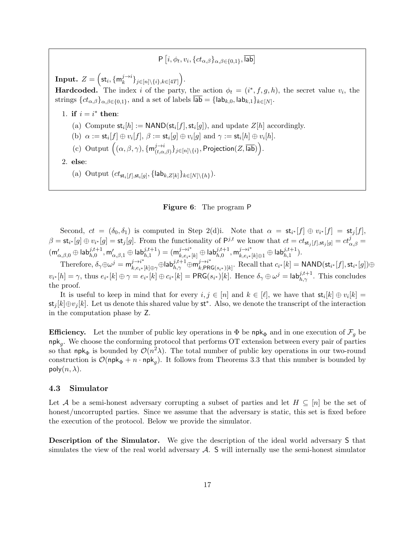$$
P[i, \phi_t, v_i, \{ct_{\alpha,\beta}\}_{\alpha,\beta \in \{0,1\}}, \overline{\text{lab}}]
$$

 $\textbf{Input.}\ \ Z = \left(\textsf{st}_i, \{\textsf{m}_k^{j \rightarrow i}\} \right)$  $_{k}^{j\rightarrow i}\}_{j\in[n]\setminus\{i\},k\in[4T]}\Big).$ 

**Hardcoded.** The index i of the party, the action  $\phi_t = (i^*, f, g, h)$ , the secret value  $v_i$ , the strings  ${ct_{\alpha,\beta}}_{\alpha,\beta\in\{0,1\}}$ , and a set of labels  $\mathsf{lab} = {\mathsf{lab}_{k,0}, \mathsf{lab}_{k,1}}_{k\in[N]}$ .

- 1. if  $i = i^*$  then:
	- (a) Compute  $\mathsf{st}_i[h] := \mathsf{NAND}(\mathsf{st}_i[f], \mathsf{st}_i[g])$ , and update  $Z[h]$  accordingly.
	- (b)  $\alpha := \mathsf{st}_i[f] \oplus v_i[f], \, \beta := \mathsf{st}_i[g] \oplus v_i[g] \text{ and } \gamma := \mathsf{st}_i[h] \oplus v_i[h].$
	- (c) Output  $((\alpha, \beta, \gamma), \{m_{(t,\alpha)}^{j\to i}$  $_{(t,\alpha,\beta)}^{j\rightarrow i}\}_{j\in[n]\backslash\{i\}},$  Projection $(Z,\overline{\mathsf{lab}})\Big).$

2. else:

(a) Output  $(ct_{\mathsf{st}_i[f],\mathsf{st}_i[g]}, \{\mathsf{lab}_{k,Z[k]}\}_{k\in[N]\setminus\{h\}}).$ 

#### Figure 6: The program P

Second,  $ct = (\delta_0, \delta_1)$  is computed in Step 2(d)i. Note that  $\alpha = \mathsf{st}_{i^*}[f] \oplus v_{i^*}[f] = \mathsf{st}_j[f],$  $\beta = \mathsf{st}_{i^*}[g] \oplus v_{i^*}[g] = \mathsf{st}_j[g]$ . From the functionality of  $\mathsf{P}^{j,t}$  we know that  $ct = ct_{\mathsf{st}_j[f],\mathsf{st}_j[g]} = ct_{\alpha,\beta}^j =$  $(\mathsf{m}'_{\alpha,\beta,0}\oplus \mathsf{lab}_{h,0}^{j,t+1},\mathsf{m}'_{\alpha,\beta,1}\oplus \mathsf{lab}_{h,1}^{j,t+1}) = (\mathsf{m}'^{j\rightarrow i^*}_{k,e_{i^*}[k]}\oplus \mathsf{lab}_{h,0}^{j,t+1},\mathsf{m}'^{j\rightarrow i^*}_{k,e_{i^*}[k]\oplus 1}\oplus \mathsf{lab}_{h,1}^{j,t+1}).$ 

 $\text{Therefore, } \delta_{\gamma} \oplus \omega^j = \mathsf{m}_{k,e_{i^*}[k] \oplus \gamma}^{j \rightarrow i^*} \oplus \mathsf{lab}_{h,\gamma}^{j,t+1} \oplus \mathsf{m}_{k,\mathsf{PR}^i}^{j \rightarrow i^*}$  $\lim_{k\to\infty} \mathcal{F}_{k,\mathsf{PRG}(s_{i^*})[k]}$ . Recall that  $c_{i^*}[k] = \mathsf{NAND}(\mathsf{st}_{i^*}[f],\mathsf{st}_{i^*}[g]) \oplus$  $v_{i^*}[h] = \gamma$ , thus  $e_{i^*}[k] \oplus \gamma = e_{i^*}[k] \oplus c_{i^*}[k] = \text{PRG}(s_{i^*})[k]$ . Hence  $\delta_{\gamma} \oplus \omega^j = \text{lab}_{h,\gamma}^{j,t+1}$ . This concludes the proof.

It is useful to keep in mind that for every  $i, j \in [n]$  and  $k \in [\ell]$ , we have that  $\mathsf{st}_i[k] \oplus v_i[k] =$  $\mathsf{st}_j[k] \oplus v_j[k]$ . Let us denote this shared value by  $\mathsf{st}^*$ . Also, we denote the transcript of the interaction in the computation phase by Z.

**Efficiency.** Let the number of public key operations in  $\Phi$  be npk<sub> $\Phi$ </sub> and in one execution of  $\mathcal{F}_q$  be  ${\sf npk}_g$ . We choose the conforming protocol that performs OT extension between every pair of parties so that  $\eta \mathsf{pk}_{\Phi}$  is bounded by  $\mathcal{O}(n^2\lambda)$ . The total number of public key operations in our two-round construction is  $\mathcal{O}(npk_{\Phi} + n \cdot npk_g)$ . It follows from Theorems 3.3 that this number is bounded by poly $(n, \lambda)$ .

#### 4.3 Simulator

Let A be a semi-honest adversary corrupting a subset of parties and let  $H \subseteq [n]$  be the set of honest/uncorrupted parties. Since we assume that the adversary is static, this set is fixed before the execution of the protocol. Below we provide the simulator.

Description of the Simulator. We give the description of the ideal world adversary S that simulates the view of the real world adversary  $A$ . S will internally use the semi-honest simulator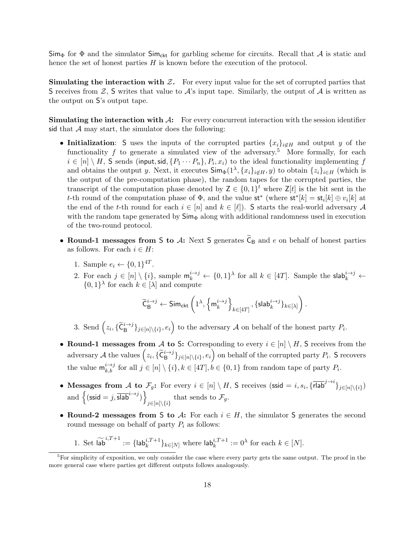$\mathsf{Sim}_{\Phi}$  for  $\Phi$  and the simulator  $\mathsf{Sim}_{\mathsf{ckt}}$  for garbling scheme for circuits. Recall that A is static and hence the set of honest parties H is known before the execution of the protocol.

**Simulating the interaction with Z.** For every input value for the set of corrupted parties that S receives from  $\mathcal{Z}$ , S writes that value to  $\mathcal{A}$ 's input tape. Similarly, the output of  $\mathcal{A}$  is written as the output on S's output tape.

**Simulating the interaction with**  $\mathcal{A}$ **:** For every concurrent interaction with the session identifier sid that  $A$  may start, the simulator does the following:

- Initialization: S uses the inputs of the corrupted parties  ${x_i}_{i \notin H}$  and output y of the functionality  $f$  to generate a simulated view of the adversary.<sup>5</sup> More formally, for each  $i \in [n] \setminus H$ , S sends (input, sid,  $\{P_1 \cdots P_n\}$ ,  $P_i$ ,  $x_i$ ) to the ideal functionality implementing f and obtains the output y. Next, it executes  $\textsf{Sim}_{\Phi}(1^{\lambda}, \{x_i\}_{i \notin H}, y)$  to obtain  $\{z_i\}_{i \in H}$  (which is the output of the pre-computation phase), the random tapes for the corrupted parties, the transcript of the computation phase denoted by  $Z \in \{0,1\}^t$  where  $Z[t]$  is the bit sent in the t-th round of the computation phase of  $\Phi$ , and the value st<sup>\*</sup> (where st<sup>\*</sup>[k] = st<sub>i</sub>[k]  $\oplus v_i[k]$  at the end of the t-th round for each  $i \in [n]$  and  $k \in [\ell]$ . S starts the real-world adversary A with the random tape generated by  $\mathsf{Sim}_{\Phi}$  along with additional randomness used in execution of the two-round protocol.
- Round-1 messages from S to A: Next S generates  $C_B$  and e on behalf of honest parties as follows. For each  $i \in H$ :
	- 1. Sample  $e_i \leftarrow \{0, 1\}^{4T}$ .
	- 2. For each  $j \in [n] \setminus \{i\}$ , sample  $m_k^{i \to j} \leftarrow \{0,1\}^{\lambda}$  for all  $k \in [4T]$ . Sample the slab $_k^{i \to j} \leftarrow$  $\{0,1\}^{\lambda}$  for each  $k \in [\lambda]$  and compute

$$
\widetilde{\mathsf{C}}_\mathsf{B}^{i \to j} \leftarrow \mathsf{Sim}_\mathsf{ckt}\left(1^\lambda, \left\{\mathsf{m}_k^{i \to j}\right\}_{k \in [4T]}, \{\mathsf{slab}_k^{i \to j}\}_{k \in [\lambda]}\right).
$$

3. Send  $(z_i, {\{\widetilde{\mathsf{C}}}_\mathsf{B}^{i \to j}\}_{j \in [n] \setminus \{i\}}, e_i)$  to the adversary A on behalf of the honest party  $P_i$ .

- Round-1 messages from A to S: Corresponding to every  $i \in [n] \setminus H$ , S receives from the  $\text{adversary }\mathcal{A} \text{ the values } \left( z_i, \{\widetilde{\mathsf{C}}_{\mathsf{B}}^{i\to j}\}_{j\in[n]\setminus\{i\}}, e_i \right) \text{ on behalf of the corrupted party } P_i. \text{ } \mathsf{S} \text{ recovers }$ the value  $\mathsf{m}_{k,b}^{i\to j}$  for all  $j \in [n] \setminus \{i\}, k \in [4T], b \in \{0,1\}$  from random tape of party  $P_i$ .
- Messages from A to  $\mathcal{F}_g$ : For every  $i \in [n] \setminus H$ , S receives (ssid = i,  $s_i$ ,  $\{\overline{\text{rlab}}^{j \to i}\}_{j \in [n] \setminus \{i\}}$ ) and  $\left\{ \left( \mathsf{ssid} = j, \overline{\mathsf{slab}}^{i \to j} \right) \right\}$ that sends to  $\mathcal{F}_g$ .
- Round-2 messages from S to A: For each  $i \in H$ , the simulator S generates the second round message on behalf of party  $P_i$  as follows:

1. Set 
$$
\widetilde{\mathsf{lab}}^{i,T+1} := \{\mathsf{lab}_k^{i,T+1}\}_{k \in [N]}
$$
 where  $\mathsf{lab}_k^{i,T+1} := 0^\lambda$  for each  $k \in [N]$ .

<sup>&</sup>lt;sup>5</sup>For simplicity of exposition, we only consider the case where every party gets the same output. The proof in the more general case where parties get different outputs follows analogously.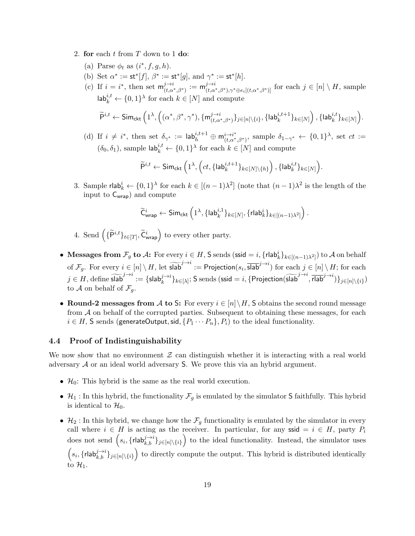- 2. for each  $t$  from  $T$  down to 1 do:
	- (a) Parse  $\phi_t$  as  $(i^*, f, g, h)$ .
	- (b) Set  $\alpha^* := \mathsf{st}^*[f], \beta^* := \mathsf{st}^*[g],$  and  $\gamma^* := \mathsf{st}^*[h].$
	- (c) If  $i = i^*$ , then set  $m_{i\neq j}^{j\rightarrow i}$  $j \rightarrow i \atop (t,\alpha^*,\beta^*)} := \mathsf{m}_{(t,\alpha^*,\beta^*),\gamma^* \oplus e_i[(t,\alpha^*,\beta^*)]}^{j \rightarrow i}$  for each  $j \in [n] \setminus H$ , sample  $\mathsf{lab}_k^{i,t} \leftarrow \{0,1\}^{\lambda}$  for each  $k \in [N]$  and compute

$$
\widetilde{\mathsf{P}}^{i,t} \leftarrow \mathsf{Sim}_{\mathsf{ckt}}\left(1^\lambda, \left((\alpha^*,\beta^*,\gamma^*), \{\mathsf{m}_{(t,\alpha^*,\beta^*)}^{j \rightarrow i}\}_{j \in [n] \setminus \{i\}}, \{\mathsf{lab}_k^{i,t+1}\}_{k \in [N]}\right), \{\mathsf{lab}_k^{i,t}\}_{k \in [N]}\right).
$$

(d) If  $i \neq i^*$ , then set  $\delta_{\gamma^*} := \mathsf{lab}_h^{i,t+1} \oplus \mathsf{m}_{(t,\alpha^*)}^{i \to i^*}$  $\sum_{(t,\alpha^*,\beta^*)}^{i\to i^*}$ , sample  $\delta_{1-\gamma^*} \leftarrow \{0,1\}^{\lambda}$ , set  $ct :=$  $(\delta_0, \delta_1)$ , sample  $\mathsf{lab}_k^{i,t} \leftarrow \{0,1\}^\lambda$  for each  $k \in [N]$  and compute

$$
\widetilde{\mathsf{P}}^{i,t} \leftarrow \mathsf{Sim}_{\mathsf{ckt}}\left(1^\lambda, \left(ct, \{\mathsf{lab}_k^{i,t+1}\}_{k\in [N]\backslash\{h\}}\right), \{\mathsf{lab}_k^{i,t}\}_{k\in [N]}\right).
$$

3. Sample rlab $\dot{k} \leftarrow \{0,1\}^{\lambda}$  for each  $k \in [(n-1)\lambda^2]$  (note that  $(n-1)\lambda^2$  is the length of the input to  $C_{\text{wrap}}$  and compute

$$
\widetilde{\mathsf{C}}_{\mathsf{wrap}}^i \leftarrow \mathsf{Sim}_{\mathsf{ckt}}\left(1^\lambda, \{\mathsf{lab}_k^{i,1}\}_{k \in [N]}, \{\mathsf{rlab}_k^i\}_{k \in [(n-1)\lambda^2]}\right).
$$

- 4. Send  $(\{\widetilde{P}^{i,t}\}_{t\in[T]}, \widetilde{C}^i_{\text{wrap}})$  to every other party.
- Messages from  $\mathcal{F}_g$  to  $\mathcal{A}$ : For every  $i \in H$ , S sends (ssid  $=i$ , {rlab $^i_k\}_{k \in [(n-1)\lambda^2]}$ ) to  $\mathcal{A}$  on behalf of  $\mathcal{F}_g$ . For every  $i \in [n] \setminus H$ , let  $\widetilde{\mathsf{slab}}^{j \to i} := \mathsf{Projection}(s_i, \overline{\mathsf{slab}}^{j \to i})$  for each  $j \in [n] \setminus H$ ; for each  $j \in H,$  define  $\widetilde{\mathsf{slab}}^{j \to i} := \{\mathsf{slab}_k^{j \to i}\}_{k \in [\lambda]};$   $\mathsf{S}$  sends  $(\mathsf{ssid} = i, \{\mathsf{Projection}(\widetilde{\mathsf{slab}}^{j \to i}, \overline{\mathsf{rlab}}^{j \to i})\}_{j \in [n] \setminus \{i\}})$ to A on behalf of  $\mathcal{F}_q$ .
- Round-2 messages from A to S: For every  $i \in [n] \backslash H$ , S obtains the second round message from A on behalf of the corrupted parties. Subsequent to obtaining these messages, for each  $i \in H$ , S sends (generateOutput, sid,  $\{P_1 \cdots P_n\}$ ,  $P_i$ ) to the ideal functionality.

#### 4.4 Proof of Indistinguishability

We now show that no environment  $\mathcal Z$  can distinguish whether it is interacting with a real world adversary  $A$  or an ideal world adversary  $S$ . We prove this via an hybrid argument.

- $\mathcal{H}_0$ : This hybrid is the same as the real world execution.
- $\mathcal{H}_1$ : In this hybrid, the functionality  $\mathcal{F}_g$  is emulated by the simulator S faithfully. This hybrid is identical to  $\mathcal{H}_0$ .
- $\mathcal{H}_2$ : In this hybrid, we change how the  $\mathcal{F}_q$  functionality is emulated by the simulator in every call where  $i \in H$  is acting as the receiver. In particular, for any ssid =  $i \in H$ , party  $P_i$ does not send  $(s_i, \{r | ab_{k,b}^{j \to i} \}_{j \in [n] \setminus \{i\}})$  to the ideal functionality. Instead, the simulator uses  $(s_i, \{r | \mathsf{lab}_{k,b}^{j \to i}\}_{j \in [n] \setminus \{i\}})$  to directly compute the output. This hybrid is distributed identically to  $\mathcal{H}_1$ .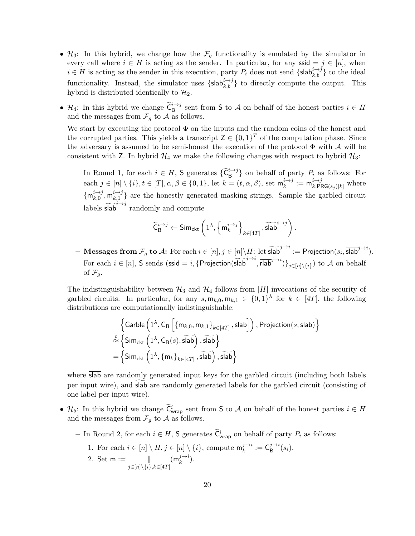- $\mathcal{H}_3$ : In this hybrid, we change how the  $\mathcal{F}_g$  functionality is emulated by the simulator in every call where  $i \in H$  is acting as the sender. In particular, for any ssid =  $j \in [n]$ , when  $i \in H$  is acting as the sender in this execution, party  $P_i$  does not send  $\{\textsf{slab}_{k,b}^{i\to j}\}$  to the ideal functionality. Instead, the simulator uses  $\{\textsf{slab}_{k,b}^{i\to j}\}\)$  to directly compute the output. This hybrid is distributed identically to  $\mathcal{H}_2$ .
- $\mathcal{H}_4$ : In this hybrid we change  $\widetilde{C}_{\mathsf{B}}^{i\to j}$  sent from S to A on behalf of the honest parties  $i \in H$ and the messages from  $\mathcal{F}_q$  to  $\mathcal A$  as follows.

We start by executing the protocol  $\Phi$  on the inputs and the random coins of the honest and the corrupted parties. This yields a transcript  $\mathsf{Z} \in \{0,1\}^T$  of the computation phase. Since the adversary is assumed to be semi-honest the execution of the protocol  $\Phi$  with  $\mathcal A$  will be consistent with Z. In hybrid  $\mathcal{H}_4$  we make the following changes with respect to hybrid  $\mathcal{H}_3$ :

– In Round 1, for each  $i \in H$ , S generates  $\{\widetilde{C}_{\mathsf{B}}^{i\to j}\}\)$  on behalf of party  $P_i$  as follows: For each  $j \in [n] \setminus \{i\}, t \in [T], \alpha, \beta \in \{0, 1\}, \text{ let } k = (t, \alpha, \beta), \text{ set } \mathsf{m}_k^{i \to j}$  $_{k}^{i\rightarrow j}:=\mathsf{m}_{k,\mathsf{PF}}^{i\rightarrow j}$  $\sum_{k,\textsf{PRG}(s_j)[k]}^{i \to j}$  where  ${m_{k}^{i\rightarrow j}}$  $_{k,0}^{i\rightarrow j}$ , m $_{k,1}^{i\rightarrow j}$  $\binom{i \rightarrow j}{k,1}$  are the honestly generated masking strings. Sample the garbled circuit labels  $\widetilde{\mathsf{slab}}^{i \to j}$  randomly and compute

$$
\widetilde{\mathsf{C}}_\mathsf{B}^{i \to j} \leftarrow \mathsf{Sim}_\mathsf{ckt}\left(1^\lambda, \left\{\mathsf{m}_k^{i \to j}\right\}_{k \in [4T]}, \widetilde{\mathsf{slab}}^{i \to j}\right).
$$

 $-$  Messages from  $\mathcal{F}_g$  to  $\mathcal{A}$ : For each  $i \in [n], j \in [n] \setminus H$ : let  $\widetilde{\mathsf{slab}}^{j \to i} := \mathsf{Projection}(s_i, \overline{\mathsf{slab}}^{j \to i}).$ For each  $i \in [n]$ , S sends (ssid = i, {Projection( $\widetilde{\mathsf{slab}}^{j \to i}$ ,  $\overline{\mathsf{rlab}}^{j \to i}$ )} $_{j \in [n] \setminus \{i\}}$ ) to A on behalf of  $\mathcal{F}_q$ .

The indistinguishability between  $\mathcal{H}_3$  and  $\mathcal{H}_4$  follows from |H| invocations of the security of garbled circuits. In particular, for any  $s, m_{k,0}, m_{k,1} \in \{0,1\}^{\lambda}$  for  $k \in [4T]$ , the following distributions are computationally indistinguishable:

$$
\begin{aligned} &\left\{\mathsf{Garble}\left(1^{\lambda},\mathsf{C}_{\mathsf{B}}\left[\left\{\mathsf{m}_{k,0},\mathsf{m}_{k,1}\right\}_{k\in[4T]},\overline{\mathsf{slab}}\right]\right),\mathsf{Projection}(s,\overline{\mathsf{slab}})\right\} \\ &\overset{c}{\approx}\left\{\mathsf{Sim}_{\mathsf{ckt}}\left(1^{\lambda},\mathsf{C}_{\mathsf{B}}(s),\overline{\mathsf{slab}}\right),\overline{\mathsf{slab}}\right\} \\ &=\left\{\mathsf{Sim}_{\mathsf{ckt}}\left(1^{\lambda},\left\{\mathsf{m}_{k}\right\}_{k\in[4T]},\overline{\mathsf{slab}}\right),\overline{\mathsf{slab}}\right\} \end{aligned}
$$

where  $\overline{\text{slab}}$  are randomly generated input keys for the garbled circuit (including both labels per input wire), and slab are randomly generated labels for the garbled circuit (consisting of one label per input wire).

•  $\mathcal{H}_5$ : In this hybrid we change  $\tilde{C}_{\text{wrap}}^i$  sent from S to A on behalf of the honest parties  $i \in H$ and the messages from  $\mathcal{F}_g$  to  $\mathcal A$  as follows.

– In Round 2, for each  $i \in H$ , S generates  $\tilde{C}^i_{\text{wrap}}$  on behalf of party  $P_i$  as follows:

1. For each  $i \in [n] \setminus H, j \in [n] \setminus \{i\}$ , compute  $\mathsf{m}_k^{j \to i}$  $k^{j \to i} := \mathsf{C}_{\mathsf{B}}^{j \to i}$  $B^{j\rightarrow i}(s_i)$ . 2. Set  $m := \|$  $j\in[n]\backslash\{i\},k\in[4T]$  $(m_k^{j\to i}$  $_{k}^{j\rightarrow i}).$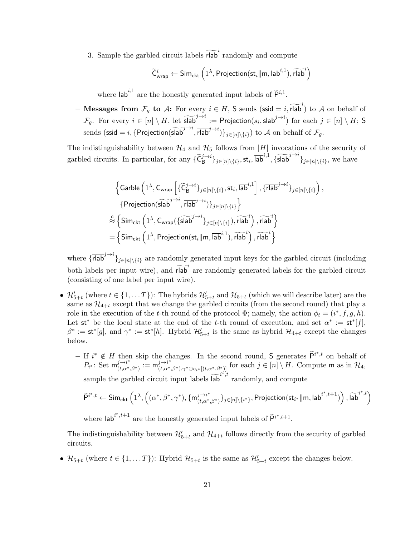3. Sample the garbled circuit labels  $\widetilde{\mathsf{rlab}}^i$  randomly and compute

$$
\widetilde{\mathsf{C}}_{\mathsf{wrap}}^i \leftarrow \mathsf{Sim}_{\mathsf{ckt}}\left(1^\lambda, \mathsf{Projection}(\mathsf{st}_i \|\mathsf{m},\overline{\mathsf{lab}}^{i,1}), \widetilde{\mathsf{rlab}}^{i}\right)
$$

where  $\overline{\mathsf{lab}}^{i,1}$  are the honestly generated input labels of  $\widetilde{\mathsf{P}}^{i,1}$ .

– Messages from  $\mathcal{F}_g$  to A: For every  $i \in H$ , S sends (ssid = i,  $\widetilde{\text{rlab}}^i$ ) to A on behalf of  $\mathcal{F}_g$ . For every  $i \in [n] \setminus H$ , let  $\widetilde{\mathsf{slab}}^{j \to i} := \mathsf{Projection}(s_i, \overline{\mathsf{slab}}^{j \to i})$  for each  $j \in [n] \setminus H$ ; S sends (ssid = i, {Projection(slab<sup>j→i</sup>,  $\overline{\text{rlab}}^{j\to i}$ )} $_{j\in[n]\setminus\{i\}}$ ) to A on behalf of  $\mathcal{F}_g$ .

The indistinguishability between  $\mathcal{H}_4$  and  $\mathcal{H}_5$  follows from |H| invocations of the security of garbled circuits. In particular, for any  $\{ \widetilde{\mathsf{C}}_{\mathsf{B}}^{j \to i} \}_{j \in [n] \setminus \{i\}}$ ,  $\mathsf{st}_i$ ,  $\overline{\mathsf{lab}}^{i,1}$ ,  $\{ \widetilde{\mathsf{slab}}^{j \to i} \}_{j \in [n] \setminus \{i\}}$ , we have

,

$$
\begin{aligned} &\left\{\mathsf{Garble}\left(1^{\lambda},\mathsf{C_{wrap}}\left[\{\widetilde{\mathsf{C}}^{\mathit{j}\to i}_\mathit{B}\}_{\mathit{j}\in[n]\backslash\{i\}},\mathsf{st}_i,\overline{\mathsf{lab}}^{\mathit{i},1}\right],\{\overline{\mathsf{rlab}}^{\mathit{j}\to i}\}_{\mathit{j}\in[n]\backslash\{i\}}\right)\\ &\left\{\mathsf{Projection}(\overline{\mathsf{slab}}^{\mathit{j}\to i},\overline{\mathsf{rlab}}^{\mathit{j}\to i})\}_{\mathit{j}\in[n]\backslash\{i\}}\right\} \\ &\overset{c}{\approx}\left\{\mathsf{Sim_{ckt}}\left(1^{\lambda},\mathsf{C_{wrap}}(\{\overline{\mathsf{slab}}^{\mathit{j}\to i}\}_{\mathit{j}\in[n]\backslash\{i\}}),\overline{\mathsf{rlab}}^{\mathit{i}}\right),\overline{\mathsf{rlab}}^{\mathit{i}}\right\} \\ &=\left\{\mathsf{Sim_{ckt}}\left(1^{\lambda},\mathsf{Projection}(\mathsf{st}_i\|\mathsf{m},\overline{\mathsf{lab}}^{\mathit{i},1}),\overline{\mathsf{rlab}}^{\mathit{i}}\right),\overline{\mathsf{rlab}}^{\mathit{i}}\right\} \end{aligned}
$$

where  $\{\overline{\text{rlab}}^{j\to i}\}_{j\in[n]\setminus\{i\}}$  are randomly generated input keys for the garbled circuit (including both labels per input wire), and  $\widetilde{\mathsf{rlab}}^i$  are randomly generated labels for the garbled circuit (consisting of one label per input wire).

- $\mathcal{H}'_{5+t}$  (where  $t \in \{1, \ldots T\}$ ): The hybrids  $\mathcal{H}'_{5+t}$  and  $\mathcal{H}_{5+t}$  (which we will describe later) are the same as  $\mathcal{H}_{4+t}$  except that we change the garbled circuits (from the second round) that play a role in the execution of the t-th round of the protocol  $\Phi$ ; namely, the action  $\phi_t = (i^*, f, g, h)$ . Let st<sup>\*</sup> be the local state at the end of the t-th round of execution, and set  $\alpha^* := \mathsf{st}^*[f]$ ,  $\beta^* := \mathsf{st}^*[g]$ , and  $\gamma^* := \mathsf{st}^*[h]$ . Hybrid  $\mathcal{H}'_{5+t}$  is the same as hybrid  $\mathcal{H}_{4+t}$  except the changes below.
	- $-$  If  $i^* \notin H$  then skip the changes. In the second round, S generates  $\widetilde{P}^{i^*,t}$  on behalf of  $P_{i^*}$ : Set m $_{(t,\alpha^*}^{j\rightarrow i^*}$  $j \to i^*$ <br>  $(t, \alpha^*, \beta^*) := \mathsf{m}_{(t, \alpha^*, \beta^*)}^{j \to i^*} \to \mathsf{m}_{(t, \alpha^*, \beta^*)}^{j \to i^*}$  for each  $j \in [n] \setminus H$ . Compute m as in  $\mathcal{H}_4$ , sample the garbled circuit input labels  $\widetilde{\mathsf{lab}}^{i^*,t}$  randomly, and compute

$$
\widetilde{P}^{i^*,t} \leftarrow \text{Sim}_{\text{ckt}}\left(1^{\lambda}, \left((\alpha^*, \beta^*, \gamma^*), \{\mathsf{m}_{(t, \alpha^*, \beta^*)}^{j \to i^*}\}_{j \in [n] \setminus \{i^*\}}, \text{Projection}(\text{st}_{i^*} \| \mathsf{m}, \overline{\text{lab}}^{i^*, t+1})\right), \widetilde{\text{lab}}^{i^*, t}\right)
$$

where  $\overline{\mathsf{lab}}^{i^*,t+1}$  are the honestly generated input labels of  $\widetilde{\mathsf{P}}^{i^*,t+1}$ .

The indistinguishability between  $\mathcal{H}'_{5+t}$  and  $\mathcal{H}_{4+t}$  follows directly from the security of garbled circuits.

•  $\mathcal{H}_{5+t}$  (where  $t \in \{1, ..., T\}$ ): Hybrid  $\mathcal{H}_{5+t}$  is the same as  $\mathcal{H}'_{5+t}$  except the changes below.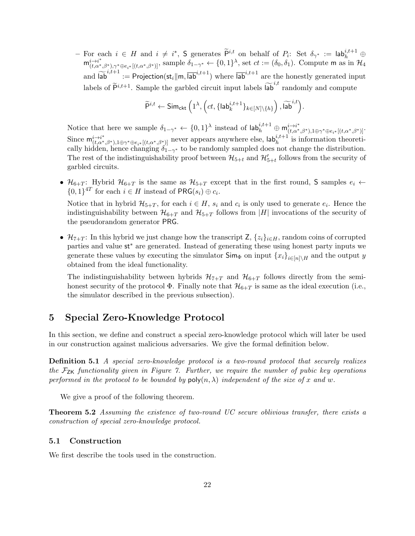$-$  For each  $i \in H$  and  $i \neq i^*$ , S generates  $\widetilde{P}^{i,t}$  on behalf of  $P_i$ : Set  $\delta_{\gamma^*} := \mathsf{lab}_h^{i,t+1} \oplus$  $m_{(t,\alpha^*,\beta^*),\gamma^*\oplus e_{i^*}[(t,\alpha^*,\beta^*)]}^{\rightarrow}$ , sample  $\delta_{1-\gamma^*} \leftarrow \{0,1\}^{\lambda}$ , set  $ct := (\delta_0, \delta_1)$ . Compute m as in  $\mathcal{H}_4$ and  $\widetilde{\mathsf{lab}}^{i,t+1} := \mathsf{Projection}(\mathsf{st}_i \|\mathsf{m}, \overline{\mathsf{lab}}^{i,t+1})$  where  $\overline{\mathsf{lab}}^{i,t+1}$  are the honestly generated input labels of  $\widetilde{P}^{i,t+1}$ . Sample the garbled circuit input labels  $\widetilde{ab}^{i,t}$  randomly and compute

$$
\widetilde{\mathsf{P}}^{i,t} \leftarrow \mathsf{Sim}_{\mathsf{ckt}}\left(1^{\lambda}, \left(ct, \{\mathsf{lab}_k^{i,t+1}\}_{k\in [N]\backslash\{h\}}\right), \widetilde{\mathsf{lab}}^{i,t}\right).
$$

Notice that here we sample  $\delta_{1-\gamma^*} \leftarrow \{0,1\}^{\lambda}$  instead of  $\mathsf{lab}_h^{i,t+1} \oplus \mathsf{m}_{(t,\alpha^*}^{i \to i^*})$  $\stackrel{i\rightarrow i^*}{(t,\alpha^*,\beta^*),1}$ ⊕ $\gamma^*\oplus e_{i^*}[(t,\alpha^*,\beta^*)]$ ' Since  $m_{(t,\alpha^*}^{i\rightarrow i^*}$  $(i_{t,\alpha^*,\beta^*})$ ,  $i \oplus \gamma^* \oplus e_{i^*}[(t,\alpha^*,\beta^*)]$  never appears anywhere else,  $\mathsf{lab}_h^{i,t+1}$  is information theoretically hidden, hence changing  $\delta_{1-\gamma^*}$  to be randomly sampled does not change the distribution. The rest of the indistinguishability proof between  $\mathcal{H}_{5+t}$  and  $\mathcal{H}'_{5+t}$  follows from the security of garbled circuits.

•  $\mathcal{H}_{6+T}$ : Hybrid  $\mathcal{H}_{6+T}$  is the same as  $\mathcal{H}_{5+T}$  except that in the first round, S samples  $e_i \leftarrow$  $\{0,1\}^{4T}$  for each  $i \in H$  instead of  $PRG(s_i) \oplus c_i$ .

Notice that in hybrid  $\mathcal{H}_{5+T}$ , for each  $i \in H$ ,  $s_i$  and  $c_i$  is only used to generate  $e_i$ . Hence the indistinguishability between  $\mathcal{H}_{6+T}$  and  $\mathcal{H}_{5+T}$  follows from |H| invocations of the security of the pseudorandom generator PRG.

•  $\mathcal{H}_{7+T}$ : In this hybrid we just change how the transcript Z,  $\{z_i\}_{i\in H}$ , random coins of corrupted parties and value st<sup>∗</sup> are generated. Instead of generating these using honest party inputs we generate these values by executing the simulator  $\mathsf{Sim}_{\Phi}$  on input  $\{x_i\}_{i\in[n]\setminus H}$  and the output y obtained from the ideal functionality.

The indistinguishability between hybrids  $\mathcal{H}_{7+T}$  and  $\mathcal{H}_{6+T}$  follows directly from the semihonest security of the protocol  $\Phi$ . Finally note that  $\mathcal{H}_{6+T}$  is same as the ideal execution (i.e., the simulator described in the previous subsection).

# 5 Special Zero-Knowledge Protocol

In this section, we define and construct a special zero-knowledge protocol which will later be used in our construction against malicious adversaries. We give the formal definition below.

Definition 5.1 A special zero-knowledge protocol is a two-round protocol that securely realizes the  $\mathcal{F}_{ZK}$  functionality given in Figure 7. Further, we require the number of pubic key operations performed in the protocol to be bounded by  $\text{poly}(n, \lambda)$  independent of the size of x and w.

We give a proof of the following theorem.

Theorem 5.2 Assuming the existence of two-round UC secure oblivious transfer, there exists a construction of special zero-knowledge protocol.

#### 5.1 Construction

We first describe the tools used in the construction.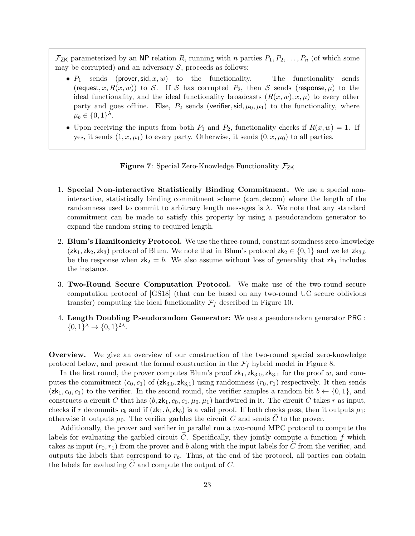$\mathcal{F}_{ZK}$  parameterized by an NP relation R, running with n parties  $P_1, P_2, \ldots, P_n$  (of which some may be corrupted) and an adversary  $S$ , proceeds as follows:

- $P_1$  sends (prover, sid, x, w) to the functionality. The functionality sends (request, x,  $R(x, w)$ ) to S. If S has corrupted  $P_2$ , then S sends (response,  $\mu$ ) to the ideal functionality, and the ideal functionality broadcasts  $(R(x, w), x, \mu)$  to every other party and goes offline. Else,  $P_2$  sends (verifier, sid,  $\mu_0, \mu_1$ ) to the functionality, where  $\mu_b \in \{0,1\}^{\lambda}.$
- Upon receiving the inputs from both  $P_1$  and  $P_2$ , functionality checks if  $R(x, w) = 1$ . If yes, it sends  $(1, x, \mu_1)$  to every party. Otherwise, it sends  $(0, x, \mu_0)$  to all parties.

**Figure 7:** Special Zero-Knowledge Functionality  $\mathcal{F}_{ZK}$ 

- 1. Special Non-interactive Statistically Binding Commitment. We use a special noninteractive, statistically binding commitment scheme (com, decom) where the length of the randomness used to commit to arbitrary length messages is  $\lambda$ . We note that any standard commitment can be made to satisfy this property by using a pseudorandom generator to expand the random string to required length.
- 2. Blum's Hamiltonicity Protocol. We use the three-round, constant soundness zero-knowledge  $(zk_1, zk_2, zk_3)$  protocol of Blum. We note that in Blum's protocol  $zk_2 \in \{0, 1\}$  and we let  $zk_{3,b}$ be the response when  $zk_2 = b$ . We also assume without loss of generality that  $zk_1$  includes the instance.
- 3. Two-Round Secure Computation Protocol. We make use of the two-round secure computation protocol of [GS18] (that can be based on any two-round UC secure oblivious transfer) computing the ideal functionality  $\mathcal{F}_f$  described in Figure 10.
- 4. Length Doubling Pseudorandom Generator: We use a pseudorandom generator PRG :  ${0,1}^{\lambda} \rightarrow {0,1}^{2\lambda}.$

Overview. We give an overview of our construction of the two-round special zero-knowledge protocol below, and present the formal construction in the  $\mathcal{F}_f$  hybrid model in Figure 8.

In the first round, the prover computes Blum's proof  $zk_1, zk_{3,0}, zk_{3,1}$  for the proof w, and computes the commitment  $(c_0, c_1)$  of  $(zk_{3,0}, zk_{3,1})$  using randomness  $(r_0, r_1)$  respectively. It then sends  $(zk_1, c_0, c_1)$  to the verifier. In the second round, the verifier samples a random bit  $b \leftarrow \{0, 1\}$ , and constructs a circuit C that has  $(b, zk_1, c_0, c_1, \mu_0, \mu_1)$  hardwired in it. The circuit C takes r as input, checks if r decommits  $c_b$  and if  $(zk_1, b, zk_b)$  is a valid proof. If both checks pass, then it outputs  $\mu_1$ ; otherwise it outputs  $\mu_0$ . The verifier garbles the circuit C and sends C to the prover.

Additionally, the prover and verifier in parallel run a two-round MPC protocol to compute the labels for evaluating the garbled circuit  $C$ . Specifically, they jointly compute a function  $f$  which takes as input  $(r_0, r_1)$  from the prover and b along with the input labels for  $\tilde{C}$  from the verifier, and outputs the labels that correspond to  $r<sub>b</sub>$ . Thus, at the end of the protocol, all parties can obtain the labels for evaluating  $C$  and compute the output of  $C$ .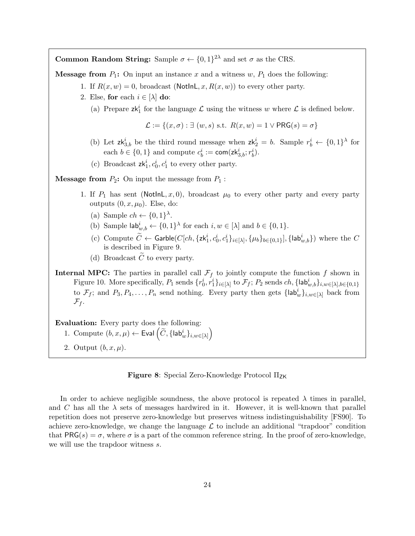**Common Random String:** Sample  $\sigma \leftarrow \{0, 1\}^{2\lambda}$  and set  $\sigma$  as the CRS. **Message from**  $P_1$ : On input an instance x and a witness w,  $P_1$  does the following: 1. If  $R(x, w) = 0$ , broadcast (NotlnL, x,  $R(x, w)$ ) to every other party. 2. Else, for each  $i \in [\lambda]$  do: (a) Prepare  $zk_1^i$  for the language  $\mathcal L$  using the witness w where  $\mathcal L$  is defined below.  $\mathcal{L} := \{(x, \sigma) : \exists (w, s) \text{ s.t. } R(x, w) = 1 \lor \text{PRG}(s) = \sigma\}$ (b) Let  $zk_{3,b}^i$  be the third round message when  $zk_2^i = b$ . Sample  $r_b^i \leftarrow \{0,1\}^{\lambda}$  for each  $b \in \{0,1\}$  and compute  $c_b^i := \text{com}(\mathsf{zk}_{3,b}^i; r_b^i)$ . (c) Broadcast  $zk_1^i, c_0^i, c_1^i$  to every other party. **Message from**  $P_2$ : On input the message from  $P_1$ : 1. If  $P_1$  has sent (NotlnL, x, 0), broadcast  $\mu_0$  to every other party and every party outputs  $(0, x, \mu_0)$ . Else, do: (a) Sample  $ch \leftarrow \{0,1\}^{\lambda}$ . (b) Sample  $\mathsf{lab}_{w,b}^i \leftarrow \{0,1\}^{\lambda}$  for each  $i, w \in [\lambda]$  and  $b \in \{0,1\}$ . (c) Compute  $\widetilde{C} \leftarrow \mathsf{Garble}(C[ch, \{zk_1^i, c_0^i, c_1^i\}_{i \in [\lambda]}, \{\mu_b\}_{b \in \{0,1\}}], \{\mathsf{lab}_{w,b}^i\})$  where the  $C$ is described in Figure 9. (d) Broadcast  $\tilde{C}$  to every party. **Internal MPC:** The parties in parallel call  $\mathcal{F}_f$  to jointly compute the function f shown in Figure 10. More specifically,  $P_1$  sends  $\{r_0^i, r_1^i\}_{i\in[\lambda]}$  to  $\mathcal{F}_f$ ;  $P_2$  sends  $ch$ ,  $\{lab_{w,b}^i\}_{i,w\in[\lambda],b\in\{0,1\}}$ to  $\mathcal{F}_f$ ; and  $P_3, P_4, \ldots, P_n$  send nothing. Every party then gets  $\{\mathsf{lab}_w^i\}_{i,w\in[\lambda]}$  back from  $\mathcal{F}_f$ . Evaluation: Every party does the following: 1. Compute  $(b, x, \mu) \leftarrow \mathsf{Eval}\left(\widetilde{C}, \{\mathsf{lab}_w^i\}_{i,w \in [\lambda]}\right)$ 2. Output  $(b, x, \mu)$ .

### Figure 8: Special Zero-Knowledge Protocol Π<sub>ZK</sub>

In order to achieve negligible soundness, the above protocol is repeated  $\lambda$  times in parallel, and C has all the  $\lambda$  sets of messages hardwired in it. However, it is well-known that parallel repetition does not preserve zero-knowledge but preserves witness indistinguishability [FS90]. To achieve zero-knowledge, we change the language  $\mathcal L$  to include an additional "trapdoor" condition that  $PRG(s) = \sigma$ , where  $\sigma$  is a part of the common reference string. In the proof of zero-knowledge, we will use the trapdoor witness s.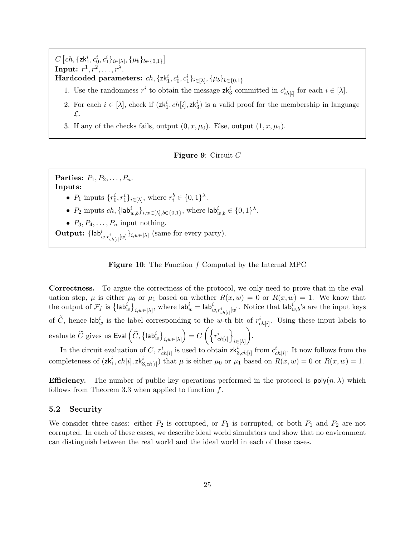$C\left[ch,\{\mathsf{zk}^i_1,c^i_0,c^i_1\}_{i\in[\lambda]},\{\mu_b\}_{b\in\{0,1\}}\right]$  $\textbf{Input:}~~ r^1, r^2, \ldots, r^{\lambda}.$  $\textbf{Hard-coded parameters: } ch, \{\textsf{zk}_1^i, c_0^i, c_1^i\}_{i \in [\lambda]}, \{\mu_b\}_{b \in \{0,1\}}$ 

- 1. Use the randomness  $r^i$  to obtain the message  $z \kappa^i_3$  committed in  $c^i_{ch[i]}$  for each  $i \in [\lambda]$ .
- 2. For each  $i \in [\lambda]$ , check if  $(\mathsf{zk}_1^i, ch[i], \mathsf{zk}_3^i)$  is a valid proof for the membership in language L.
- 3. If any of the checks fails, output  $(0, x, \mu_0)$ . Else, output  $(1, x, \mu_1)$ .



Parties:  $P_1, P_2, \ldots, P_n$ . Inputs:

- $P_1$  inputs  $\{r_0^i, r_1^i\}_{i \in [\lambda]},$  where  $r_i^b \in \{0, 1\}^{\lambda}$ .
- $P_2$  inputs  $ch$ ,  $\{\mathsf{lab}_{w,b}^i\}_{i,w\in[\lambda],b\in\{0,1\}}$ , where  $\mathsf{lab}_{w,b}^i \in \{0,1\}^{\lambda}$ .
- $P_3, P_4, \ldots, P_n$  input nothing.
- **Output:** { $\text{lab}_{w,r_{ch[i]}[w]}^i\}_{i,w \in [\lambda]}$  (same for every party).



Correctness. To argue the correctness of the protocol, we only need to prove that in the evaluation step,  $\mu$  is either  $\mu_0$  or  $\mu_1$  based on whether  $R(x, w) = 0$  or  $R(x, w) = 1$ . We know that the output of  $\mathcal{F}_f$  is  $\left\{\mathsf{lab}^i_w\right\}_{i,w\in[\lambda]},$  where  $\mathsf{lab}^i_w=\mathsf{lab}^i_{w,r^i_{ch[i]}[w]}.$  Notice that  $\mathsf{lab}^i_{w,b}$ 's are the input keys of  $\tilde{C}$ , hence  $\textsf{lab}_w^i$  is the label corresponding to the w-th bit of  $r_{ch[i]}^i$ . Using these input labels to evaluate  $\widetilde{C}$  gives us Eval  $\left(\widetilde{C}, \left\{\mathsf{lab}^i_w\right\}_{i,w \in [\lambda]} \right) = C \left( \left\{r^i_{ch[i]}\right\} \right)$  $i\in[\lambda]$ .

In the circuit evaluation of C,  $r_{ch[i]}^i$  is used to obtain  $zk_{3,ch[i]}^i$  from  $c_{ch[i]}^i$ . It now follows from the completeness of  $(\mathsf{zk}_1^i, ch[i], \mathsf{zk}_{3, ch[i]}^i)$  that  $\mu$  is either  $\mu_0$  or  $\mu_1$  based on  $R(x, w) = 0$  or  $R(x, w) = 1$ .

**Efficiency.** The number of public key operations performed in the protocol is  $poly(n, \lambda)$  which follows from Theorem 3.3 when applied to function  $f$ .

#### 5.2 Security

We consider three cases: either  $P_2$  is corrupted, or  $P_1$  is corrupted, or both  $P_1$  and  $P_2$  are not corrupted. In each of these cases, we describe ideal world simulators and show that no environment can distinguish between the real world and the ideal world in each of these cases.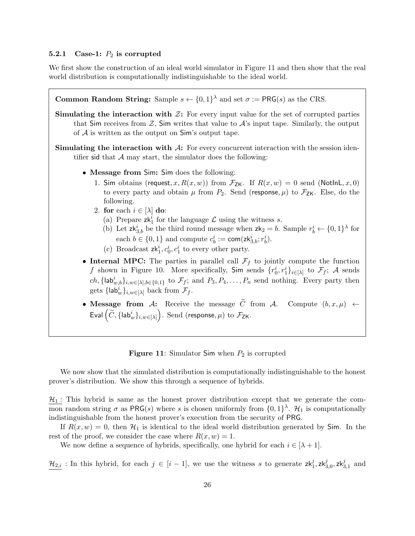#### 5.2.1 Case-1:  $P_2$  is corrupted

We first show the construction of an ideal world simulator in Figure 11 and then show that the real world distribution is computationally indistinguishable to the ideal world.



#### **Figure 11:** Simulator Sim when  $P_2$  is corrupted

We now show that the simulated distribution is computationally indistinguishable to the honest prover's distribution. We show this through a sequence of hybrids.

 $\mathcal{H}_1$ : This hybrid is same as the honest prover distribution except that we generate the common random string  $\sigma$  as PRG(s) where s is chosen uniformly from  $\{0,1\}^{\lambda}$ .  $\mathcal{H}_1$  is computationally indistinguishable from the honest prover's execution from the security of PRG.

If  $R(x, w) = 0$ , then  $\mathcal{H}_1$  is identical to the ideal world distribution generated by Sim. In the rest of the proof, we consider the case where  $R(x, w) = 1$ .

We now define a sequence of hybrids, specifically, one hybrid for each  $i \in [\lambda + 1]$ .

 $\mathcal{H}_{2,i}$ : In this hybrid, for each  $j \in [i-1]$ , we use the witness s to generate  $z^{i}$ ,  $z^{i}$ ,  $z^{i}$ ,  $z^{i}$ , and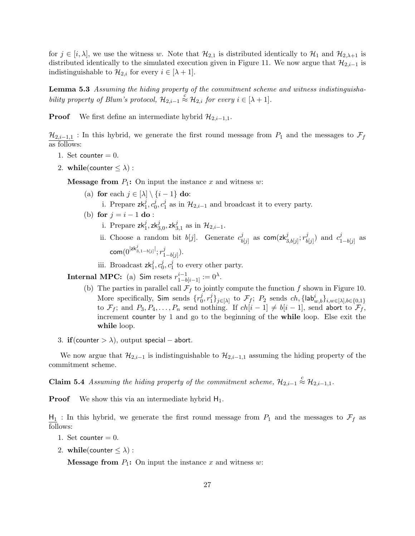for  $j \in [i, \lambda]$ , we use the witness w. Note that  $\mathcal{H}_{2,1}$  is distributed identically to  $\mathcal{H}_1$  and  $\mathcal{H}_{2,\lambda+1}$  is distributed identically to the simulated execution given in Figure 11. We now argue that  $\mathcal{H}_{2,i-1}$  is indistinguishable to  $\mathcal{H}_{2,i}$  for every  $i \in [\lambda + 1]$ .

Lemma 5.3 Assuming the hiding property of the commitment scheme and witness indistinguishability property of Blum's protocol,  $\mathcal{H}_{2,i-1} \stackrel{c}{\approx} \mathcal{H}_{2,i}$  for every  $i \in [\lambda + 1]$ .

**Proof** We first define an intermediate hybrid  $\mathcal{H}_{2,i-1,1}$ .

 $\mathcal{H}_{2,i-1,1}$ : In this hybrid, we generate the first round message from  $P_1$  and the messages to  $\mathcal{F}_f$ as follows:

- 1. Set counter  $= 0$ .
- 2. while(counter  $\leq \lambda$ ) :

**Message from**  $P_1$ : On input the instance x and witness w:

- (a) for each  $j \in [\lambda] \setminus \{i-1\}$  do: i. Prepare  $\mathsf{zk}_1^j, c_0^j$  $_0^j,c_1^j$  $\frac{1}{1}$  as in  $\mathcal{H}_{2,i-1}$  and broadcast it to every party.
- (b) for  $j = i 1$  do :
	- i. Prepare  $zk_1^j, zk_{3,0}^j, zk_{3,1}^j$  as in  $\mathcal{H}_{2,i-1}$ .
	- ii. Choose a random bit  $b[j]$ . Generate  $c_k^j$  $\frac{j}{b[j]}$  as  $\mathsf{com}(\mathsf{zk}^j_{3,b[j]}; r_b^j)$  $\binom{j}{b[j]}$  and  $c_1^j$  $_{[1-b][j]}^{j}$  as  $\mathsf{com}(0^{|\mathsf{zk}_{3,1-b[j]}^j|}; r_1^j)$  $_{1-b[j]}^j$ ).
	- iii. Broadcast  $zk_1^j, c_0^j$  $_{0}^{j},c_{1}^{j}$  $\frac{J}{1}$  to every other party.

**Internal MPC:** (a) Sim resets  $r_{1-b[i-1]}^{i-1} := 0^{\lambda}$ .

- (b) The parties in parallel call  $\mathcal{F}_f$  to jointly compute the function f shown in Figure 10. More specifically, Sim sends  $\{r_0^j\}$  $j\overline{0}, r_1^j$  $\{j\}_{j\in[\lambda]}$  to  $\mathcal{F}_f$ ;  $P_2$  sends  $ch, \{\mathsf{lab}^i_{w,b}\}_{i,w \in [\lambda], b \in \{0,1\}}$ to  $\mathcal{F}_f$ ; and  $P_3, P_4, \ldots, P_n$  send nothing. If  $ch[i-1] \neq b[i-1]$ , send abort to  $\mathcal{F}_f$ , increment counter by 1 and go to the beginning of the while loop. Else exit the while loop.
- 3. if(counter  $> \lambda$ ), output special abort.

We now argue that  $\mathcal{H}_{2,i-1}$  is indistinguishable to  $\mathcal{H}_{2,i-1,1}$  assuming the hiding property of the commitment scheme.

**Claim 5.4** Assuming the hiding property of the commitment scheme,  $\mathcal{H}_{2,i-1} \stackrel{c}{\approx} \mathcal{H}_{2,i-1,1}$ .

**Proof** We show this via an intermediate hybrid  $H_1$ .

 $H_1$ : In this hybrid, we generate the first round message from  $P_1$  and the messages to  $\mathcal{F}_f$  as follows:

- 1. Set counter  $= 0$ .
- 2. while(counter  $\leq \lambda$ ) :

**Message from**  $P_1$ : On input the instance x and witness w: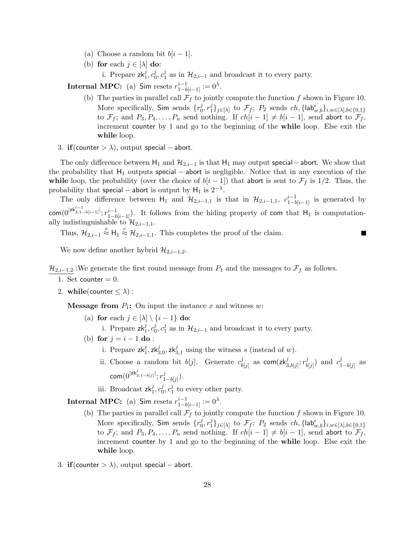- (a) Choose a random bit  $b[i-1]$ .
- (b) for each  $j \in [\lambda]$  do:

i. Prepare  $zk_1^j, c_0^j$  $_0^j,c_1^j$  $\frac{1}{1}$  as in  $\mathcal{H}_{2,i-1}$  and broadcast it to every party.

**Internal MPC:** (a) Sim resets  $r_{1-b[i-1]}^{i-1} := 0^{\lambda}$ .

- (b) The parties in parallel call  $\mathcal{F}_f$  to jointly compute the function f shown in Figure 10. More specifically, Sim sends  $\{r_0^j\}$  $j\overline{0}, r_1^j$  $\{j\}_{j\in[\lambda]}$  to  $\mathcal{F}_f$ ;  $P_2$  sends  $ch, \{\mathsf{lab}^i_{w,b}\}_{i,w\in[\lambda],b\in\{0,1\}}$ to  $\mathcal{F}_f$ ; and  $P_3, P_4, \ldots, P_n$  send nothing. If  $ch[i-1] \neq b[i-1]$ , send abort to  $\mathcal{F}_f$ , increment counter by 1 and go to the beginning of the while loop. Else exit the while loop.
- 3. if(counter  $> \lambda$ ), output special abort.

The only difference between H<sub>1</sub> and  $\mathcal{H}_{2,i-1}$  is that H<sub>1</sub> may output special – abort. We show that the probability that  $H_1$  outputs special – abort is negligible. Notice that in any execution of the while loop, the probability (over the choice of  $b[i - 1]$ ) that abort is sent to  $\mathcal{F}_f$  is 1/2. Thus, the probability that special – abort is output by  $H_1$  is  $2^{-\lambda}$ .

The only difference between  $H_1$  and  $\mathcal{H}_{2,i-1,1}$  is that in  $\mathcal{H}_{2,i-1,1}$ ,  $c_{1-b[i-1]}^{i-1}$  is generated by  $\text{com}(0^{|\mathbf{zk}_{3,1-b[i-1]}^{i-1}|};r_{1-b[i-1]}^{i-1}).$  It follows from the hiding property of com that  $H_1$  is computationally indistinguishable to  $\mathcal{H}_{2,i-1,1}$ .

Thus,  $\mathcal{H}_{2,i-1} \stackrel{s}{\approx} \mathsf{H}_1 \stackrel{c}{\approx} \mathcal{H}_{2,i-1,1}$ . This completes the proof of the claim.

Г

We now define another hybrid  $\mathcal{H}_{2,i-1,2}$ .

 $\mathcal{H}_{2,i-1,2}$  :We generate the first round message from  $P_1$  and the messages to  $\mathcal{F}_f$  as follows.

- 1. Set counter  $= 0$ .
- 2. while(counter  $\langle \lambda \rangle$  :

**Message from**  $P_1$ : On input the instance x and witness w:

- (a) for each  $j \in [\lambda] \setminus \{i-1\}$  do:
	- i. Prepare  $zk_1^j, c_0^j$  $_0^j,c_1^j$  $\frac{1}{1}$  as in  $\mathcal{H}_{2,i-1}$  and broadcast it to every party.
- (b) for  $j = i 1$  do:
	- i. Prepare  $zk_1^j, zk_{3,0}^j, zk_{3,1}^j$  using the witness s (instead of w).
	- ii. Choose a random bit  $b[j]$ . Generate  $c_k^j$  $\frac{j}{b[j]}$  as  $\mathsf{com}(\mathsf{zk}^j_{3,b[j]}; r_b^j)$  $\binom{j}{b[j]}$  and  $c_1^j$  $_{[1-b][j]}^{j}$  as  $\mathsf{com}(0^{|\mathsf{zk}_{3,1-b[j]}^j|}; r_1^j)$  $_{1-b[j]}^j$ ).
	- iii. Broadcast  $zk_1^j, c_0^j$  $_{0}^{j},c_{1}^{j}$  $\frac{J}{1}$  to every other party.

**Internal MPC:** (a) Sim resets  $r_{1-b[i-1]}^{i-1} := 0^{\lambda}$ .

- (b) The parties in parallel call  $\mathcal{F}_f$  to jointly compute the function f shown in Figure 10. More specifically, Sim sends  $\{r_0^j\}$  $j\overline{0}, r_1^j$  $\{j\}_{j\in[\lambda]}$  to  $\mathcal{F}_f$ ;  $P_2$  sends  $ch, \{\mathsf{lab}^i_{w,b}\}_{i,w \in [\lambda], b \in \{0,1\}}$ to  $\mathcal{F}_f$ ; and  $P_3, P_4, \ldots, P_n$  send nothing. If  $ch[i-1] \neq b[i-1]$ , send abort to  $\mathcal{F}_f$ , increment counter by 1 and go to the beginning of the while loop. Else exit the while loop.
- 3. if(counter >  $\lambda$ ), output special abort.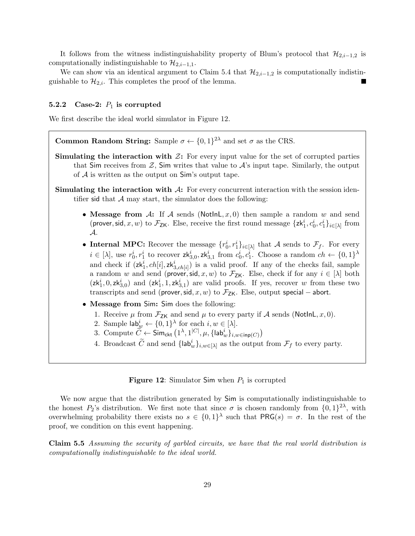It follows from the witness indistinguishability property of Blum's protocol that  $\mathcal{H}_{2,i-1,2}$  is computationally indistinguishable to  $\mathcal{H}_{2,i-1,1}$ .

We can show via an identical argument to Claim 5.4 that  $\mathcal{H}_{2,i-1,2}$  is computationally indistinguishable to  $\mathcal{H}_{2,i}$ . This completes the proof of the lemma.

#### 5.2.2 Case-2:  $P_1$  is corrupted

We first describe the ideal world simulator in Figure 12.

**Common Random String:** Sample  $\sigma \leftarrow \{0, 1\}^{2\lambda}$  and set  $\sigma$  as the CRS.

- Simulating the interaction with  $\mathcal{Z}$ : For every input value for the set of corrupted parties that Sim receives from  $\mathcal{Z}$ , Sim writes that value to  $\mathcal{A}$ 's input tape. Similarly, the output of  $A$  is written as the output on  $Sim's$  output tape.
- **Simulating the interaction with**  $\mathcal{A}$ **:** For every concurrent interaction with the session identifier sid that  $A$  may start, the simulator does the following:
	- Message from A: If A sends (NotlnL,  $x, 0$ ) then sample a random w and send (prover, sid, x, w) to  $\mathcal{F}_{\mathsf{ZK}}$ . Else, receive the first round message  $\{\mathsf{zk}_1^i, c_0^i, c_1^i\}_{i\in[\lambda]}$  from A.
	- Internal MPC: Recover the message  $\{r_0^i, r_1^i\}_{i\in[\lambda]}$  that A sends to  $\mathcal{F}_f$ . For every  $i \in [\lambda]$ , use  $r_0^i, r_1^i$  to recover  $\mathsf{zk}_{3,0}^i, \mathsf{zk}_{3,1}^i$  from  $c_0^i, c_1^i$ . Choose a random  $ch \leftarrow \{0,1\}^\lambda$ and check if  $(\mathsf{zk}_1^i, ch[i], \mathsf{zk}_{3, ch[i]}^i)$  is a valid proof. If any of the checks fail, sample a random w and send (prover, sid, x, w) to  $\mathcal{F}_{ZK}$ . Else, check if for any  $i \in [\lambda]$  both  $(\mathsf{zk}_1^i, 0, \mathsf{zk}_{3,0}^i)$  and  $(\mathsf{zk}_1^i, 1, \mathsf{zk}_{3,1}^i)$  are valid proofs. If yes, recover w from these two transcripts and send (prover, sid, x, w) to  $\mathcal{F}_{ZK}$ . Else, output special – abort.
	- Message from Sim: Sim does the following:
		- 1. Receive  $\mu$  from  $\mathcal{F}_{ZK}$  and send  $\mu$  to every party if A sends (NotlnL, x, 0).
		- 2. Sample  $\mathsf{lab}_w^i \leftarrow \{0,1\}^{\lambda}$  for each  $i, w \in [\lambda]$ .
		- 3. Compute  $\widetilde{C} \leftarrow \textsf{Sim}_{\textsf{ckt}}\left(1^{\lambda},1^{|C|}, \mu, \{\textsf{lab}_w^i\}_{i,w\in \textsf{inp}(C)}\right)$
		- 4. Broadcast  $\widetilde{C}$  and send  $\{\textsf{lab}_w^i\}_{i,w\in[\lambda]}$  as the output from  $\mathcal{F}_f$  to every party.

#### **Figure 12:** Simulator Sim when  $P_1$  is corrupted

We now argue that the distribution generated by Sim is computationally indistinguishable to the honest  $P_2$ 's distribution. We first note that since  $\sigma$  is chosen randomly from  $\{0,1\}^{2\lambda}$ , with overwhelming probability there exists no  $s \in \{0,1\}^{\lambda}$  such that  $PRG(s) = \sigma$ . In the rest of the proof, we condition on this event happening.

Claim 5.5 Assuming the security of garbled circuits, we have that the real world distribution is computationally indistinguishable to the ideal world.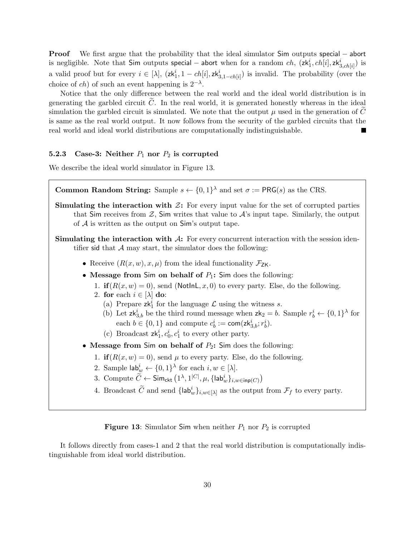Proof We first argue that the probability that the ideal simulator Sim outputs special – abort is negligible. Note that Sim outputs special – abort when for a random  $ch$ ,  $({\sf zk}_1^i, ch[i], {\sf zk}_{3,ch[i]}^i)$  is a valid proof but for every  $i \in [\lambda]$ ,  $(zk_1^i, 1 - ch[i], zk_{3,1-ch[i]}^i)$  is invalid. The probability (over the choice of *ch*) of such an event happening is  $2^{-\lambda}$ .

Notice that the only difference between the real world and the ideal world distribution is in generating the garbled circuit  $\tilde{C}$ . In the real world, it is generated honestly whereas in the ideal simulation the garbled circuit is simulated. We note that the output  $\mu$  used in the generation of  $\tilde{C}$ is same as the real world output. It now follows from the security of the garbled circuits that the real world and ideal world distributions are computationally indistinguishable.

#### 5.2.3 Case-3: Neither  $P_1$  nor  $P_2$  is corrupted

We describe the ideal world simulator in Figure 13.

| <b>Common Random String:</b> Sample $s \leftarrow \{0,1\}^{\lambda}$ and set $\sigma := \text{PRG}(s)$ as the CRS.                                                                                                                                                      |
|-------------------------------------------------------------------------------------------------------------------------------------------------------------------------------------------------------------------------------------------------------------------------|
| <b>Simulating the interaction with Z:</b> For every input value for the set of corrupted parties<br>that Sim receives from $Z$ , Sim writes that value to $\mathcal{A}$ 's input tape. Similarly, the output<br>of $A$ is written as the output on $Sim's$ output tape. |
| <b>Simulating the interaction with A:</b> For every concurrent interaction with the session iden-<br>tifier sid that $A$ may start, the simulator does the following:                                                                                                   |
| • Receive $(R(x, w), x, \mu)$ from the ideal functionality $\mathcal{F}_{ZK}$ .                                                                                                                                                                                         |

- Message from Sim on behalf of  $P_1$ : Sim does the following:
	- 1. if  $(R(x, w) = 0)$ , send (NotlnL, x, 0) to every party. Else, do the following.
	- 2. for each  $i \in [\lambda]$  do:
		- (a) Prepare  $zk_1^i$  for the language  $\mathcal L$  using the witness s.
		- (b) Let  $zk_{3,b}^i$  be the third round message when  $zk_2 = b$ . Sample  $r_b^i \leftarrow \{0,1\}^{\lambda}$  for each  $b \in \{0, 1\}$  and compute  $c_b^i := \text{com}(\mathsf{zk}_{3,b}^i; r_b^i)$ .
		- (c) Broadcast  $z_{1}^{i}, c_{0}^{i}, c_{1}^{i}$  to every other party.
- Message from Sim on behalf of  $P_2$ : Sim does the following:
	- 1. if  $(R(x, w) = 0)$ , send  $\mu$  to every party. Else, do the following.
	- 2. Sample  $\mathsf{lab}_w^i \leftarrow \{0,1\}^{\lambda}$  for each  $i, w \in [\lambda]$ .
	- 3. Compute  $\widetilde{C} \leftarrow \mathsf{Sim}_{\mathsf{ckt}}\left(1^{\lambda}, 1^{|C|}, \mu, \{\mathsf{lab}_w^i\}_{i,w \in \mathsf{inp}(C)}\right)$
	- 4. Broadcast  $\widetilde{C}$  and send  $\{\textsf{lab}_w^i\}_{i,w\in[\lambda]}$  as the output from  $\mathcal{F}_f$  to every party.

**Figure 13:** Simulator Sim when neither  $P_1$  nor  $P_2$  is corrupted

It follows directly from cases-1 and 2 that the real world distribution is computationally indistinguishable from ideal world distribution.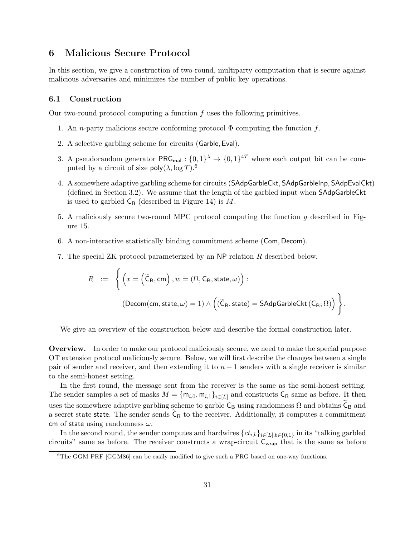# 6 Malicious Secure Protocol

In this section, we give a construction of two-round, multiparty computation that is secure against malicious adversaries and minimizes the number of public key operations.

#### 6.1 Construction

Our two-round protocol computing a function  $f$  uses the following primitives.

- 1. An *n*-party malicious secure conforming protocol  $\Phi$  computing the function f.
- 2. A selective garbling scheme for circuits (Garble, Eval).
- 3. A pseudorandom generator  $PRG_{mal}: \{0,1\}^{\lambda} \to \{0,1\}^{4T}$  where each output bit can be computed by a circuit of size  $\text{poly}(\lambda, \log T)$ .<sup>6</sup>
- 4. A somewhere adaptive garbling scheme for circuits (SAdpGarbleCkt, SAdpGarbleInp, SAdpEvalCkt) (defined in Section 3.2). We assume that the length of the garbled input when SAdpGarbleCkt is used to garbled  $C_B$  (described in Figure 14) is M.
- 5. A maliciously secure two-round MPC protocol computing the function g described in Figure 15.
- 6. A non-interactive statistically binding commitment scheme (Com, Decom).
- 7. The special ZK protocol parameterized by an NP relation R described below.

$$
\begin{array}{lcl} R & := & \displaystyle \Bigg\{ \left( x = \left( \widetilde{C}_B , cm \right) , w = \left( \Omega , C_B , \text{state}, \omega \right) \right) : \\ \\ & & \displaystyle \qquad \qquad \text{(Decom} (cm, \text{state}, \omega) = 1) \wedge \left( \left( \widetilde{C}_B , \text{state} \right) = \text{SAdpGarbleCkt} \left( C_B ; \Omega \right) \right) \Bigg\}. \end{array}
$$

We give an overview of the construction below and describe the formal construction later.

Overview. In order to make our protocol maliciously secure, we need to make the special purpose OT extension protocol maliciously secure. Below, we will first describe the changes between a single pair of sender and receiver, and then extending it to  $n-1$  senders with a single receiver is similar to the semi-honest setting.

In the first round, the message sent from the receiver is the same as the semi-honest setting. The sender samples a set of masks  $M = \{m_{i,0}, m_{i,1}\}_{i\in[L]}$  and constructs  $C_B$  same as before. It then uses the somewhere adaptive garbling scheme to garble  $C_B$  using randomness  $\Omega$  and obtains  $C_B$  and a secret state state. The sender sends  $C_B$  to the receiver. Additionally, it computes a commitment cm of state using randomness  $\omega$ .

In the second round, the sender computes and hardwires  $\{ct_{i,b}\}_{i\in[L],b\in\{0,1\}}$  in its "talking garbled" circuits" same as before. The receiver constructs a wrap-circuit  $C_{wrap}$  that is the same as before

<sup>&</sup>lt;sup>6</sup>The GGM PRF [GGM86] can be easily modified to give such a PRG based on one-way functions.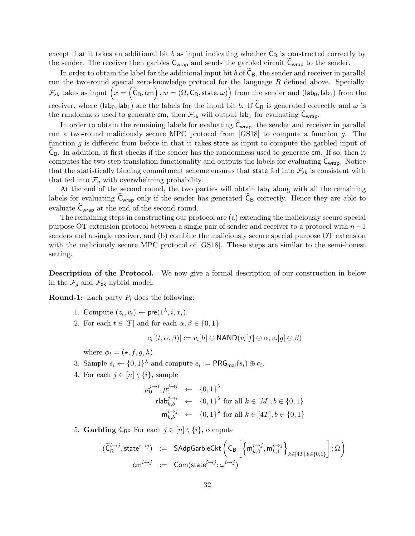except that it takes an additional bit b as input indicating whether  $C_B$  is constructed correctly by the sender. The receiver then garbles  $C_{wrap}$  and sends the garbled circuit  $C_{wrap}$  to the sender.

In order to obtain the label for the additional input bit  $b$  of  $C_B$ , the sender and receiver in parallel run the two-round special zero-knowledge protocol for the language  $R$  defined above. Specially,  $\mathcal{F}_{\mathsf{zk}}$  takes as input  $\left(x = \left(\widetilde{\mathsf{C}}_\mathsf{B}, \mathsf{cm}\right), w = \left(\Omega, \mathsf{C}_\mathsf{B}, \mathsf{state}, \omega\right) \right)$  from the sender and  $(\mathsf{lab}_0, \mathsf{lab}_1)$  from the receiver, where  $(lab_0, lab_1)$  are the labels for the input bit b. If  $C_B$  is generated correctly and  $\omega$  is the randomness used to generate cm, then  $\mathcal{F}_{zk}$  will output  $\vert ab_1 \vert$  for evaluating  $\tilde{C}_{wrap}$ .

In order to obtain the remaining labels for evaluating  $\tilde{C}_{\text{wrap}}$ , the sender and receiver in parallel run a two-round maliciously secure MPC protocol from [GS18] to compute a function g. The function  $g$  is different from before in that it takes state as input to compute the garbled input of  $C_B$ . In addition, it first checks if the sender has the randomness used to generate cm. If so, then it computes the two-step translation functionality and outputs the labels for evaluating  $C_{\text{wrap}}$ . Notice that the statistically binding commitment scheme ensures that state fed into  $\mathcal{F}_{z\mathbf{k}}$  is consistent with that fed into  $\mathcal{F}_q$  with overwhelming probability.

At the end of the second round, the two parties will obtain  $\mathsf{lab}_1$  along with all the remaining labels for evaluating  $C_{\text{wrap}}$  only if the sender has generated  $C_B$  correctly. Hence they are able to evaluate  $\tilde{C}_{wran}$  at the end of the second round.

The remaining steps in constructing our protocol are (a) extending the maliciously secure special purpose OT extension protocol between a single pair of sender and receiver to a protocol with n−1 senders and a single receiver, and (b) combine the maliciously secure special purpose OT extension with the maliciously secure MPC protocol of [GS18]. These steps are similar to the semi-honest setting.

Description of the Protocol. We now give a formal description of our construction in below in the  $\mathcal{F}_q$  and  $\mathcal{F}_{z\mathsf{k}}$  hybrid model.

**Round-1:** Each party  $P_i$  does the following:

- 1. Compute  $(z_i, v_i) \leftarrow \text{pre}(1^{\lambda}, i, x_i)$ .
- 2. For each  $t \in [T]$  and for each  $\alpha, \beta \in \{0, 1\}$

$$
c_i[(t, \alpha, \beta)] := v_i[h] \oplus \text{NAND}(v_i[f] \oplus \alpha, v_i[g] \oplus \beta)
$$

where  $\phi_t = (\star, f, g, h)$ .

- 3. Sample  $s_i \leftarrow \{0,1\}^{\lambda}$  and compute  $e_i := \textsf{PRG}_{\textsf{mal}}(s_i) \oplus c_i$ .
- 4. For each  $j \in [n] \setminus \{i\}$ , sample

$$
\mu_0^{j \to i}, \mu_1^{j \to i} \leftarrow \{0, 1\}^{\lambda}
$$
\n
$$
\mathsf{rlab}_{k, b}^{j \to i} \leftarrow \{0, 1\}^{\lambda} \text{ for all } k \in [M], b \in \{0, 1\}
$$
\n
$$
\mathsf{m}_{k, b}^{i \to j} \leftarrow \{0, 1\}^{\lambda} \text{ for all } k \in [4T], b \in \{0, 1\}
$$

5. Garbling  $C_B$ : For each  $j \in [n] \setminus \{i\}$ , compute

$$
\begin{array}{rcl} (\widetilde{\mathsf{C}}_{\mathsf{B}}^{i\to j}, {\sf state}^{i\to j}) & := & {\sf SAdpGarbleCkt}\left( \mathsf{C}_{\mathsf{B}}\left[\left\{ \mathsf{m}_{k,0}^{i\to j}, \mathsf{m}_{k,1}^{i\to j}\right\}_{k\in[4T], b\in\{0,1\}}\right];\Omega\right) \\ & & \mathsf{cm}^{i\to j} & := & {\sf Com}({\sf state}^{i\to j}; \omega^{i\to j}) \end{array}
$$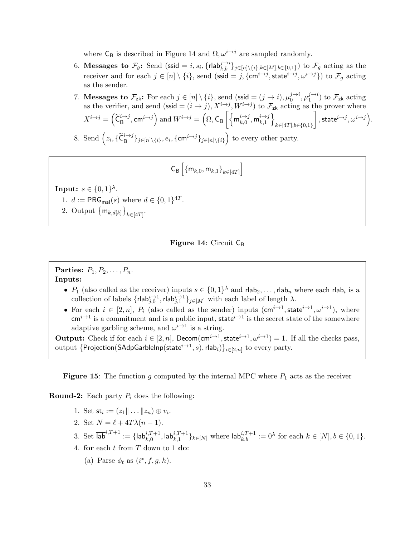where  $C_B$  is described in Figure 14 and  $\Omega, \omega^{i\rightarrow j}$  are sampled randomly.

- 6. Messages to  $\mathcal{F}_g$ : Send (ssid = i, s<sub>i</sub>, {rlab $j \to i \atop k,b \neq j \in [n] \setminus \{i\}, k \in [M], b \in \{0,1\}$ ) to  $\mathcal{F}_g$  acting as the receiver and for each  $j \in [n] \setminus \{i\}$ , send (ssid =  $j$ , {cm<sup>i→j</sup>, state<sup>i→j</sup>,  $\omega^{i\rightarrow j}$ }) to  $\mathcal{F}_g$  acting as the sender.
- 7. Messages to  $\mathcal{F}_{z_k}$ : For each  $j \in [n] \setminus \{i\}$ , send (ssid =  $(j \to i)$ ,  $\mu_0^{j \to i}$  $j\rightarrow i$ ,  $\mu_1^{j\rightarrow i}$  $j \rightarrow 1$  to  $\mathcal{F}_{\mathsf{zk}}$  acting as the verifier, and send  $(\text{ssid} = (i \to j), X^{i \to j}, W^{i \to j})$  to  $\mathcal{F}_{\text{zk}}$  acting as the prover where  $X^{i\to j} = \left(\widetilde{\mathsf{C}}_\mathsf{B}^{i\to j},\mathsf{cm}^{i\to j}\right)$  and  $W^{i\to j} = \left(\Omega,\mathsf{C}_\mathsf{B}\left[\left\{\mathsf{m}_{k,0}^{i\to j}\right.\right. \right)$  $_{k,0}^{i\rightarrow j}$ , m $_{k,1}^{i\rightarrow j}$  $\left\{\begin{array}{c} i\rightarrow j\\ k,1 \end{array}\right\}$  $k \in [4T], b \in \{0,1\}$  $\Big]$ , state $^{i\rightarrow j}, \omega^{i\rightarrow j}$ ).

8. Send  $\left(z_i, \{\widetilde{\mathsf{C}}_\mathsf{B}^{i \to j}\}_{j \in [n] \setminus \{i\}}, e_i, \{\mathsf{cm}^{i \to j}\}_{j \in [n] \setminus \{i\}}\right)$  to every other party.

$$
\mathsf{C}_{\mathsf{B}}\left[\left\{\mathsf{m}_{k,0},\mathsf{m}_{k,1}\right\}_{k\in\left[4T\right]}\right]
$$

**Input:**  $s \in \{0,1\}^{\lambda}$ .

- 1.  $d := \text{PRG}_{\text{mal}}(s)$  where  $d \in \{0, 1\}^{4T}$ .
- 2. Output  $\left\{\mathsf{m}_{k,d[k]}\right\}_{k\in[4T]}$ .



Parties:  $P_1, P_2, \ldots, P_n$ . Inputs:

- $P_1$  (also called as the receiver) inputs  $s \in \{0,1\}^{\lambda}$  and  $\overline{\mathsf{rlab}}_2,\ldots,\overline{\mathsf{rlab}}_n$  where each  $\overline{\mathsf{rlab}}_i$  is a collection of labels  $\{\mathsf{rlab}^{i\to1}_{j,0},\mathsf{rlab}^{i\to1}_{j,1}\}_{j\in[M]}$  with each label of length  $\lambda$ .
- For each  $i \in [2, n]$ ,  $P_i$  (also called as the sender) inputs  $(\text{cm}^{i\rightarrow 1}, \text{state}^{i\rightarrow 1}, \omega^{i\rightarrow 1})$ , where  $\mathsf{cm}^{i\to1}$  is a commitment and is a public input, state<sup>i $\to$ 1</sup> is the secret state of the somewhere adaptive garbling scheme, and  $\omega^{i \rightarrow 1}$  is a string.

**Output:** Check if for each  $i \in [2, n]$ , Decom $(\text{cm}^{i \rightarrow 1}, \text{state}^{i \rightarrow 1}, \omega^{i \rightarrow 1}) = 1$ . If all the checks pass, output {Projection(SAdpGarbleInp(state $^{i\rightarrow 1},s),$   $\overline{\mathsf{rlab}}_i) \}_{i\in[2,n]}$  to every party.

**Figure 15:** The function g computed by the internal MPC where  $P_1$  acts as the receiver

**Round-2:** Each party  $P_i$  does the following:

- 1. Set  $\mathsf{st}_i := (z_1 \| \dots \| z_n) \oplus v_i.$
- 2. Set  $N = \ell + 4T\lambda(n 1)$ .
- 3. Set  $\overline{\mathsf{lab}}^{i,T+1} := \{\mathsf{lab}_{k,0}^{i,T+1}, \mathsf{lab}_{k,1}^{i,T+1}\}_{k\in[N]}$  where  $\mathsf{lab}_{k,b}^{i,T+1} := 0^\lambda$  for each  $k\in[N], b\in\{0,1\}.$
- 4. for each  $t$  from  $T$  down to 1 do:
	- (a) Parse  $\phi_t$  as  $(i^*, f, g, h)$ .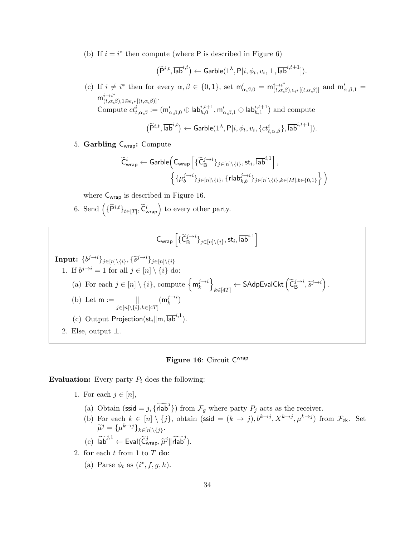(b) If  $i = i^*$  then compute (where P is described in Figure 6)

$$
(\widetilde{\mathsf{P}}^{i,t}, \overline{\mathsf{lab}}^{i,t}) \leftarrow \mathsf{Garble}(1^\lambda, \mathsf{P}[i, \phi_t, v_i, \bot, \overline{\mathsf{lab}}^{i,t+1}]).
$$

(c) If  $i \neq i^*$  then for every  $\alpha, \beta \in \{0,1\}$ , set  $m'_{\alpha,\beta,0} = m^{i \to i^*}_{(t,\alpha,\beta),e_{i^*}[(t,\alpha,\beta)]}$  and  $m'_{\alpha,\beta,1} =$  ${\sf m}^{i\to i^\ast}_{(t,\alpha,\beta),1\oplus e_{i^\ast}[(t,\alpha,\beta)]}.$ Compute  $ct^i_{t,\alpha,\beta}:=(\mathsf{m}'_{\alpha,\beta,0}\oplus \mathsf{lab}_{h,0}^{i,t+1},\mathsf{m}'_{\alpha,\beta,1}\oplus \mathsf{lab}_{h,1}^{i,t+1})$  and compute

$$
(\widetilde{\mathsf{P}}^{i,t},\overline{\mathsf{lab}}^{i,t}) \leftarrow \mathsf{Garble}(1^{\lambda},\mathsf{P}[i,\phi_t,v_i,\{ct^i_{t,\alpha,\beta}\},\overline{\mathsf{lab}}^{i,t+1}]).
$$

5. Garbling  $C_{\text{wrap}}$ : Compute

$$
\widetilde{\mathsf{C}}_{\mathsf{wrap}}^i \leftarrow \mathsf{Garble}\Big(\mathsf{C}_{\mathsf{wrap}}\left[\{\widetilde{\mathsf{C}}_\mathsf{B}^{j \to i}\}_{j \in [n] \setminus \{i\}}, \mathsf{st}_i, \overline{\mathsf{lab}}^{i,1}\right], \\ \Big\{\{\mu_b^{j \to i}\}_{j \in [n] \setminus \{i\}}, \{\mathsf{rlab}_{k,b}^{j \to i}\}_{j \in [n] \setminus \{i\}, k \in [M], b \in \{0,1\}}\Big\}\Big)
$$

where  $C_{\text{wrap}}$  is described in Figure 16.

6. Send  $(\{\widetilde{\mathsf{P}}^{i,t}\}_{t\in[T]},\widetilde{\mathsf{C}}_{\mathsf{wrap}}^i)$  to every other party.

| Chrap                                                                                                                                                                                                                | $\left\{\widetilde{C}_{B}^{j\rightarrow i}\}_{j\in[n]\setminus\{i\}}, st_{i}, \overline{lab}^{i,1}\right\}$  |
|----------------------------------------------------------------------------------------------------------------------------------------------------------------------------------------------------------------------|--------------------------------------------------------------------------------------------------------------|
| Input:                                                                                                                                                                                                               | $\{b^{j\rightarrow i}\}_{j\in[n]\setminus\{i\}}, \{\widetilde{s}^{j\rightarrow i}\}_{j\in[n]\setminus\{i\}}$ |
| Input:                                                                                                                                                                                                               | $\{b^{j\rightarrow i} = 1 \text{ for all } j \in [n] \setminus \{i\} \text{ do:}$                            |
| (a) For each $j \in [n] \setminus \{i\}$ , compute $\left\{m_k^{j\rightarrow i}\right\}_{k\in[4T]} \leftarrow \text{SAdpEvalCkt}\left(\widetilde{C}_{B}^{j\rightarrow i}, \widetilde{s}^{j\rightarrow i}\right).$ \n |                                                                                                              |
| (b) Let $m := \underset{j\in[n]\setminus\{i\}, k\in[4T]}{\ m\ } (m_k^{j\rightarrow i})$ \n                                                                                                                           |                                                                                                              |
| (c) Output Projection(st <sub>i</sub>   m, \overline{lab}^{i,1}).                                                                                                                                                    |                                                                                                              |
| 2. Else, output $\perp$ .                                                                                                                                                                                            |                                                                                                              |

### Figure 16: Circuit Cwrap

**Evaluation:** Every party  $P_i$  does the following:

- 1. For each  $j \in [n]$ ,
	- (a) Obtain (ssid = j, { $\widetilde{\text{rlab}}^j$ }) from  $\mathcal{F}_g$  where party  $P_j$  acts as the receiver.
	- (b) For each  $k \in [n] \setminus \{j\}$ , obtain (ssid =  $(k \to j)$ ,  $b^{k \to j}$ ,  $X^{k \to j}$ ,  $\mu^{k \to j}$ ) from  $\mathcal{F}_{\mathsf{zk}}$ . Set  $\widetilde{\mu}^j = \{\mu^{k \to j}\}_{k \in [n] \setminus \{j\}}.$
	- $\widetilde{\text{(c)}}$  lab<sup>j,1</sup>  $\leftarrow$  Eval $(\widetilde{\text{C}}_{\text{wrap}}, \widetilde{\mu}^j \|\widetilde{\text{rlab}}^j)$ .
- 2. for each  $t$  from 1 to  $T$  do:
	- (a) Parse  $\phi_t$  as  $(i^*, f, g, h)$ .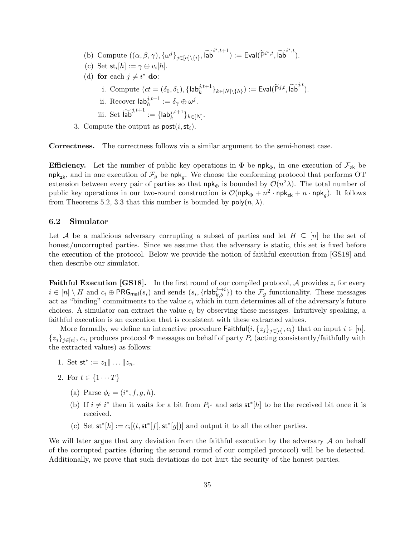(b) Compute  $((\alpha,\beta,\gamma), \{\omega^j\}_{j\in[n]\backslash\{i\}}, \widetilde{\mathsf{lab}}^{i^*,t+1}) := \mathsf{Eval}(\widetilde{\mathsf{P}}^{i^*,t}, \widetilde{\mathsf{lab}}^{i^*,t}).$ (c) Set  $\mathsf{st}_i[h] := \gamma \oplus v_i[h].$ (d) for each  $j \neq i^*$  do: i. Compute  $(ct = (\delta_0, \delta_1), \{\mathsf{lab}_k^{j,t+1}\}_{k \in [N] \setminus \{h\}}) := \mathsf{Eval}(\widetilde{P}^{j,t}, \widetilde{\mathsf{lab}}^{j,t}).$ ii. Recover  $\mathsf{lab}_h^{j,t+1} := \delta_\gamma \oplus \omega^j$ . iii. Set  $\widetilde{\mathsf{lab}}^{j,t+1} := {\mathsf{lab}}^{j,t+1}_k\}_{k \in [N]}.$ 3. Compute the output as  $post(i, st_i)$ .

Correctness. The correctness follows via a similar argument to the semi-honest case.

**Efficiency.** Let the number of public key operations in  $\Phi$  be npk<sub> $\Phi$ </sub>, in one execution of  $\mathcal{F}_{z\mathbf{k}}$  be  $npk_{zk}$ , and in one execution of  $\mathcal{F}_g$  be  $npk_g$ . We choose the conforming protocol that performs OT extension between every pair of parties so that  $n p k_{\Phi}$  is bounded by  $\mathcal{O}(n^2 \lambda)$ . The total number of public key operations in our two-round construction is  $\mathcal{O}(npk_{\Phi} + n^2 \cdot npk_{zk} + n \cdot npk_g)$ . It follows from Theorems 5.2, 3.3 that this number is bounded by  $poly(n, \lambda)$ .

#### 6.2 Simulator

Let A be a malicious adversary corrupting a subset of parties and let  $H \subseteq [n]$  be the set of honest/uncorrupted parties. Since we assume that the adversary is static, this set is fixed before the execution of the protocol. Below we provide the notion of faithful execution from [GS18] and then describe our simulator.

**Faithful Execution [GS18].** In the first round of our compiled protocol, A provides  $z_i$  for every  $i \in [n] \setminus H$  and  $c_i \oplus \overline{PRG_{\text{mal}}(s_i)}$  and sends  $(s_i, \{\text{rlab}_{k,b}^{j\to i}\})$  to the  $\mathcal{F}_g$  functionality. These messages act as "binding" commitments to the value  $c_i$  which in turn determines all of the adversary's future choices. A simulator can extract the value  $c_i$  by observing these messages. Intuitively speaking, a faithful execution is an execution that is consistent with these extracted values.

More formally, we define an interactive procedure  $\textsf{faithful}(i, \{z_j\}_{j\in[n]}, c_i)$  that on input  $i \in [n],$  $\{z_j\}_{j\in[n]}, c_i$ , produces protocol  $\Phi$  messages on behalf of party  $P_i$  (acting consistently/faithfully with the extracted values) as follows:

- 1. Set  $\mathsf{st}^* := z_1 \| \dots \| z_n$ .
- 2. For  $t \in \{1 \cdots T\}$ 
	- (a) Parse  $\phi_t = (i^*, f, g, h)$ .
	- (b) If  $i \neq i^*$  then it waits for a bit from  $P_{i^*}$  and sets st<sup>\*</sup>[h] to be the received bit once it is received.
	- (c) Set  $\mathsf{st}^*[h] := c_i[(t, \mathsf{st}^*[f], \mathsf{st}^*[g])]$  and output it to all the other parties.

We will later argue that any deviation from the faithful execution by the adversary  $\mathcal A$  on behalf of the corrupted parties (during the second round of our compiled protocol) will be be detected. Additionally, we prove that such deviations do not hurt the security of the honest parties.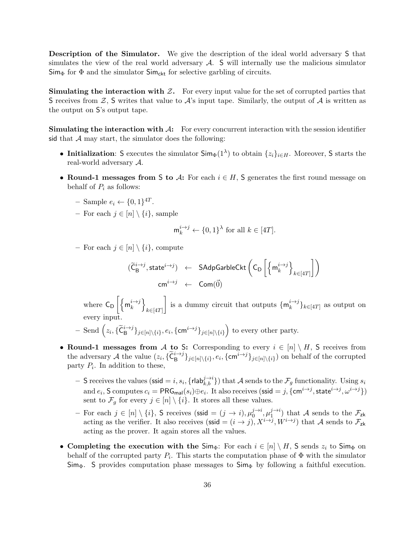Description of the Simulator. We give the description of the ideal world adversary S that simulates the view of the real world adversary  $\mathcal{A}$ . S will internally use the malicious simulator  $\mathsf{Sim}_{\Phi}$  for  $\Phi$  and the simulator  $\mathsf{Sim}_{\mathsf{ckt}}$  for selective garbling of circuits.

**Simulating the interaction with**  $\mathcal{Z}$ **.** For every input value for the set of corrupted parties that S receives from  $\mathcal{Z}$ , S writes that value to  $\mathcal{A}$ 's input tape. Similarly, the output of  $\mathcal{A}$  is written as the output on S's output tape.

**Simulating the interaction with**  $\mathcal{A}$ **:** For every concurrent interaction with the session identifier sid that  $A$  may start, the simulator does the following:

- Initialization: S executes the simulator  $\mathsf{Sim}_{\Phi}(1^{\lambda})$  to obtain  $\{z_i\}_{i\in H}$ . Moreover, S starts the real-world adversary A.
- Round-1 messages from S to A: For each  $i \in H$ , S generates the first round message on behalf of  $P_i$  as follows:
	- Sample  $e_i \leftarrow \{0, 1\}^{4T}$ .
	- For each  $j \in [n] \setminus \{i\}$ , sample

$$
\mathsf{m}_k^{i \to j} \leftarrow \{0, 1\}^\lambda \text{ for all } k \in [4T].
$$

– For each  $j \in [n] \setminus \{i\}$ , compute

$$
\begin{array}{ccc} (\widetilde{\mathsf{C}}_{\mathsf{B}}^{i\to j},\mathsf{state}^{i\to j}) & \leftarrow & \mathsf{SAdpGarbleCkt}\left(\mathsf{C_D}\left[\left\lbrace\mathsf{m}_k^{i\to j}\right\rbrace_{k\in[4T]}\right]\right)\\ & & \mathsf{cm}^{i\to j} & \leftarrow & \mathsf{Com}(\vec{0})\end{array}
$$

where  $C_D \left[ \left\{ \mathsf{m}_k^{i \to j} \right. \right.$  $\left\{\begin{matrix} i \rightarrow j \\ k \end{matrix}\right\}$  $k \in [4T]$ is a dummy circuit that outputs  $\{m_k^{i\rightarrow j}\}$  $\binom{n\rightarrow j}{k}$ <sub>k∈[4T]</sub> as output on every input.

- $\text{ Send } \left( z_i, \{ \widetilde{\mathsf{C}}_\mathsf{B}^{i \to j} \}_{j \in [n] \setminus \{i\}}, e_i, \{ \mathsf{cm}^{i \to j} \}_{j \in [n] \setminus \{i\}} \right) \text{ to every other party.}$
- Round-1 messages from A to S: Corresponding to every  $i \in [n] \setminus H$ , S receives from the adversary A the value  $(z_i, {\{\widetilde{\mathsf{C}}_{\mathsf{B}}^{i \to j}\}}_{j \in [n] \setminus \{i\}}, e_i, {\{\mathsf{cm}}^{i \to j}\}_{j \in [n] \setminus \{i\}})$  on behalf of the corrupted party  $P_i$ . In addition to these,
	- $-$  S receives the values (ssid  $=i, s_i, \{\mathsf{rlab}_{k,b}^{j\to i}\}\)$  that A sends to the  $\mathcal{F}_g$  functionality. Using  $s_i$ and  $e_i$ , S computes  $c_i = \text{PRG}_{\text{mal}}(s_i) \oplus e_i$ . It also receives (ssid  $= j, \{ \text{cm}^{i \to j}, \text{state}^{i \to j}, \omega^{i \to j} \}$ ) sent to  $\mathcal{F}_g$  for every  $j \in [n] \setminus \{i\}$ . It stores all these values.
	- For each  $j \in [n] \setminus \{i\}$ , S receives (ssid =  $(j \to i)$ ,  $\mu_0^{j \to i}$  $j\rightarrow i$ ,  $\mu_1^{j\rightarrow i}$  $\mathcal{I}_1^{\jmath \to i}$  that A sends to the  $\mathcal{F}_{\mathsf{zk}}$ acting as the verifier. It also receives  $(s\ddot{\mathbf{s}}\mathbf{d} = (i \to j), X^{i \to j}, W^{i \to j})$  that A sends to  $\mathcal{F}_{\mathbf{z}\mathbf{k}}$ acting as the prover. It again stores all the values.
- Completing the execution with the Sim<sub>Φ</sub>: For each  $i \in [n] \setminus H$ , S sends  $z_i$  to Sim<sub>Φ</sub> on behalf of the corrupted party  $P_i$ . This starts the computation phase of  $\Phi$  with the simulator  $\mathsf{Sim}_{\Phi}$ . S provides computation phase messages to  $\mathsf{Sim}_{\Phi}$  by following a faithful execution.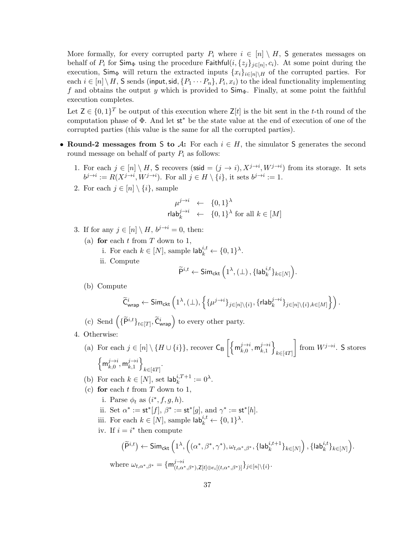More formally, for every corrupted party  $P_i$  where  $i \in [n] \setminus H$ , S generates messages on behalf of  $P_i$  for  $\mathsf{Sim}_{\Phi}$  using the procedure Faithful $(i, \{z_j\}_{j\in[n]}, c_i)$ . At some point during the execution, Sim<sub>Φ</sub> will return the extracted inputs  ${x_i}_{i\in[n]\setminus H}$  of the corrupted parties. For each  $i \in [n] \setminus H$ , S sends (input, sid,  $\{P_1 \cdots P_n\}$ ,  $P_i$ ,  $x_i$ ) to the ideal functionality implementing f and obtains the output y which is provided to  $\mathsf{Sim}_{\Phi}$ . Finally, at some point the faithful execution completes.

Let  $\mathsf{Z} \in \{0,1\}^T$  be output of this execution where  $\mathsf{Z}[t]$  is the bit sent in the t-th round of the computation phase of Φ. And let  $st^*$  be the state value at the end of execution of one of the corrupted parties (this value is the same for all the corrupted parties).

- Round-2 messages from S to A: For each  $i \in H$ , the simulator S generates the second round message on behalf of party  $P_i$  as follows:
	- 1. For each  $j \in [n] \setminus H$ , S recovers (ssid =  $(j \to i)$ ,  $X^{j \to i}$ ,  $W^{j \to i}$ ) from its storage. It sets  $b^{j\to i} := R(X^{j\to i}, W^{j\to i})$ . For all  $j \in H \setminus \{i\}$ , it sets  $b^{j\to i} := 1$ .
	- 2. For each  $j \in [n] \setminus \{i\}$ , sample

$$
\mu^{j \to i} \leftarrow \{0, 1\}^{\lambda}
$$
  
rlab<sub>k</sub><sup>j \to i</sup>  $\leftarrow \{0, 1\}^{\lambda}$  for all  $k \in [M]$ 

- 3. If for any  $j \in [n] \setminus H$ ,  $b^{j \to i} = 0$ , then:
	- (a) for each  $t$  from  $T$  down to 1, i. For each  $k \in [N]$ , sample  $\mathsf{lab}_k^{i,t} \leftarrow \{0,1\}^{\lambda}$ . ii. Compute

$$
\widetilde{\mathsf{P}}^{i,t} \leftarrow \mathsf{Sim}_\mathsf{ckt}\left(1^\lambda, (\bot)\,, \{\mathsf{lab}_k^{i,t}\}_{k\in [N]}\right)\! .
$$

(b) Compute

$$
\widetilde{\mathsf{C}}_{\mathsf{wrap}}^i \leftarrow \mathsf{Sim}_\mathsf{ckt}\left(1^\lambda,(\bot),\left\{\{\mu^{j \rightarrow i}\}_{j \in [n] \setminus \{i\}}, \{\mathsf{rlab}_k^{j \rightarrow i}\}_{j \in [n] \setminus \{i\}, k \in [M]}\right\}\right).
$$

(c) Send  $(\{\widetilde{\mathsf{P}}^{i,t}\}_{t\in[T]}, \widetilde{\mathsf{C}}_{\mathsf{wrap}}^i)$  to every other party.

- 4. Otherwise:
	- (a) For each  $j \in [n] \setminus \{H \cup \{i\}\}\$ , recover  $\mathsf{C}_{\mathsf{B}}\left[\left\{\mathsf{m}_{k,0}^{j \to i}\right\}\right]$  $_{k,0}^{j\rightarrow i},$  m $_{k,1}^{j\rightarrow i}$  $\left\{\begin{array}{c} j \rightarrow i \\ k,1 \end{array}\right\}$  $k \in [4T]$  $\Big]$  from  $W^{j\rightarrow i}$ . S stores  $\{m_{k}^{j\rightarrow i}$  $j\rightarrow i\atop k,0\phantom{i},\, {\sf m}_{k,1}^{j\rightarrow i}$  $\left\{\begin{array}{c} j \rightarrow i \\ k, 1 \end{array}\right\}$  $k \in [4T]$
	- (b) For each  $k \in [N]$ , set  $\mathsf{lab}_k^{i,T+1} := 0^{\lambda}$ .
	- (c) for each  $t$  from  $T$  down to 1,
		- i. Parse  $\phi_t$  as  $(i^*, f, g, h)$ .
		- ii. Set  $\alpha^* := \mathsf{st}^*[f], \beta^* := \mathsf{st}^*[g],$  and  $\gamma^* := \mathsf{st}^*[h].$
		- iii. For each  $k \in [N]$ , sample  $\mathsf{lab}_k^{i,t} \leftarrow \{0,1\}^{\lambda}$ .
		- iv. If  $i = i^*$  then compute

$$
\left(\widetilde{\mathsf{P}}^{i,t}\right) \leftarrow \mathsf{Sim}_{\mathsf{ckt}}\left(1^{\lambda}, \left((\alpha^*, \beta^*, \gamma^*), \omega_{t, \alpha^*, \beta^*}, \{\mathsf{lab}_k^{i,t+1}\}_{k \in [N]}\right), \{\mathsf{lab}_k^{i,t}\}_{k \in [N]}\right)
$$
\n
$$
\text{where } \omega_{t, \alpha^*, \beta^*} = \{\mathsf{m}_{(t, \alpha^*, \beta^*), \mathsf{Z}[t] \oplus e_i[(t, \alpha^*, \beta^*)]}\}_{j \in [n] \setminus \{i\}}.
$$

.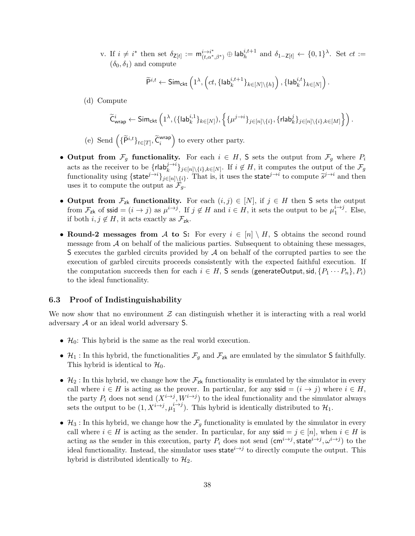v. If  $i \neq i^*$  then set  $\delta_{\mathsf{Z}[t]} := \mathsf{m}_{(t,\alpha^*,\beta^*)}^{i \to i^*} \oplus \mathsf{lab}_h^{i,t+1}$  and  $\delta_{1-\mathsf{Z}[t]} \leftarrow \{0,1\}^{\lambda}$ . Set  $ct :=$  $(\delta_0, \delta_1)$  and compute

$$
\widetilde{\mathsf{P}}^{i,t} \leftarrow \mathsf{Sim}_{\mathsf{ckt}}\left(1^\lambda, \left(ct, \{\mathsf{lab}_k^{i,t+1}\}_{k\in [N]\backslash\{h\}}\right), \{\mathsf{lab}_k^{i,t}\}_{k\in [N]}\right).
$$

(d) Compute

$$
\widetilde{\mathsf{C}}_{\mathsf{wrap}}^i \leftarrow \mathsf{Sim}_{\mathsf{ckt}}\left(1^\lambda, (\{\mathsf{lab}_k^{i,1}\}_{k\in [N]}), \left\{\{\mu^{j\rightarrow i}\}_{j\in [n]\backslash\{i\}}, \{\mathsf{rlab}_k^j\}_{j\in [n]\backslash\{i\}, k\in [M]}\right\}\right).
$$

(e) Send 
$$
\left( \{ \widetilde{\mathsf{P}}^{i,t} \}_{t \in [T]}, \widetilde{\mathsf{C}}^{\mathsf{wrap}}_i \right)
$$
 to every other party.

- Output from  $\mathcal{F}_g$  functionality. For each  $i \in H$ , S sets the output from  $\mathcal{F}_g$  where  $P_i$ acts as the receiver to be  $\{\text{rlab}_k^{j\to i}\}_{j\in[n]\setminus\{i\},k\in[N]}$ . If  $i \notin H$ , it computes the output of the  $\mathcal{F}_g$ functionality using  $\{\text{state}^{j\to i}\}_{j\in[n]\setminus\{i\}}$ . That is, it uses the state<sup> $j\to i$ </sup> to compute  $\tilde{s}^{j\to i}$  and then uses it to compute the output as  $\mathcal{F}_g$ .
- Output from  $\mathcal{F}_{z_k}$  functionality. For each  $(i, j) \in [N]$ , if  $j \in H$  then S sets the output from  $\mathcal{F}_{\mathsf{zk}}$  of ssid  $=(i \to j)$  as  $\mu^{i \to j}$ . If  $j \notin H$  and  $i \in H$ , it sets the output to be  $\mu_1^{i \to j}$  $i \rightarrow j$ . Else, if both  $i, j \notin H$ , it acts exactly as  $\mathcal{F}_{\mathsf{zk}}$ .
- Round-2 messages from A to S: For every  $i \in [n] \setminus H$ , S obtains the second round message from  $A$  on behalf of the malicious parties. Subsequent to obtaining these messages, S executes the garbled circuits provided by  $A$  on behalf of the corrupted parties to see the execution of garbled circuits proceeds consistently with the expected faithful execution. If the computation succeeds then for each  $i \in H$ , S sends (generateOutput, sid,  $\{P_1 \cdots P_n\}, P_i$ ) to the ideal functionality.

#### 6.3 Proof of Indistinguishability

We now show that no environment  $\mathcal Z$  can distinguish whether it is interacting with a real world adversary A or an ideal world adversary S.

- $\mathcal{H}_0$ : This hybrid is the same as the real world execution.
- $\mathcal{H}_1$ : In this hybrid, the functionalities  $\mathcal{F}_g$  and  $\mathcal{F}_{z\mathsf{k}}$  are emulated by the simulator S faithfully. This hybrid is identical to  $\mathcal{H}_0$ .
- $\mathcal{H}_2$ : In this hybrid, we change how the  $\mathcal{F}_{z\mathsf{k}}$  functionality is emulated by the simulator in every call where  $i \in H$  is acting as the prover. In particular, for any ssid =  $(i \rightarrow j)$  where  $i \in H$ , the party  $P_i$  does not send  $(X^{i\rightarrow j}, W^{i\rightarrow j})$  to the ideal functionality and the simulator always sets the output to be  $(1, X^{i \to j}, \mu_1^{i \to j})$  $\binom{i}{1}$ . This hybrid is identically distributed to  $\mathcal{H}_1$ .
- $\mathcal{H}_3$ : In this hybrid, we change how the  $\mathcal{F}_g$  functionality is emulated by the simulator in every call where  $i \in H$  is acting as the sender. In particular, for any ssid  $= j \in [n]$ , when  $i \in H$  is acting as the sender in this execution, party  $P_i$  does not send  $(\text{cm}^{i\rightarrow j}, \text{state}^{i\rightarrow j}, \omega^{i\rightarrow j})$  to the ideal functionality. Instead, the simulator uses state<sup> $i\rightarrow j$ </sup> to directly compute the output. This hybrid is distributed identically to  $\mathcal{H}_2$ .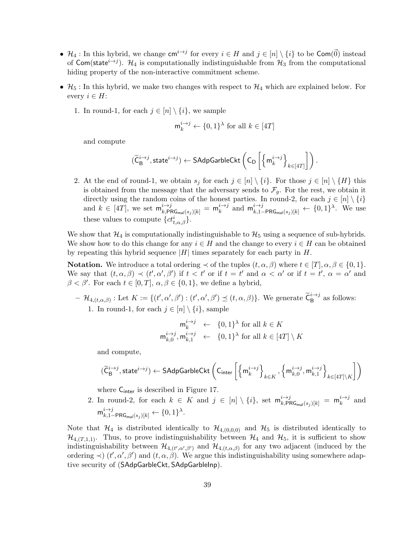- $\mathcal{H}_4$ : In this hybrid, we change  $\mathsf{cm}^{i\to j}$  for every  $i \in H$  and  $j \in [n] \setminus \{i\}$  to be  $\mathsf{Com}(\vec{0})$  instead of  $\mathsf{Com}(\mathsf{state}^{i\to j})$ .  $\mathcal{H}_4$  is computationally indistinguishable from  $\mathcal{H}_3$  from the computational hiding property of the non-interactive commitment scheme.
- $\mathcal{H}_5$ : In this hybrid, we make two changes with respect to  $\mathcal{H}_4$  which are explained below. For every  $i \in H$ :
	- 1. In round-1, for each  $j \in [n] \setminus \{i\}$ , we sample

$$
\mathbf{m}_k^{i \to j} \leftarrow \{0, 1\}^\lambda \text{ for all } k \in [4T]
$$

and compute

$$
(\widetilde{\mathsf{C}}_\mathsf{B}^{i \to j}, {\sf state}^{i \to j}) \gets \mathsf{SAdpGarbleCkt}\left(\mathsf{C}_\mathsf{D}\left[\left\{\mathsf{m}_k^{i \to j}\right\}_{k \in [4T]}\right]\right).
$$

2. At the end of round-1, we obtain  $s_j$  for each  $j \in [n] \setminus \{i\}$ . For those  $j \in [n] \setminus \{H\}$  this is obtained from the message that the adversary sends to  $\mathcal{F}_g$ . For the rest, we obtain it directly using the random coins of the honest parties. In round-2, for each  $j \in [n] \setminus \{i\}$ and  $k \in [4T]$ , we set  $m_{k, \text{PRG}_{\text{mal}}(s_j)[k]}^{\rightarrow j} = m_k^{i \rightarrow j}$  $\sum_{k}^{i \to j}$  and  $\mathsf{m}_{k,1-\textsf{PRG}_{\textsf{mal}}(s_j)[k]}^{i \to j} \leftarrow \{0,1\}^{\lambda}$ . We use these values to compute  $\{ct_{t,\alpha,\beta}\}.$ 

We show that  $\mathcal{H}_4$  is computationally indistinguishable to  $\mathcal{H}_5$  using a sequence of sub-hybrids. We show how to do this change for any  $i \in H$  and the change to every  $i \in H$  can be obtained by repeating this hybrid sequence  $|H|$  times separately for each party in  $H$ .

**Notation.** We introduce a total ordering  $\prec$  of the tuples  $(t, \alpha, \beta)$  where  $t \in [T], \alpha, \beta \in \{0, 1\}$ . We say that  $(t, \alpha, \beta) \prec (t', \alpha', \beta')$  if  $t < t'$  or if  $t = t'$  and  $\alpha < \alpha'$  or if  $t = t'$ ,  $\alpha = \alpha'$  and  $\beta < \beta'$ . For each  $t \in [0, T]$ ,  $\alpha, \beta \in \{0, 1\}$ , we define a hybrid,

 $\mathcal{H}_{4,(t,\alpha,\beta)}$ : Let  $K := \{(t',\alpha',\beta'): (t',\alpha',\beta') \preceq (t,\alpha,\beta)\}\.$  We generate  $\widetilde{\mathsf{C}}_{\mathsf{B}}^{i\to j}$  as follows: 1. In round-1, for each  $j \in [n] \setminus \{i\}$ , sample

$$
\begin{array}{rcl}\n\mathsf{m}_{k}^{i\to j} & \leftarrow & \{0,1\}^{\lambda} \text{ for all } k \in K \\
\mathsf{m}_{k,0}^{i\to j}, \mathsf{m}_{k,1}^{i\to j} & \leftarrow & \{0,1\}^{\lambda} \text{ for all } k \in [4T] \setminus K\n\end{array}
$$

and compute,

$$
(\widetilde{\mathsf{C}}_{\mathsf{B}}^{i\to j},\mathsf{state}^{i\to j}) \gets \mathsf{SAdpGarbleCkt}\left(\mathsf{C}_{\mathsf{inter}}\left[\left\{\mathsf{m}_{k}^{i\to j}\right\}_{k\in K},\left\{\mathsf{m}_{k,0}^{i\to j},\mathsf{m}_{k,1}^{i\to j}\right\}_{k\in[4T]\setminus K}\right]\right)
$$

where  $C_{inter}$  is described in Figure 17.

2. In round-2, for each  $k \in K$  and  $j \in [n] \setminus \{i\}$ , set  $m_{k,PRG_{mal}(s_j)[k]}^{i \to j} = m_k^{i \to j}$  $\int_k^{i \to j}$  and  $\mathsf{m}^{i\to j}_{k,1-\mathsf{PRG}_{\mathsf{mal}}(s_j)[k]} \leftarrow \{0,1\}^{\lambda}.$ 

Note that  $\mathcal{H}_4$  is distributed identically to  $\mathcal{H}_{4,(0,0,0)}$  and  $\mathcal{H}_5$  is distributed identically to  $\mathcal{H}_{4,(T,1,1)}$ . Thus, to prove indistinguishability between  $\mathcal{H}_4$  and  $\mathcal{H}_5$ , it is sufficient to show indistinguishability between  $\mathcal{H}_{4,(t',\alpha',\beta')}$  and  $\mathcal{H}_{4,(t,\alpha,\beta)}$  for any two adjacent (induced by the ordering  $\prec$ )  $(t', \alpha', \beta')$  and  $(t, \alpha, \beta)$ . We argue this indistinguishability using somewhere adaptive security of (SAdpGarbleCkt, SAdpGarbleInp).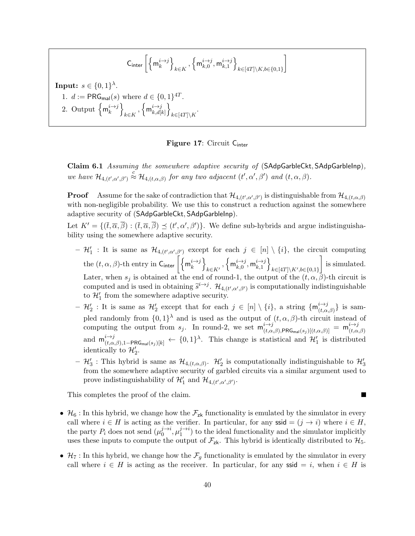$$
\mathsf{C}_{\mathsf{inter}}\left[\left\{\mathsf{m}_{k}^{i\to j}\right\}_{k\in K}, \left\{\mathsf{m}_{k,0}^{i\to j}, \mathsf{m}_{k,1}^{i\to j}\right\}_{k\in [4T]\backslash K, b\in\{0,1\}}\right]
$$
\n**Input:**  $s \in \{0,1\}^{\lambda}$ .

\n $1. d := \text{PRG}_{\text{mal}}(s)$  where  $d \in \{0,1\}^{4T}$ .

\n $2. \text{ Output } \left\{\mathsf{m}_{k}^{i\to j}\right\}_{k\in K}, \left\{\mathsf{m}_{k,d[k]}^{i\to j}\right\}_{k\in [4T]\backslash K}.$ 

Figure 17: Circuit C<sub>inter</sub>

Claim 6.1 Assuming the somewhere adaptive security of (SAdpGarbleCkt, SAdpGarbleInp), we have  $\mathcal{H}_{4,(t',\alpha',\beta')}$  $\stackrel{c}{\approx} \mathcal{H}_{4,(t,\alpha,\beta)}$  for any two adjacent  $(t',\alpha',\beta')$  and  $(t,\alpha,\beta)$ .

**Proof** Assume for the sake of contradiction that  $\mathcal{H}_{4,(t',\alpha',\beta')}$  is distinguishable from  $\mathcal{H}_{4,(t,\alpha,\beta)}$ with non-negligible probability. We use this to construct a reduction against the somewhere adaptive security of (SAdpGarbleCkt, SAdpGarbleInp).

Let  $K' = \{(\bar{t}, \overline{\alpha}, \overline{\beta}) : (\bar{t}, \overline{\alpha}, \overline{\beta}) \preceq (t', \alpha', \beta')\}.$  We define sub-hybrids and argue indistinguishability using the somewhere adaptive security.

- $\mathcal{H}'_1$ : It is same as  $\mathcal{H}_{4,(t',\alpha',\beta')}$  except for each  $j \in [n] \setminus \{i\}$ , the circuit computing the  $(t, \alpha, \beta)$ -th entry in  $\mathsf{C}_{\mathsf{inter}}\Big[\Big\{\mathsf{m}_k^{i \to j}$  $\left\{\begin{matrix} i \rightarrow j \\ k \end{matrix}\right\}$  $_{k\in K^{\prime}}$  ,  $\left\{\mathsf{m}_{k,0}^{i\rightarrow j}\right.$  $_{k,0}^{i\rightarrow j}$ , m $_{k,1}^{i\rightarrow j}$  $\left\{\begin{array}{c} i\rightarrow j\\ k,1 \end{array}\right\}$  $k \in [4T] \backslash K', b \in \{0,1\}$  is simulated. Later, when  $s_j$  is obtained at the end of round-1, the output of the  $(t, \alpha, \overline{\beta})$ -th circuit is computed and is used in obtaining  $\tilde{s}^{i\to j}$ .  $\mathcal{H}_{4,(t',\alpha',\beta')}$  is computationally indistinguishable<br>to  $\mathcal{H}'$  from the computer adaptive sequity. to  $\mathcal{H}'_1$  from the somewhere adaptive security.
- $\mathcal{H}'_2$ : It is same as  $\mathcal{H}'_2$  except that for each  $j \in [n] \setminus \{i\}$ , a string  $\{\mathsf{m}_{(t,\alpha)}^{i\to j}$  $\{t, \alpha, \beta\}$  is sampled randomly from  $\{0,1\}^{\lambda}$  and is used as the output of  $(t, \alpha, \beta)$ -th circuit instead of computing the output from  $s_j$ . In round-2, we set  $m^{i\to j}_{(t,\alpha,\beta),\text{PRG}_{mal}(s_j)[(t,\alpha,\beta)]} = m^{i\to j}_{(t,\alpha,\beta)}$  $(t,\alpha,\beta)$ and  $m_{(t,\alpha,\beta),1-\text{PRG}_{mal}(s_j)[k]}^{i\rightarrow j} \leftarrow \{0,1\}^{\lambda}$ . This change is statistical and  $\mathcal{H}'_1$  is distributed identically to  $\mathcal{H}'_2$ .
- $\mathcal{H}'_3$ : This hybrid is same as  $\mathcal{H}_{4,(t,\alpha,\beta)}$ .  $\mathcal{H}'_2$  is computationally indistinguishable to  $\mathcal{H}'_3$ from the somewhere adaptive security of garbled circuits via a similar argument used to prove indistinguishability of  $\mathcal{H}'_1$  and  $\mathcal{H}_{4,(t',\alpha',\beta')}$ .

This completes the proof of the claim.

- $\mathcal{H}_6$ : In this hybrid, we change how the  $\mathcal{F}_{\mathsf{zk}}$  functionality is emulated by the simulator in every call where  $i \in H$  is acting as the verifier. In particular, for any ssid =  $(j \rightarrow i)$  where  $i \in H$ , the party  $P_i$  does not send  $(\mu_0^{j\to i})$  $j\rightarrow i$ ,  $\mu_1^{j\rightarrow i}$  $j \rightarrow 1$  to the ideal functionality and the simulator implicitly uses these inputs to compute the output of  $\mathcal{F}_{zk}$ . This hybrid is identically distributed to  $\mathcal{H}_5$ .
- $\mathcal{H}_7$ : In this hybrid, we change how the  $\mathcal{F}_q$  functionality is emulated by the simulator in every call where  $i \in H$  is acting as the receiver. In particular, for any ssid = i, when  $i \in H$  is

 $\blacksquare$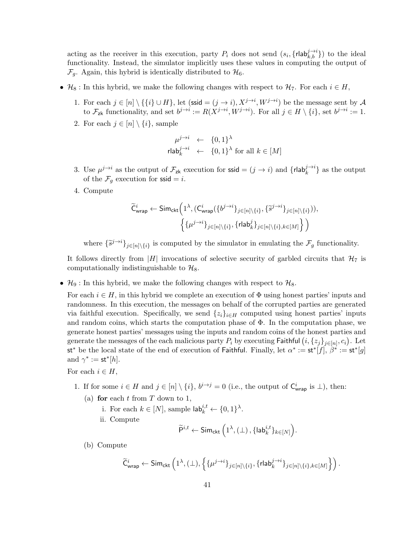acting as the receiver in this execution, party  $P_i$  does not send  $(s_i, \{r | ab_{k,b}^{j\rightarrow i} \})$  to the ideal functionality. Instead, the simulator implicitly uses these values in computing the output of  $\mathcal{F}_q$ . Again, this hybrid is identically distributed to  $\mathcal{H}_6$ .

- $\mathcal{H}_8$ : In this hybrid, we make the following changes with respect to  $\mathcal{H}_7$ . For each  $i \in H$ ,
	- 1. For each  $j \in [n] \setminus \{\{i\} \cup H\}$ , let  $(\textsf{ssid} = (j \to i), X^{j \to i}, W^{j \to i})$  be the message sent by A to  $\mathcal{F}_{\mathsf{zk}}$  functionality, and set  $b^{j \to i} := R(X^{j \to i}, W^{j \to i})$ . For all  $j \in H \setminus \{i\}$ , set  $b^{j \to i} := 1$ .
	- 2. For each  $j \in [n] \setminus \{i\}$ , sample

$$
\mu^{j \to i} \leftarrow \{0, 1\}^{\lambda}
$$
  

$$
\mathsf{rlab}_{k}^{j \to i} \leftarrow \{0, 1\}^{\lambda} \text{ for all } k \in [M]
$$

- 3. Use  $\mu^{j \to i}$  as the output of  $\mathcal{F}_{zk}$  execution for ssid  $=(j \to i)$  and  $\{r \mid ab_k^{j \to i}\}$  as the output of the  $\mathcal{F}_q$  execution for ssid = i.
- 4. Compute

$$
\widetilde{C}_{\text{wrap}}^i \leftarrow \text{Sim}_{\text{ckt}}\Big(1^\lambda, (\text{C}_{\text{wrap}}^i(\{b^{j \to i}\}_{j \in [n] \setminus \{i\}}, \{\widetilde{s}^{j \to i}\}_{j \in [n] \setminus \{i\}})),\\ \Big\{\{\mu^{j \to i}\}_{j \in [n] \setminus \{i\}}, \{\text{rlab}_k^j\}_{j \in [n] \setminus \{i\}, k \in [M]}\Big\}\Big)
$$

where  $\{\tilde{s}^{j\to i}\}_{j\in[n]\setminus\{i\}}$  is computed by the simulator in emulating the  $\mathcal{F}_g$  functionality.

It follows directly from |H| invocations of selective security of garbled circuits that  $\mathcal{H}_7$  is computationally indistinguishable to  $\mathcal{H}_8$ .

•  $\mathcal{H}_9$ : In this hybrid, we make the following changes with respect to  $\mathcal{H}_8$ .

For each  $i \in H$ , in this hybrid we complete an execution of  $\Phi$  using honest parties' inputs and randomness. In this execution, the messages on behalf of the corrupted parties are generated via faithful execution. Specifically, we send  $\{z_i\}_{i\in H}$  computed using honest parties' inputs and random coins, which starts the computation phase of  $\Phi$ . In the computation phase, we generate honest parties' messages using the inputs and random coins of the honest parties and generate the messages of the each malicious party  $P_i$  by executing Faithful  $(i, \{z_j\}_{j\in[n]}, c_i)$ . Let st<sup>\*</sup> be the local state of the end of execution of Faithful. Finally, let  $\alpha^* := \mathsf{st}^*[f], \beta^* := \mathsf{st}^*[g]$ and  $\gamma^* := \mathsf{st}^*[h]$ .

For each  $i \in H$ ,

- 1. If for some  $i \in H$  and  $j \in [n] \setminus \{i\}$ ,  $b^{i \to j} = 0$  (i.e., the output of  $C_{\text{wrap}}^i$  is  $\perp$ ), then:
	- (a) for each  $t$  from  $T$  down to 1,
		- i. For each  $k \in [N]$ , sample  $\mathsf{lab}_k^{i,t} \leftarrow \{0,1\}^{\lambda}$ . ii. Compute

$$
\widetilde{\mathsf{P}}^{i,t} \leftarrow \mathsf{Sim}_{\mathsf{ckt}}\left(1^{\lambda}, (\bot), \{\mathsf{lab}^{i,t}_k\}_{k \in [N]}\right).
$$

(b) Compute

$$
\widetilde{\mathsf{C}}_{\mathsf{wrap}}^i \leftarrow \mathsf{Sim}_\mathsf{ckt}\left(1^\lambda,(\bot),\left\{\{\mu^{j \rightarrow i}\}_{j \in [n] \setminus \{i\}},\{\mathsf{rlab}_k^{j \rightarrow i}\}_{j \in [n] \setminus \{i\},k \in [M]}\right\}\right).
$$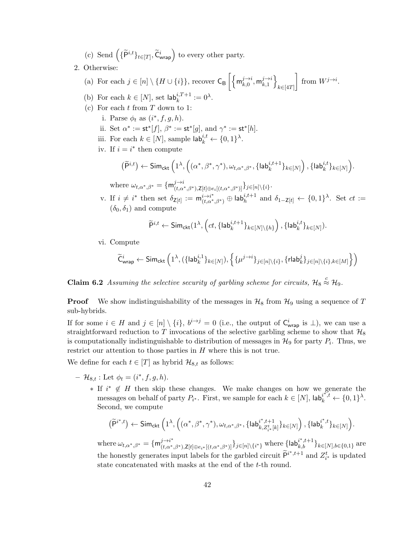(c) Send  $(\{\widetilde{\mathsf{P}}^{i,t}\}_{t\in[T]}, \widetilde{\mathsf{C}}_{\mathsf{wrap}}^i)$  to every other party.

2. Otherwise:

(a) For each  $j \in [n] \setminus \{H \cup \{i\}\}\$ , recover  $\mathsf{C}_{\mathsf{B}}\left[\left\{\mathsf{m}_{k,0}^{j \to i}\right\}\right]$  $_{k,0}^{j\rightarrow i},$  m $_{k,1}^{j\rightarrow i}$  $\left\{\begin{array}{c} j \rightarrow i \\ k,1 \end{array}\right\}$  $k \in [4T]$  $\Big]$  from  $W^{j\to i}$ .

- (b) For each  $k \in [N]$ , set  $\mathsf{lab}_k^{i,T+1} := 0^{\lambda}$ .
- (c) For each  $t$  from  $T$  down to 1:
	- i. Parse  $\phi_t$  as  $(i^*, f, g, h)$ .
	- ii. Set  $\alpha^* := \mathsf{st}^*[f], \beta^* := \mathsf{st}^*[g],$  and  $\gamma^* := \mathsf{st}^*[h].$
	- iii. For each  $k \in [N]$ , sample  $\mathsf{lab}_k^{i,t} \leftarrow \{0,1\}^{\lambda}$ .
	- iv. If  $i = i^*$  then compute

$$
\left(\widetilde{\mathsf{P}}^{i,t}\right) \leftarrow \mathsf{Sim}_\mathsf{ckt}\left(1^\lambda,\left((\alpha^*,\beta^*,\gamma^*),\omega_{t,\alpha^*,\beta^*}, \{\mathsf{lab}_k^{i,t+1}\}_{k\in[N]}\right), \{\mathsf{lab}_k^{i,t}\}_{k\in[N]}\right)
$$

.

where  $\omega_{t,\alpha^*,\beta^*} = \{\mathsf{m}_{(t,\alpha^*,\beta^*),\mathsf{Z}[t]\oplus e_i[(t,\alpha^*,\beta^*)]}\}_{j\in[n]\setminus\{i\}}.$ 

v. If  $i \neq i^*$  then set  $\delta_{\mathsf{Z}[t]} := \mathsf{m}_{(t,\alpha^*,\beta^*)}^{i \to i^*} \oplus \mathsf{lab}_h^{i,t+1}$  and  $\delta_{1-\mathsf{Z}[t]} \leftarrow \{0,1\}^{\lambda}$ . Set  $ct :=$  $(\delta_0, \delta_1)$  and compute

$$
\widetilde{\mathsf{P}}^{i,t} \leftarrow \mathsf{Sim}_{\mathsf{ckt}}(1^{\lambda}, \left(ct, \{\mathsf{lab}_k^{i,t+1}\}_{k \in [N] \setminus \{h\}}\right), \{\mathsf{lab}_k^{i,t}\}_{k \in [N]}).
$$

vi. Compute

$$
\widetilde{\mathsf{C}}_{\mathsf{wrap}}^i \leftarrow \mathsf{Sim}_\mathsf{ckt}\left(1^\lambda, (\{\mathsf{lab}_k^{i,1}\}_{k\in [N]}), \left\{\{\mu^{j\rightarrow i}\}_{j\in [n]\backslash \{i\}}, \{\mathsf{rlab}_k^j\}_{j\in [n]\backslash \{i\}, k\in [M]}\right\}\right)
$$

**Claim 6.2** Assuming the selective security of garbling scheme for circuits,  $\mathcal{H}_8 \stackrel{c}{\approx} \mathcal{H}_9$ .

**Proof** We show indistinguishability of the messages in  $\mathcal{H}_8$  from  $\mathcal{H}_9$  using a sequence of T sub-hybrids.

If for some  $i \in H$  and  $j \in [n] \setminus \{i\}, b^{i \to j} = 0$  (i.e., the output of  $C_{\text{wrap}}^i$  is  $\bot$ ), we can use a straightforward reduction to T invocations of the selective garbling scheme to show that  $\mathcal{H}_8$ is computationally indistinguishable to distribution of messages in  $\mathcal{H}_9$  for party  $P_i$ . Thus, we restrict our attention to those parties in  $H$  where this is not true.

We define for each  $t \in [T]$  as hybrid  $\mathcal{H}_{8,t}$  as follows:

 $- \mathcal{H}_{8,t} : \text{Let } \phi_t = (i^*, f, g, h).$ 

∗ If  $i^* \notin H$  then skip these changes. We make changes on how we generate the messages on behalf of party  $P_{i^*}$ . First, we sample for each  $k \in [N]$ ,  $\mathsf{lab}_k^{i^*,t} \leftarrow \{0,1\}^{\lambda}$ . Second, we compute

$$
\left(\widetilde{\mathsf{P}}^{i^*,t}\right) \leftarrow \mathsf{Sim}_\mathsf{ckt}\left(1^\lambda, \left((\alpha^*,\beta^*,\gamma^*),\omega_{t,\alpha^*,\beta^*}, \{\mathsf{lab}^{i^*,t+1}_{k,Z^t_{i^*}[k]}\}_{k\in [N]}\right), \{\mathsf{lab}^{i^*,t}_{k}\}_{k\in [N]}\right).
$$

 $\text{where } \omega_{t,\alpha^*,\beta^*} = \{\mathsf{m}_{(t,\alpha^*,\beta^*)}^{j\neq i^*}, \mathsf{z}_{[t]\oplus e_{i^*}[(t,\alpha^*,\beta^*)]} \}_{j\in[n]\setminus\{i^*\}} \text{ where } \{\mathsf{lab}_{k,b}^{i^*,t+1}\}_{k\in[N],b\in\{0,1\}} \text{ are }$ the honestly generates input labels for the garbled circuit  $\widetilde{P}^{i^*,t+1}$  and  $Z_{i^*}^t$  is updated state concatenated with masks at the end of the t-th round.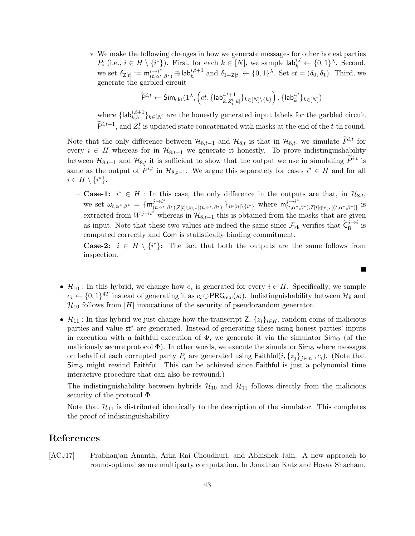∗ We make the following changes in how we generate messages for other honest parties  $P_i$  (i.e.,  $i \in H \setminus \{i^*\}$ ). First, for each  $k \in [N]$ , we sample  $\mathsf{lab}_k^{i,t} \leftarrow \{0,1\}^{\lambda}$ . Second, we set  $\delta_{\mathsf{Z}[t]} := \mathsf{m}_{(t,\alpha^*,\beta^*)}^{i\to i^*} \oplus \mathsf{lab}_h^{i,t+1}$  and  $\delta_{1-\mathsf{Z}[t]} \leftarrow \{0,1\}^{\lambda}$ . Set  $ct = (\delta_0, \delta_1)$ . Third, we generate the garbled circuit

$$
\widetilde{\mathsf{P}}^{i,t} \leftarrow \mathsf{Sim}_\mathsf{ckt}(1^\lambda, \left( ct, \{\mathsf{lab}_{k,Z_i^t[k]}^{i,t+1}\}_{k\in [N]\setminus\{h\}}\right), \{\mathsf{lab}_k^{i,t}\}_{k\in [N]})
$$

where  $\{\mathsf{lab}_{k,b}^{i,t+1}\}_{k\in[N]}$  are the honestly generated input labels for the garbled circuit  $\widetilde{P}^{i,t+1}$ , and  $Z_i^t$  is updated state concatenated with masks at the end of the t-th round.

Note that the only difference between  $\mathcal{H}_{8,t-1}$  and  $\mathcal{H}_{8,t}$  is that in  $\mathcal{H}_{8,t}$ , we simulate  $\widetilde{P}^{i,t}$  for every  $i \in H$  whereas for in  $\mathcal{H}_{8,t-1}$  we generate it honestly. To prove indistinguishability between  $\mathcal{H}_{8,t-1}$  and  $\mathcal{H}_{8,t}$  it is sufficient to show that the output we use in simulating  $\widetilde{P}^{i,t}$  is same as the output of  $\widetilde{P}^{i,t}$  in  $\mathcal{H}_{8,t-1}$ . We argue this separately for cases  $i^* \in H$  and for all  $i \in H \setminus \{i^*\}.$ 

- **Case-1:**  $i^*$  ∈ H : In this case, the only difference in the outputs are that, in  $\mathcal{H}_{8,t}$ , we set  $\omega_{t,\alpha^*,\beta^*} = \{ \mathsf{m}_{(t,\alpha^*,\beta^*),\mathsf{Z}[t]\oplus e_{i^*}[(t,\alpha^*,\beta^*)]}^{j \to i^*} \} j \in [n] \setminus \{i^*\}$  where  $\mathsf{m}_{(t,\alpha^*,\beta^*),\mathsf{Z}[t]\oplus e_{i^*}[(t,\alpha^*,\beta^*)]}^{j \to i^*}$  is extracted from  $W^{j\to i^*}$  whereas in  $\mathcal{H}_{8,t-1}$  this is obtained from the masks that are given as input. Note that these two values are indeed the same since  $\mathcal{F}_{z\mathsf{k}}$  verifies that  $\widetilde{\mathsf{C}}_{\mathsf{B}}^{j\to i}$  is computed correctly and Com is statistically binding commitment.
- Case-2:  $i \in H \setminus \{i^*\}$ : The fact that both the outputs are the same follows from inspection.

 $\blacksquare$ 

- $\mathcal{H}_{10}$ : In this hybrid, we change how  $e_i$  is generated for every  $i \in H$ . Specifically, we sample  $e_i \leftarrow \{0,1\}^{4T}$  instead of generating it as  $c_i \oplus \text{PRG}_{\text{mal}}(s_i)$ . Indistinguishability between  $\mathcal{H}_9$  and  $\mathcal{H}_{10}$  follows from |H| invocations of the security of pseudorandom generator.
- $\mathcal{H}_{11}$ : In this hybrid we just change how the transcript Z,  $\{z_i\}_{i\in H}$ , random coins of malicious parties and value st<sup>∗</sup> are generated. Instead of generating these using honest parties' inputs in execution with a faithful execution of  $\Phi$ , we generate it via the simulator  $\mathsf{Sim}_{\Phi}$  (of the maliciously secure protocol  $\Phi$ ). In other words, we execute the simulator  $\mathsf{Sim}_{\Phi}$  where messages on behalf of each corrupted party  $P_i$  are generated using Faithful( $i, \{z_j\}_{j\in[n]}, c_i$ ). (Note that  $\mathsf{Sim}_{\Phi}$  might rewind Faithful. This can be achieved since Faithful is just a polynomial time interactive procedure that can also be rewound.)

The indistinguishability between hybrids  $\mathcal{H}_{10}$  and  $\mathcal{H}_{11}$  follows directly from the malicious security of the protocol Φ.

Note that  $\mathcal{H}_{11}$  is distributed identically to the description of the simulator. This completes the proof of indistinguishability.

### References

[ACJ17] Prabhanjan Ananth, Arka Rai Choudhuri, and Abhishek Jain. A new approach to round-optimal secure multiparty computation. In Jonathan Katz and Hovav Shacham,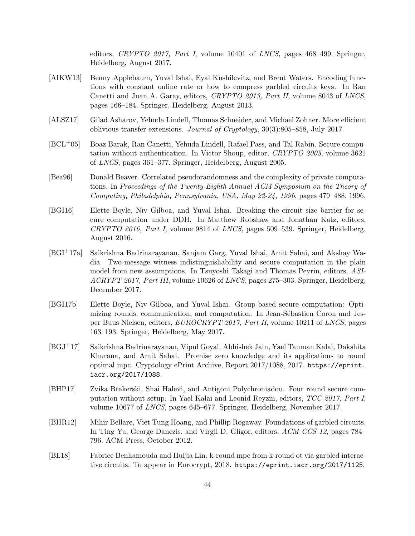editors, CRYPTO 2017, Part I, volume 10401 of LNCS, pages  $468-499$ . Springer, Heidelberg, August 2017.

- [AIKW13] Benny Applebaum, Yuval Ishai, Eyal Kushilevitz, and Brent Waters. Encoding functions with constant online rate or how to compress garbled circuits keys. In Ran Canetti and Juan A. Garay, editors, CRYPTO 2013, Part II, volume 8043 of LNCS, pages 166–184. Springer, Heidelberg, August 2013.
- [ALSZ17] Gilad Asharov, Yehuda Lindell, Thomas Schneider, and Michael Zohner. More efficient oblivious transfer extensions. Journal of Cryptology, 30(3):805–858, July 2017.
- [BCL+05] Boaz Barak, Ran Canetti, Yehuda Lindell, Rafael Pass, and Tal Rabin. Secure computation without authentication. In Victor Shoup, editor, CRYPTO 2005, volume 3621 of LNCS, pages 361–377. Springer, Heidelberg, August 2005.
- [Bea96] Donald Beaver. Correlated pseudorandomness and the complexity of private computations. In Proceedings of the Twenty-Eighth Annual ACM Symposium on the Theory of Computing, Philadelphia, Pennsylvania, USA, May 22-24, 1996, pages 479–488, 1996.
- [BGI16] Elette Boyle, Niv Gilboa, and Yuval Ishai. Breaking the circuit size barrier for secure computation under DDH. In Matthew Robshaw and Jonathan Katz, editors, CRYPTO 2016, Part I, volume 9814 of LNCS, pages 509–539. Springer, Heidelberg, August 2016.
- [BGI+17a] Saikrishna Badrinarayanan, Sanjam Garg, Yuval Ishai, Amit Sahai, and Akshay Wadia. Two-message witness indistinguishability and secure computation in the plain model from new assumptions. In Tsuyoshi Takagi and Thomas Peyrin, editors, ASI-ACRYPT 2017, Part III, volume 10626 of LNCS, pages 275–303. Springer, Heidelberg, December 2017.
- [BGI17b] Elette Boyle, Niv Gilboa, and Yuval Ishai. Group-based secure computation: Optimizing rounds, communication, and computation. In Jean-Sébastien Coron and Jesper Buus Nielsen, editors, EUROCRYPT 2017, Part II, volume 10211 of LNCS, pages 163–193. Springer, Heidelberg, May 2017.
- [BGJ+17] Saikrishna Badrinarayanan, Vipul Goyal, Abhishek Jain, Yael Tauman Kalai, Dakshita Khurana, and Amit Sahai. Promise zero knowledge and its applications to round optimal mpc. Cryptology ePrint Archive, Report 2017/1088, 2017. https://eprint. iacr.org/2017/1088.
- [BHP17] Zvika Brakerski, Shai Halevi, and Antigoni Polychroniadou. Four round secure computation without setup. In Yael Kalai and Leonid Reyzin, editors, TCC 2017, Part I, volume 10677 of LNCS, pages 645–677. Springer, Heidelberg, November 2017.
- [BHR12] Mihir Bellare, Viet Tung Hoang, and Phillip Rogaway. Foundations of garbled circuits. In Ting Yu, George Danezis, and Virgil D. Gligor, editors, ACM CCS 12, pages 784– 796. ACM Press, October 2012.
- [BL18] Fabrice Benhamouda and Huijia Lin. k-round mpc from k-round ot via garbled interactive circuits. To appear in Eurocrypt, 2018. https://eprint.iacr.org/2017/1125.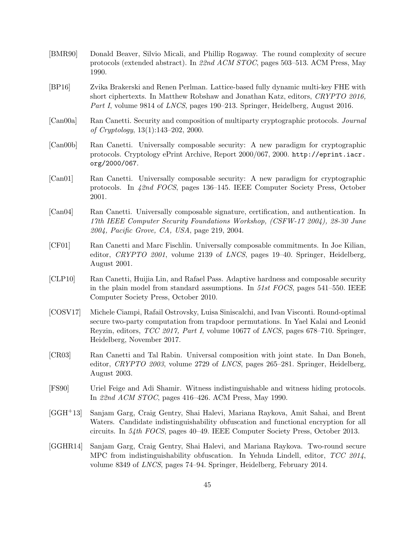- [BMR90] Donald Beaver, Silvio Micali, and Phillip Rogaway. The round complexity of secure protocols (extended abstract). In 22nd ACM STOC, pages 503–513. ACM Press, May 1990.
- [BP16] Zvika Brakerski and Renen Perlman. Lattice-based fully dynamic multi-key FHE with short ciphertexts. In Matthew Robshaw and Jonathan Katz, editors, CRYPTO 2016, Part I, volume 9814 of LNCS, pages 190–213. Springer, Heidelberg, August 2016.
- [Can00a] Ran Canetti. Security and composition of multiparty cryptographic protocols. Journal of Cryptology, 13(1):143–202, 2000.
- [Can00b] Ran Canetti. Universally composable security: A new paradigm for cryptographic protocols. Cryptology ePrint Archive, Report 2000/067, 2000. http://eprint.iacr. org/2000/067.
- [Can01] Ran Canetti. Universally composable security: A new paradigm for cryptographic protocols. In 42nd FOCS, pages 136–145. IEEE Computer Society Press, October 2001.
- [Can04] Ran Canetti. Universally composable signature, certification, and authentication. In 17th IEEE Computer Security Foundations Workshop, (CSFW-17 2004), 28-30 June 2004, Pacific Grove, CA, USA, page 219, 2004.
- [CF01] Ran Canetti and Marc Fischlin. Universally composable commitments. In Joe Kilian, editor, CRYPTO 2001, volume 2139 of LNCS, pages 19–40. Springer, Heidelberg, August 2001.
- [CLP10] Ran Canetti, Huijia Lin, and Rafael Pass. Adaptive hardness and composable security in the plain model from standard assumptions. In  $51st$  FOCS, pages 541–550. IEEE Computer Society Press, October 2010.
- [COSV17] Michele Ciampi, Rafail Ostrovsky, Luisa Siniscalchi, and Ivan Visconti. Round-optimal secure two-party computation from trapdoor permutations. In Yael Kalai and Leonid Reyzin, editors, TCC 2017, Part I, volume 10677 of LNCS, pages 678–710. Springer, Heidelberg, November 2017.
- [CR03] Ran Canetti and Tal Rabin. Universal composition with joint state. In Dan Boneh, editor, CRYPTO 2003, volume 2729 of LNCS, pages 265–281. Springer, Heidelberg, August 2003.
- [FS90] Uriel Feige and Adi Shamir. Witness indistinguishable and witness hiding protocols. In 22nd ACM STOC, pages 416–426. ACM Press, May 1990.
- [GGH+13] Sanjam Garg, Craig Gentry, Shai Halevi, Mariana Raykova, Amit Sahai, and Brent Waters. Candidate indistinguishability obfuscation and functional encryption for all circuits. In 54th FOCS, pages 40–49. IEEE Computer Society Press, October 2013.
- [GGHR14] Sanjam Garg, Craig Gentry, Shai Halevi, and Mariana Raykova. Two-round secure MPC from indistinguishability obfuscation. In Yehuda Lindell, editor, TCC 2014, volume 8349 of LNCS, pages 74–94. Springer, Heidelberg, February 2014.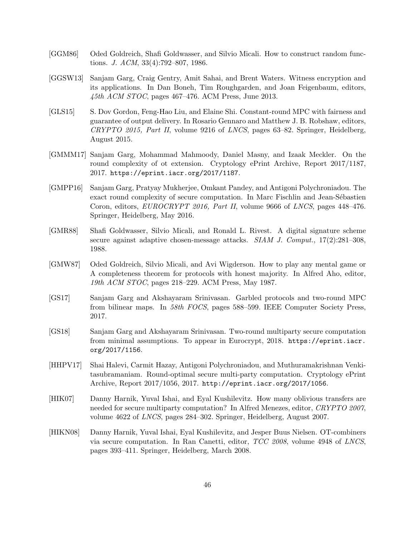- [GGM86] Oded Goldreich, Shafi Goldwasser, and Silvio Micali. How to construct random functions. J. ACM, 33(4):792–807, 1986.
- [GGSW13] Sanjam Garg, Craig Gentry, Amit Sahai, and Brent Waters. Witness encryption and its applications. In Dan Boneh, Tim Roughgarden, and Joan Feigenbaum, editors,  $45th$   $ACM$   $STOC$ , pages  $467-476$ . ACM Press, June 2013.
- [GLS15] S. Dov Gordon, Feng-Hao Liu, and Elaine Shi. Constant-round MPC with fairness and guarantee of output delivery. In Rosario Gennaro and Matthew J. B. Robshaw, editors, CRYPTO 2015, Part II, volume 9216 of LNCS, pages 63–82. Springer, Heidelberg, August 2015.
- [GMMM17] Sanjam Garg, Mohammad Mahmoody, Daniel Masny, and Izaak Meckler. On the round complexity of ot extension. Cryptology ePrint Archive, Report 2017/1187, 2017. https://eprint.iacr.org/2017/1187.
- [GMPP16] Sanjam Garg, Pratyay Mukherjee, Omkant Pandey, and Antigoni Polychroniadou. The exact round complexity of secure computation. In Marc Fischlin and Jean-Sébastien Coron, editors, EUROCRYPT 2016, Part II, volume 9666 of LNCS, pages 448–476. Springer, Heidelberg, May 2016.
- [GMR88] Shafi Goldwasser, Silvio Micali, and Ronald L. Rivest. A digital signature scheme secure against adaptive chosen-message attacks. SIAM J. Comput., 17(2):281–308, 1988.
- [GMW87] Oded Goldreich, Silvio Micali, and Avi Wigderson. How to play any mental game or A completeness theorem for protocols with honest majority. In Alfred Aho, editor, 19th ACM STOC, pages 218–229. ACM Press, May 1987.
- [GS17] Sanjam Garg and Akshayaram Srinivasan. Garbled protocols and two-round MPC from bilinear maps. In 58th FOCS, pages 588–599. IEEE Computer Society Press, 2017.
- [GS18] Sanjam Garg and Akshayaram Srinivasan. Two-round multiparty secure computation from minimal assumptions. To appear in Eurocrypt, 2018. https://eprint.iacr. org/2017/1156.
- [HHPV17] Shai Halevi, Carmit Hazay, Antigoni Polychroniadou, and Muthuramakrishnan Venkitasubramaniam. Round-optimal secure multi-party computation. Cryptology ePrint Archive, Report 2017/1056, 2017. http://eprint.iacr.org/2017/1056.
- [HIK07] Danny Harnik, Yuval Ishai, and Eyal Kushilevitz. How many oblivious transfers are needed for secure multiparty computation? In Alfred Menezes, editor, CRYPTO 2007, volume 4622 of LNCS, pages 284–302. Springer, Heidelberg, August 2007.
- [HIKN08] Danny Harnik, Yuval Ishai, Eyal Kushilevitz, and Jesper Buus Nielsen. OT-combiners via secure computation. In Ran Canetti, editor, TCC 2008, volume 4948 of LNCS, pages 393–411. Springer, Heidelberg, March 2008.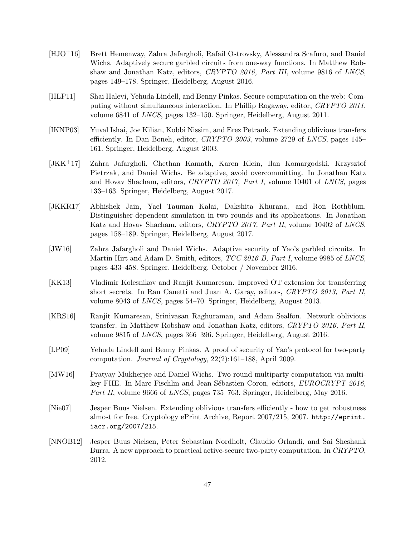- [HJO+16] Brett Hemenway, Zahra Jafargholi, Rafail Ostrovsky, Alessandra Scafuro, and Daniel Wichs. Adaptively secure garbled circuits from one-way functions. In Matthew Robshaw and Jonathan Katz, editors, CRYPTO 2016, Part III, volume 9816 of LNCS, pages 149–178. Springer, Heidelberg, August 2016.
- [HLP11] Shai Halevi, Yehuda Lindell, and Benny Pinkas. Secure computation on the web: Computing without simultaneous interaction. In Phillip Rogaway, editor, CRYPTO 2011, volume 6841 of LNCS, pages 132–150. Springer, Heidelberg, August 2011.
- [IKNP03] Yuval Ishai, Joe Kilian, Kobbi Nissim, and Erez Petrank. Extending oblivious transfers efficiently. In Dan Boneh, editor, CRYPTO 2003, volume 2729 of LNCS, pages 145– 161. Springer, Heidelberg, August 2003.
- [JKK+17] Zahra Jafargholi, Chethan Kamath, Karen Klein, Ilan Komargodski, Krzysztof Pietrzak, and Daniel Wichs. Be adaptive, avoid overcommitting. In Jonathan Katz and Hovav Shacham, editors, CRYPTO 2017, Part I, volume 10401 of LNCS, pages 133–163. Springer, Heidelberg, August 2017.
- [JKKR17] Abhishek Jain, Yael Tauman Kalai, Dakshita Khurana, and Ron Rothblum. Distinguisher-dependent simulation in two rounds and its applications. In Jonathan Katz and Hovav Shacham, editors, CRYPTO 2017, Part II, volume 10402 of LNCS, pages 158–189. Springer, Heidelberg, August 2017.
- [JW16] Zahra Jafargholi and Daniel Wichs. Adaptive security of Yao's garbled circuits. In Martin Hirt and Adam D. Smith, editors, *TCC 2016-B*, *Part I*, volume 9985 of *LNCS*, pages 433–458. Springer, Heidelberg, October / November 2016.
- [KK13] Vladimir Kolesnikov and Ranjit Kumaresan. Improved OT extension for transferring short secrets. In Ran Canetti and Juan A. Garay, editors, CRYPTO 2013, Part II, volume 8043 of LNCS, pages 54–70. Springer, Heidelberg, August 2013.
- [KRS16] Ranjit Kumaresan, Srinivasan Raghuraman, and Adam Sealfon. Network oblivious transfer. In Matthew Robshaw and Jonathan Katz, editors, CRYPTO 2016, Part II, volume 9815 of LNCS, pages 366–396. Springer, Heidelberg, August 2016.
- [LP09] Yehuda Lindell and Benny Pinkas. A proof of security of Yao's protocol for two-party computation. Journal of Cryptology, 22(2):161–188, April 2009.
- [MW16] Pratyay Mukherjee and Daniel Wichs. Two round multiparty computation via multikey FHE. In Marc Fischlin and Jean-Sébastien Coron, editors, EUROCRYPT 2016, Part II, volume 9666 of LNCS, pages 735–763. Springer, Heidelberg, May 2016.
- [Nie07] Jesper Buus Nielsen. Extending oblivious transfers efficiently how to get robustness almost for free. Cryptology ePrint Archive, Report 2007/215, 2007. http://eprint. iacr.org/2007/215.
- [NNOB12] Jesper Buus Nielsen, Peter Sebastian Nordholt, Claudio Orlandi, and Sai Sheshank Burra. A new approach to practical active-secure two-party computation. In CRYPTO, 2012.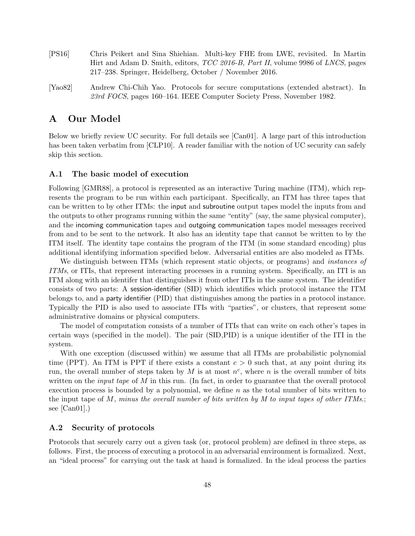| [PS16]               | Chris Peikert and Sina Shiehian. Multi-key FHE from LWE, revisited. In Martin                                                                           |
|----------------------|---------------------------------------------------------------------------------------------------------------------------------------------------------|
|                      | Hirt and Adam D. Smith, editors, <i>TCC 2016-B</i> , <i>Part II</i> , volume 9986 of <i>LNCS</i> , pages                                                |
|                      | 217–238. Springer, Heidelberg, October / November 2016.                                                                                                 |
| [Ya <sub>0</sub> 82] | Andrew Chi-Chih Yao. Protocols for secure computations (extended abstract). In<br>23rd FOCS, pages 160–164. IEEE Computer Society Press, November 1982. |

### A Our Model

Below we briefly review UC security. For full details see [Can01]. A large part of this introduction has been taken verbatim from [CLP10]. A reader familiar with the notion of UC security can safely skip this section.

#### A.1 The basic model of execution

Following [GMR88], a protocol is represented as an interactive Turing machine (ITM), which represents the program to be run within each participant. Specifically, an ITM has three tapes that can be written to by other ITMs: the input and subroutine output tapes model the inputs from and the outputs to other programs running within the same "entity" (say, the same physical computer), and the incoming communication tapes and outgoing communication tapes model messages received from and to be sent to the network. It also has an identity tape that cannot be written to by the ITM itself. The identity tape contains the program of the ITM (in some standard encoding) plus additional identifying information specified below. Adversarial entities are also modeled as ITMs.

We distinguish between ITMs (which represent static objects, or programs) and *instances of* ITMs, or ITIs, that represent interacting processes in a running system. Specifically, an ITI is an ITM along with an identifer that distinguishes it from other ITIs in the same system. The identifier consists of two parts: A session-identifier (SID) which identifies which protocol instance the ITM belongs to, and a party identifier (PID) that distinguishes among the parties in a protocol instance. Typically the PID is also used to associate ITIs with "parties", or clusters, that represent some administrative domains or physical computers.

The model of computation consists of a number of ITIs that can write on each other's tapes in certain ways (specified in the model). The pair (SID,PID) is a unique identifier of the ITI in the system.

With one exception (discussed within) we assume that all ITMs are probabilistic polynomial time (PPT). An ITM is PPT if there exists a constant  $c > 0$  such that, at any point during its run, the overall number of steps taken by M is at most  $n^c$ , where n is the overall number of bits written on the *input tape* of  $M$  in this run. (In fact, in order to guarantee that the overall protocol execution process is bounded by a polynomial, we define  $n$  as the total number of bits written to the input tape of  $M$ , minus the overall number of bits written by  $M$  to input tapes of other ITMs.; see [Can01].)

#### A.2 Security of protocols

Protocols that securely carry out a given task (or, protocol problem) are defined in three steps, as follows. First, the process of executing a protocol in an adversarial environment is formalized. Next, an "ideal process" for carrying out the task at hand is formalized. In the ideal process the parties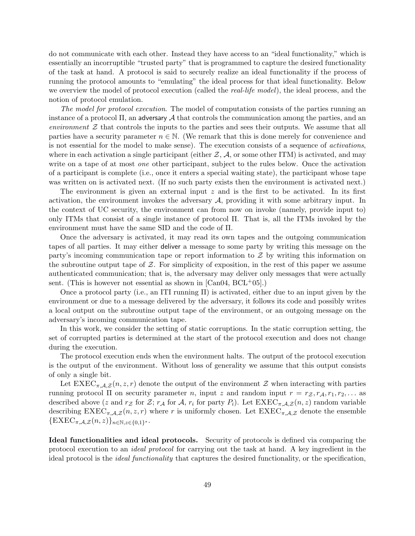do not communicate with each other. Instead they have access to an "ideal functionality," which is essentially an incorruptible "trusted party" that is programmed to capture the desired functionality of the task at hand. A protocol is said to securely realize an ideal functionality if the process of running the protocol amounts to "emulating" the ideal process for that ideal functionality. Below we overview the model of protocol execution (called the *real-life model*), the ideal process, and the notion of protocol emulation.

The model for protocol execution. The model of computation consists of the parties running an instance of a protocol  $\Pi$ , an adversary  $\mathcal A$  that controls the communication among the parties, and an environment  $\mathcal Z$  that controls the inputs to the parties and sees their outputs. We assume that all parties have a security parameter  $n \in \mathbb{N}$ . (We remark that this is done merely for convenience and is not essential for the model to make sense). The execution consists of a sequence of activations, where in each activation a single participant (either  $\mathcal{Z}, \mathcal{A}$ , or some other ITM) is activated, and may write on a tape of at most *one* other participant, subject to the rules below. Once the activation of a participant is complete (i.e., once it enters a special waiting state), the participant whose tape was written on is activated next. (If no such party exists then the environment is activated next.)

The environment is given an external input  $z$  and is the first to be activated. In its first activation, the environment invokes the adversary  $A$ , providing it with some arbitrary input. In the context of UC security, the environment can from now on invoke (namely, provide input to) only ITMs that consist of a single instance of protocol Π. That is, all the ITMs invoked by the environment must have the same SID and the code of Π.

Once the adversary is activated, it may read its own tapes and the outgoing communication tapes of all parties. It may either deliver a message to some party by writing this message on the party's incoming communication tape or report information to  $Z$  by writing this information on the subroutine output tape of  $\mathcal Z$ . For simplicity of exposition, in the rest of this paper we assume authenticated communication; that is, the adversary may deliver only messages that were actually sent. (This is however not essential as shown in  $[Can04, BCL+05]$ .)

Once a protocol party (i.e., an ITI running  $\Pi$ ) is activated, either due to an input given by the environment or due to a message delivered by the adversary, it follows its code and possibly writes a local output on the subroutine output tape of the environment, or an outgoing message on the adversary's incoming communication tape.

In this work, we consider the setting of static corruptions. In the static corruption setting, the set of corrupted parties is determined at the start of the protocol execution and does not change during the execution.

The protocol execution ends when the environment halts. The output of the protocol execution is the output of the environment. Without loss of generality we assume that this output consists of only a single bit.

Let  $\text{EXEC}_{\pi,\mathcal{A},\mathcal{Z}}(n,z,r)$  denote the output of the environment  $\mathcal Z$  when interacting with parties running protocol  $\Pi$  on security parameter n, input z and random input  $r = r_{\mathcal{Z}}, r_{\mathcal{A}}, r_1, r_2, \ldots$  as described above (z and  $r_z$  for  $\mathcal{Z}$ ;  $r_A$  for  $\mathcal{A}$ ,  $r_i$  for party  $P_i$ ). Let  $\text{EXEC}_{\pi,\mathcal{A},\mathcal{Z}}(n,z)$  random variable describing  $\text{EXEC}_{\pi,\mathcal{A},\mathcal{Z}}(n,z,r)$  where r is uniformly chosen. Let  $\text{EXEC}_{\pi,\mathcal{A},\mathcal{Z}}$  denote the ensemble  $\{\text{EXEC}_{\pi,\mathcal{A},\mathcal{Z}}(n,z)\}_{n\in\mathbb{N},z\in\{0,1\}^*}.$ 

Ideal functionalities and ideal protocols. Security of protocols is defined via comparing the protocol execution to an ideal protocol for carrying out the task at hand. A key ingredient in the ideal protocol is the ideal functionality that captures the desired functionality, or the specification,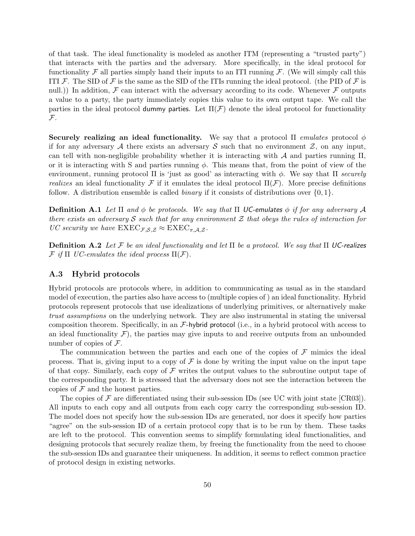of that task. The ideal functionality is modeled as another ITM (representing a "trusted party") that interacts with the parties and the adversary. More specifically, in the ideal protocol for functionality  $\mathcal F$  all parties simply hand their inputs to an ITI running  $\mathcal F$ . (We will simply call this ITI F. The SID of F is the same as the SID of the ITIs running the ideal protocol. (the PID of F is null.) In addition,  $\mathcal F$  can interact with the adversary according to its code. Whenever  $\mathcal F$  outputs a value to a party, the party immediately copies this value to its own output tape. We call the parties in the ideal protocol dummy parties. Let  $\Pi(\mathcal{F})$  denote the ideal protocol for functionality  ${\mathcal F}$ .

Securely realizing an ideal functionality. We say that a protocol  $\Pi$  emulates protocol  $\phi$ if for any adversary A there exists an adversary S such that no environment  $\mathcal{Z}$ , on any input, can tell with non-negligible probability whether it is interacting with  $\mathcal A$  and parties running  $\Pi$ , or it is interacting with S and parties running  $\phi$ . This means that, from the point of view of the environment, running protocol  $\Pi$  is 'just as good' as interacting with  $\phi$ . We say that  $\Pi$  securely *realizes* an ideal functionality F if it emulates the ideal protocol  $\Pi(\mathcal{F})$ . More precise definitions follow. A distribution ensemble is called *binary* if it consists of distributions over  $\{0, 1\}$ .

**Definition A.1** Let  $\Pi$  and  $\phi$  be protocols. We say that  $\Pi$  UC-emulates  $\phi$  if for any adversary A there exists an adversary S such that for any environment  $\mathcal Z$  that obeys the rules of interaction for UC security we have  $\text{EXEC}_{\mathcal{F},\mathcal{S},\mathcal{Z}} \approx \text{EXEC}_{\pi,\mathcal{A},\mathcal{Z}}$ .

**Definition A.2** Let F be an ideal functionality and let  $\Pi$  be a protocol. We say that  $\Pi$  UC-realizes  $\mathcal F$  if  $\Pi$  UC-emulates the ideal process  $\Pi(\mathcal F)$ .

#### A.3 Hybrid protocols

Hybrid protocols are protocols where, in addition to communicating as usual as in the standard model of execution, the parties also have access to (multiple copies of ) an ideal functionality. Hybrid protocols represent protocols that use idealizations of underlying primitives, or alternatively make trust assumptions on the underlying network. They are also instrumental in stating the universal composition theorem. Specifically, in an F-hybrid protocol (i.e., in a hybrid protocol with access to an ideal functionality  $\mathcal{F}$ ), the parties may give inputs to and receive outputs from an unbounded number of copies of  $\mathcal{F}$ .

The communication between the parties and each one of the copies of  $\mathcal F$  mimics the ideal process. That is, giving input to a copy of  $\mathcal F$  is done by writing the input value on the input tape of that copy. Similarly, each copy of  $\mathcal F$  writes the output values to the subroutine output tape of the corresponding party. It is stressed that the adversary does not see the interaction between the copies of  $\mathcal F$  and the honest parties.

The copies of  $\mathcal F$  are differentiated using their sub-session IDs (see UC with joint state [CR03]). All inputs to each copy and all outputs from each copy carry the corresponding sub-session ID. The model does not specify how the sub-session IDs are generated, nor does it specify how parties "agree" on the sub-session ID of a certain protocol copy that is to be run by them. These tasks are left to the protocol. This convention seems to simplify formulating ideal functionalities, and designing protocols that securely realize them, by freeing the functionality from the need to choose the sub-session IDs and guarantee their uniqueness. In addition, it seems to reflect common practice of protocol design in existing networks.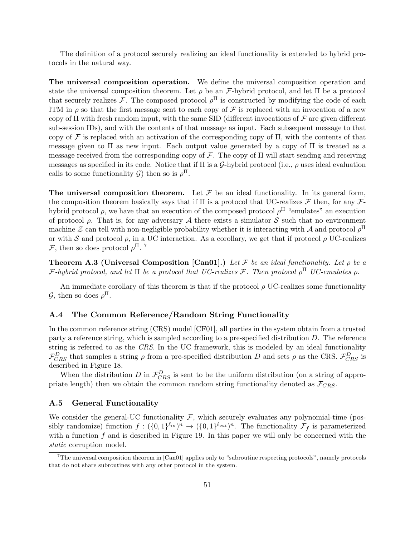The definition of a protocol securely realizing an ideal functionality is extended to hybrid protocols in the natural way.

The universal composition operation. We define the universal composition operation and state the universal composition theorem. Let  $\rho$  be an F-hybrid protocol, and let  $\Pi$  be a protocol that securely realizes F. The composed protocol  $\rho^{\Pi}$  is constructed by modifying the code of each ITM in  $\rho$  so that the first message sent to each copy of  $\mathcal F$  is replaced with an invocation of a new copy of  $\Pi$  with fresh random input, with the same SID (different invocations of  $\mathcal F$  are given different sub-session IDs), and with the contents of that message as input. Each subsequent message to that copy of  $\mathcal F$  is replaced with an activation of the corresponding copy of  $\Pi$ , with the contents of that message given to  $\Pi$  as new input. Each output value generated by a copy of  $\Pi$  is treated as a message received from the corresponding copy of  $\mathcal F$ . The copy of  $\Pi$  will start sending and receiving messages as specified in its code. Notice that if  $\Pi$  is a G-hybrid protocol (i.e.,  $\rho$  uses ideal evaluation calls to some functionality  $\mathcal{G}$ ) then so is  $\rho^{\Pi}$ .

The universal composition theorem. Let  $\mathcal F$  be an ideal functionality. In its general form, the composition theorem basically says that if  $\Pi$  is a protocol that UC-realizes  $\mathcal F$  then, for any  $\mathcal F$ hybrid protocol  $\rho$ , we have that an execution of the composed protocol  $\rho^{\Pi}$  "emulates" an execution of protocol  $\rho$ . That is, for any adversary A there exists a simulator S such that no environment machine  $\mathcal Z$  can tell with non-negligible probability whether it is interacting with  $\mathcal A$  and protocol  $\rho^{\Pi}$ or with S and protocol  $\rho$ , in a UC interaction. As a corollary, we get that if protocol  $\rho$  UC-realizes F, then so does protocol  $\rho^{\Pi}$ .<sup>7</sup>

**Theorem A.3 (Universal Composition [Can01].)** Let F be an ideal functionality. Let  $\rho$  be a F-hybrid protocol, and let  $\Pi$  be a protocol that UC-realizes F. Then protocol  $\rho^{\Pi}$  UC-emulates  $\rho$ .

An immediate corollary of this theorem is that if the protocol  $\rho$  UC-realizes some functionality  $\mathcal{G}$ , then so does  $\rho^{\Pi}$ .

#### A.4 The Common Reference/Random String Functionality

In the common reference string (CRS) model [CF01], all parties in the system obtain from a trusted party a reference string, which is sampled according to a pre-specified distribution D. The reference string is referred to as the CRS. In the UC framework, this is modeled by an ideal functionality  $\mathcal{F}_{CRS}^D$  that samples a string  $\rho$  from a pre-specified distribution D and sets  $\rho$  as the CRS.  $\mathcal{F}_{CRS}^D$  is described in Figure 18.

When the distribution D in  $\mathcal{F}_{CRS}^D$  is sent to be the uniform distribution (on a string of appropriate length) then we obtain the common random string functionality denoted as  $\mathcal{F}_{CRS}$ .

#### A.5 General Functionality

We consider the general-UC functionality  $F$ , which securely evaluates any polynomial-time (possibly randomize) function  $f: (\{0,1\}^{\ell_{in}})^n \to (\{0,1\}^{\ell_{out}})^n$ . The functionality  $\mathcal{F}_f$  is parameterized with a function  $f$  and is described in Figure 19. In this paper we will only be concerned with the static corruption model.

 $7$ The universal composition theorem in  $[Can01]$  applies only to "subroutine respecting protocols", namely protocols" that do not share subroutines with any other protocol in the system.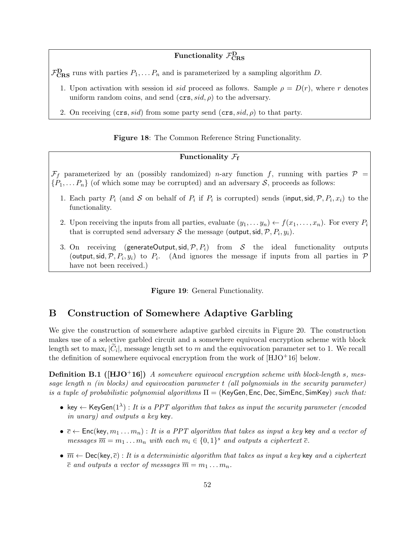# Functionality  $\mathcal{F}_{\text{CRS}}^{\text{D}}$

 $\mathcal{F}_{CRS}^D$  runs with parties  $P_1, \ldots P_n$  and is parameterized by a sampling algorithm D.

- 1. Upon activation with session id *sid* proceed as follows. Sample  $\rho = D(r)$ , where r denotes uniform random coins, and send  $(crs, sid, \rho)$  to the adversary.
- 2. On receiving (crs, sid) from some party send (crs, sid,  $\rho$ ) to that party.

Figure 18: The Common Reference String Functionality.

### Functionality  $\mathcal{F}_f$

 $\mathcal{F}_f$  parameterized by an (possibly randomized) n-ary function f, running with parties  $\mathcal{P}$  =  ${P_1, \ldots P_n}$  (of which some may be corrupted) and an adversary S, proceeds as follows:

- 1. Each party  $P_i$  (and S on behalf of  $P_i$  if  $P_i$  is corrupted) sends (input, sid,  $\mathcal{P}, P_i, x_i$ ) to the functionality.
- 2. Upon receiving the inputs from all parties, evaluate  $(y_1, \ldots, y_n) \leftarrow f(x_1, \ldots, x_n)$ . For every  $P_i$ that is corrupted send adversary S the message (output, sid,  $\mathcal{P}, P_i, y_i$ ).
- 3. On receiving (generateOutput, sid,  $\mathcal{P}, P_i$ ) from S the ideal functionality outputs (output, sid,  $\mathcal{P}, P_i, y_i$ ) to  $P_i$ . (And ignores the message if inputs from all parties in  $\mathcal{P}$ have not been received.)

Figure 19: General Functionality.

### B Construction of Somewhere Adaptive Garbling

We give the construction of somewhere adaptive garbled circuits in Figure 20. The construction makes use of a selective garbled circuit and a somewhere equivocal encryption scheme with block length set to  $\max_i |C_i|$ , message length set to m and the equivocation parameter set to 1. We recall the definition of somewhere equivocal encryption from the work of  $[HJO^+16]$  below.

**Definition B.1** ([HJO+16]) A somewhere equivocal encryption scheme with block-length s, message length n (in blocks) and equivocation parameter  $t$  (all polynomials in the security parameter) is a tuple of probabilistic polynomial algorithms  $\Pi =$  (KeyGen, Enc, Dec, SimEnc, SimKey) such that:

- key  $\leftarrow$  KeyGen $(1^{\lambda})$  : It is a PPT algorithm that takes as input the security parameter (encoded in unary) and outputs a key key.
- $\bar{c} \leftarrow \textsf{Enc}(\textsf{key}, m_1 \ldots m_n)$ : It is a PPT algorithm that takes as input a key key and a vector of *messages*  $\overline{m} = m_1 \dots m_n$  with each  $m_i \in \{0, 1\}^s$  and outputs a ciphertext  $\overline{c}$ .
- $\overline{m} \leftarrow$  Dec(key,  $\overline{c}$ ) : It is a deterministic algorithm that takes as input a key key and a ciphertext  $\overline{c}$  and outputs a vector of messages  $\overline{m} = m_1 \dots m_n$ .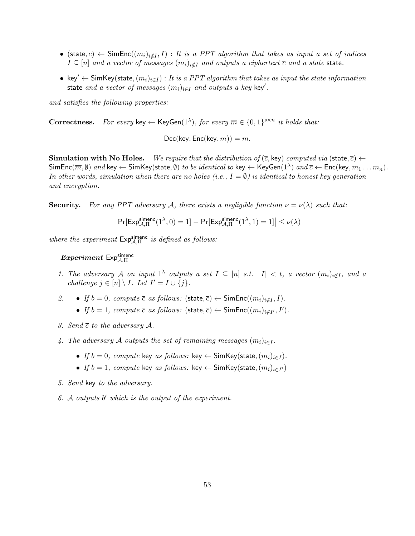- (state,  $\overline{c}$ )  $\leftarrow$  SimEnc $((m_i)_{i \notin I}, I)$  : It is a PPT algorithm that takes as input a set of indices  $I \subseteq [n]$  and a vector of messages  $(m_i)_{i \notin I}$  and outputs a ciphertext  $\overline{c}$  and a state state.
- key'  $\leftarrow$  SimKey(state,  $(m_i)_{i\in I}$ ) : It is a PPT algorithm that takes as input the state information state and a vector of messages  $(m_i)_{i \in I}$  and outputs a key key'.

and satisfies the following properties:

**Correctness.** For every key  $\leftarrow$  KeyGen $(1^{\lambda})$ , for every  $\overline{m} \in \{0,1\}^{s \times n}$  it holds that:

 $Dec(key, Enc(key, \overline{m})) = \overline{m}.$ 

**Simulation with No Holes.** We require that the distribution of  $(\bar{c}, \text{key})$  computed via (state,  $\bar{c}$ )  $\leftarrow$  ${\sf SimEnc}(\overline m,\emptyset)$  and key  $\leftarrow {\sf SimKey}({\sf state},\emptyset)$  to be identical to key  $\leftarrow{\sf KeyGen}(1^\lambda)$  and  $\overline c\leftarrow{\sf Enc}({\sf key},m_1\ldots m_n).$ In other words, simulation when there are no holes (i.e.,  $I = \emptyset$ ) is identical to honest key generation and encryption.

**Security.** For any PPT adversary A, there exists a negligible function  $\nu = \nu(\lambda)$  such that:

 $|\Pr[\mathsf{Exp}_{\mathcal{A},\Pi}^{\mathsf{simple}}(1^{\lambda},0) = 1] - \Pr[\mathsf{Exp}_{\mathcal{A},\Pi}^{\mathsf{simple}}(1^{\lambda},1) = 1]| \leq \nu(\lambda)$ 

where the experiment  $Exp_{\mathcal{A},\Pi}^{\text{simenc}}$  is defined as follows:

# $Experiment$   $\mathsf{Exp}^\mathsf{simenc}_{\mathcal{A},\Pi}$

- 1. The adversary A on input  $1^{\lambda}$  outputs a set  $I \subseteq [n]$  s.t.  $|I| < t$ , a vector  $(m_i)_{i \notin I}$ , and a challenge  $j \in [n] \setminus I$ . Let  $I' = I \cup \{j\}$ .
- 2. If  $b = 0$ , compute  $\overline{c}$  as follows: (state,  $\overline{c}$ )  $\leftarrow$  SimEnc( $(m_i)_{i \notin I}, I$ ).
	- If  $b = 1$ , compute  $\overline{c}$  as follows:  $(\textsf{state}, \overline{c}) \leftarrow \textsf{SimEnc}((m_i)_{i \notin I'}, I').$
- 3. Send  $\bar{c}$  to the adversary  $\mathcal{A}$ .
- 4. The adversary A outputs the set of remaining messages  $(m_i)_{i\in I}$ .
	- If  $b = 0$ , compute key as follows: key  $\leftarrow$  SimKey(state,  $(m_i)_{i \in I}$ ).
	- If  $b=1$ , compute key as follows: key  $\leftarrow$  SimKey(state,  $(m_i)_{i\in I'})$
- 5. Send key to the adversary.
- $6.$  A outputs  $b'$  which is the output of the experiment.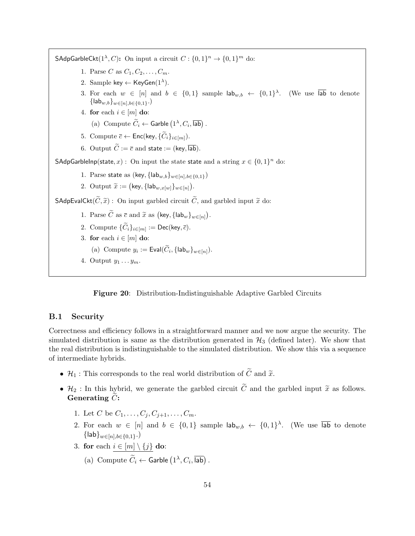SAdpGarbleCkt $(1^{\lambda}, C)$ : On input a circuit  $C : \{0, 1\}^n \to \{0, 1\}^m$  do: 1. Parse C as  $C_1, C_2, \ldots, C_m$ . 2. Sample key  $\leftarrow$  KeyGen(1<sup> $\lambda$ </sup>). 3. For each  $w \in [n]$  and  $b \in \{0,1\}$  sample  $\mathsf{lab}_{w,b} \leftarrow \{0,1\}^{\lambda}$ . (We use  $\overline{\mathsf{lab}}$  to denote  $\{\mathsf{lab}_{w,b}\}_{w\in[n],b\in\{0,1\}}.\$ 4. for each  $i \in [m]$  do: (a) Compute  $\widetilde{C}_i \leftarrow$  Garble  $(1^{\lambda}, C_i, \overline{\mathsf{lab}})$ . 5. Compute  $\bar{c} \leftarrow \mathsf{Enc}(\mathsf{key}, \{\widetilde{C}_i\}_{i \in [m]})$ . 6. Output  $\widetilde{C} := \overline{c}$  and state := (key,  $\overline{lab}$ ). SAdpGarbleInp(state, x) : On input the state state and a string  $x \in \{0,1\}^n$  do: 1. Parse state as  $(\text{key}, {\{\text{lab}_{w,b}\}}_{w \in [n], b \in \{0,1\}})$ 2. Output  $\widetilde{x} := (\mathsf{key}, \{\mathsf{lab}_{w,x[w]}\}_{w \in [n]})$ .  $S$ AdpEvalCkt $(\widetilde{C}, \widetilde{x})$ : On input garbled circuit  $\widetilde{C}$ , and garbled input  $\widetilde{x}$  do: 1. Parse  $\tilde{C}$  as  $\bar{c}$  and  $\tilde{x}$  as  $(\text{key}, {\{\text{lab}_w\}_{w\in[n]}})$ . 2. Compute  $\{C_i\}_{i\in[m]}:=\mathsf{Dec}(\mathsf{key},\overline{c})$ . 3. for each  $i \in [m]$  do: (a) Compute  $y_i := \text{Eval}(C_i, \{\text{lab}_w\}_{w \in [n]})$ . 4. Output  $y_1 \ldots y_m$ .

Figure 20: Distribution-Indistinguishable Adaptive Garbled Circuits

#### B.1 Security

Correctness and efficiency follows in a straightforward manner and we now argue the security. The simulated distribution is same as the distribution generated in  $\mathcal{H}_3$  (defined later). We show that the real distribution is indistinguishable to the simulated distribution. We show this via a sequence of intermediate hybrids.

- $\mathcal{H}_1$ : This corresponds to the real world distribution of  $\widetilde{C}$  and  $\widetilde{x}$ .
- $\mathcal{H}_2$ : In this hybrid, we generate the garbled circuit  $\tilde{C}$  and the garbled input  $\tilde{x}$  as follows. Generating  $C$ :
	- 1. Let C be  $C_1, \ldots, C_i, C_{i+1}, \ldots, C_m$ .
	- 2. For each  $w \in [n]$  and  $b \in \{0,1\}$  sample  $\mathsf{lab}_{w,b} \leftarrow \{0,1\}^{\lambda}$ . (We use  $\overline{\mathsf{lab}}$  to denote  $\{\mathsf{lab}\}_{w \in [n], b \in \{0,1\}}\cdot$
	- 3. for each  $i \in [m] \setminus \{j\}$  do:
		- (a) Compute  $\widetilde{C}_i \leftarrow$  Garble  $(1^{\lambda}, C_i, \overline{\mathsf{lab}})$ .